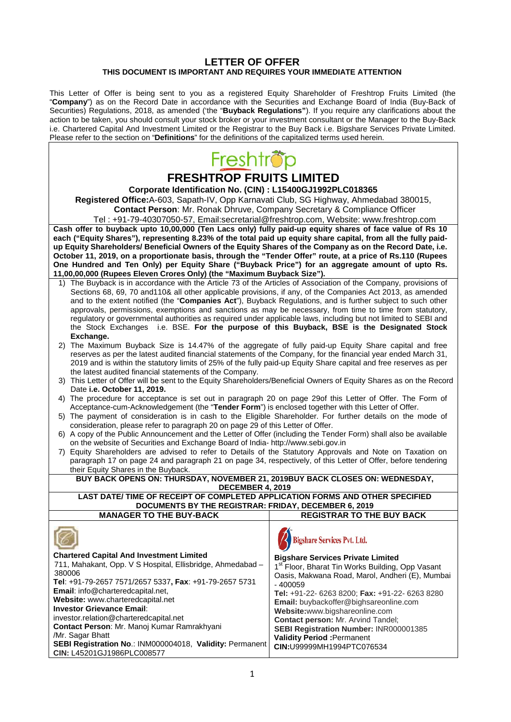## **LETTER OF OFFER THIS DOCUMENT IS IMPORTANT AND REQUIRES YOUR IMMEDIATE ATTENTION**

This Letter of Offer is being sent to you as a registered Equity Shareholder of Freshtrop Fruits Limited (the "**Company**") as on the Record Date in accordance with the Securities and Exchange Board of India (Buy-Back of Securities) Regulations, 2018, as amended ('the "**Buyback Regulations"**). If you require any clarifications about the action to be taken, you should consult your stock broker or your investment consultant or the Manager to the Buy-Back i.e. Chartered Capital And Investment Limited or the Registrar to the Buy Back i.e. Bigshare Services Private Limited. Please refer to the section on "**Definitions**" for the definitions of the capitalized terms used herein.

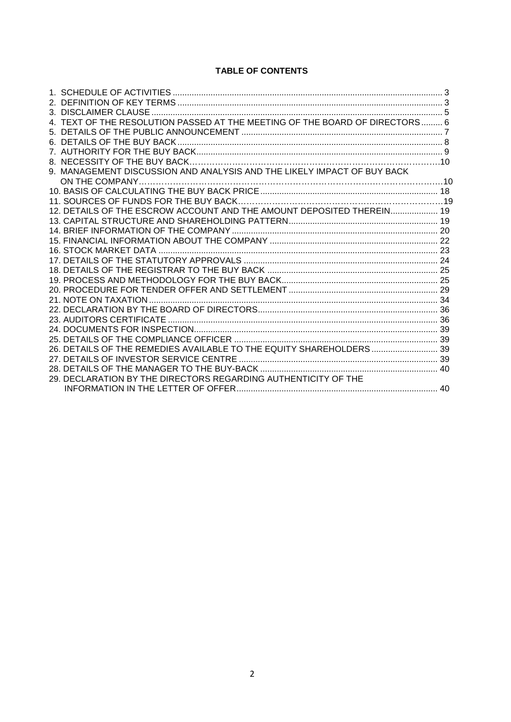## **TABLE OF CONTENTS**

| 4. TEXT OF THE RESOLUTION PASSED AT THE MEETING OF THE BOARD OF DIRECTORS 6 |  |
|-----------------------------------------------------------------------------|--|
|                                                                             |  |
|                                                                             |  |
|                                                                             |  |
|                                                                             |  |
| 9. MANAGEMENT DISCUSSION AND ANALYSIS AND THE LIKELY IMPACT OF BUY BACK     |  |
|                                                                             |  |
|                                                                             |  |
|                                                                             |  |
| 12. DETAILS OF THE ESCROW ACCOUNT AND THE AMOUNT DEPOSITED THEREIN 19       |  |
|                                                                             |  |
|                                                                             |  |
|                                                                             |  |
|                                                                             |  |
|                                                                             |  |
|                                                                             |  |
|                                                                             |  |
|                                                                             |  |
|                                                                             |  |
|                                                                             |  |
|                                                                             |  |
|                                                                             |  |
|                                                                             |  |
| 26. DETAILS OF THE REMEDIES AVAILABLE TO THE EQUITY SHAREHOLDERS  39        |  |
|                                                                             |  |
|                                                                             |  |
| 29. DECLARATION BY THE DIRECTORS REGARDING AUTHENTICITY OF THE              |  |
|                                                                             |  |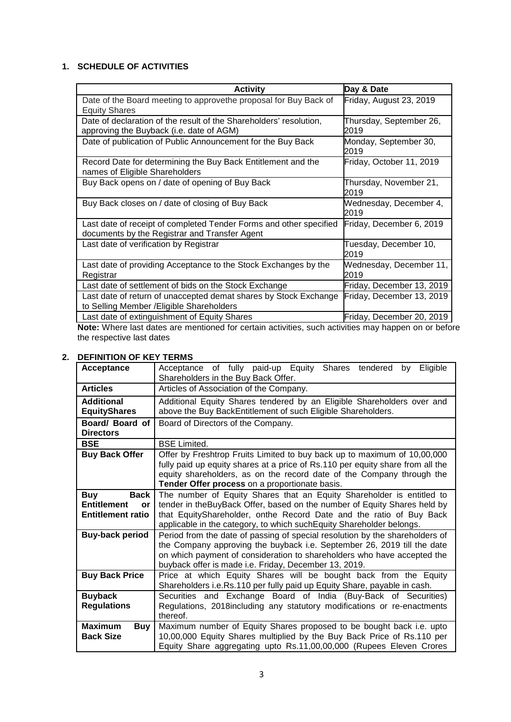# **1. SCHEDULE OF ACTIVITIES**

| <b>Activity</b>                                                                                                     | Day & Date                      |
|---------------------------------------------------------------------------------------------------------------------|---------------------------------|
| Date of the Board meeting to approvethe proposal for Buy Back of<br><b>Equity Shares</b>                            | Friday, August 23, 2019         |
| Date of declaration of the result of the Shareholders' resolution,<br>approving the Buyback (i.e. date of AGM)      | Thursday, September 26,<br>2019 |
| Date of publication of Public Announcement for the Buy Back                                                         | Monday, September 30,<br>2019   |
| Record Date for determining the Buy Back Entitlement and the<br>names of Eligible Shareholders                      | Friday, October 11, 2019        |
| Buy Back opens on / date of opening of Buy Back                                                                     | Thursday, November 21,<br>2019  |
| Buy Back closes on / date of closing of Buy Back                                                                    | Wednesday, December 4,<br>2019  |
| Last date of receipt of completed Tender Forms and other specified<br>documents by the Registrar and Transfer Agent | Friday, December 6, 2019        |
| Last date of verification by Registrar                                                                              | Tuesday, December 10,<br>2019   |
| Last date of providing Acceptance to the Stock Exchanges by the<br>Registrar                                        | Wednesday, December 11,<br>2019 |
| Last date of settlement of bids on the Stock Exchange                                                               | Friday, December 13, 2019       |
| Last date of return of unaccepted demat shares by Stock Exchange<br>to Selling Member / Eligible Shareholders       | Friday, December 13, 2019       |
| Last date of extinguishment of Equity Shares                                                                        | Friday, December 20, 2019       |

**Note:** Where last dates are mentioned for certain activities, such activities may happen on or before the respective last dates

# **2. DEFINITION OF KEY TERMS**

| Acceptance                                                                        | Acceptance of fully paid-up Equity Shares tendered<br>Eligible<br>by<br>Shareholders in the Buy Back Offer.                                                                                                                                                                                        |  |  |  |
|-----------------------------------------------------------------------------------|----------------------------------------------------------------------------------------------------------------------------------------------------------------------------------------------------------------------------------------------------------------------------------------------------|--|--|--|
| <b>Articles</b>                                                                   | Articles of Association of the Company.                                                                                                                                                                                                                                                            |  |  |  |
| <b>Additional</b><br><b>EquityShares</b>                                          | Additional Equity Shares tendered by an Eligible Shareholders over and<br>above the Buy BackEntitlement of such Eligible Shareholders.                                                                                                                                                             |  |  |  |
| Board/ Board of<br><b>Directors</b>                                               | Board of Directors of the Company.                                                                                                                                                                                                                                                                 |  |  |  |
| <b>BSE</b>                                                                        | <b>BSE Limited.</b>                                                                                                                                                                                                                                                                                |  |  |  |
| <b>Buy Back Offer</b>                                                             | Offer by Freshtrop Fruits Limited to buy back up to maximum of 10,00,000<br>fully paid up equity shares at a price of Rs.110 per equity share from all the<br>equity shareholders, as on the record date of the Company through the<br>Tender Offer process on a proportionate basis.              |  |  |  |
| <b>Buy</b><br><b>Back</b><br><b>Entitlement</b><br>or<br><b>Entitlement ratio</b> | The number of Equity Shares that an Equity Shareholder is entitled to<br>tender in the Buy Back Offer, based on the number of Equity Shares held by<br>that EquityShareholder, onthe Record Date and the ratio of Buy Back<br>applicable in the category, to which suchEquity Shareholder belongs. |  |  |  |
| <b>Buy-back period</b>                                                            | Period from the date of passing of special resolution by the shareholders of<br>the Company approving the buyback i.e. September 26, 2019 till the date<br>on which payment of consideration to shareholders who have accepted the<br>buyback offer is made i.e. Friday, December 13, 2019.        |  |  |  |
| <b>Buy Back Price</b>                                                             | Price at which Equity Shares will be bought back from the Equity<br>Shareholders i.e.Rs.110 per fully paid up Equity Share, payable in cash.                                                                                                                                                       |  |  |  |
| <b>Buyback</b><br><b>Regulations</b>                                              | Securities and Exchange Board of India (Buy-Back of Securities)<br>Regulations, 2018 including any statutory modifications or re-enactments<br>thereof.                                                                                                                                            |  |  |  |
| <b>Maximum</b><br><b>Buy</b><br><b>Back Size</b>                                  | Maximum number of Equity Shares proposed to be bought back i.e. upto<br>10,00,000 Equity Shares multiplied by the Buy Back Price of Rs.110 per<br>Equity Share aggregating upto Rs.11,00,00,000 (Rupees Eleven Crores                                                                              |  |  |  |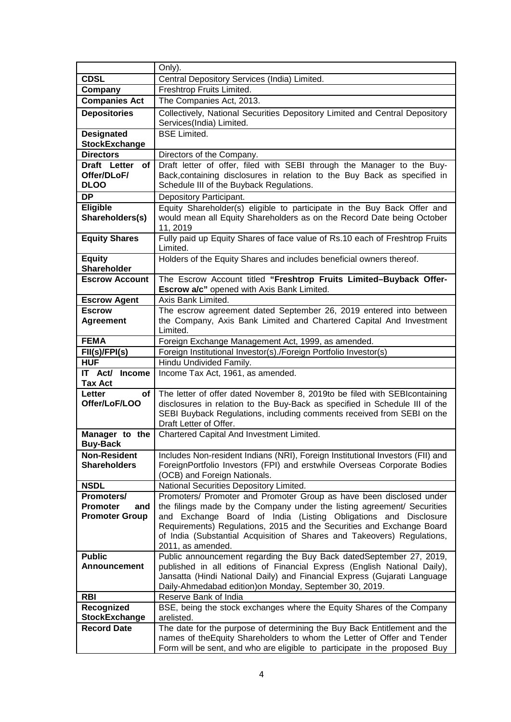| Only).                                                                                                                                                                                                   |  |
|----------------------------------------------------------------------------------------------------------------------------------------------------------------------------------------------------------|--|
| <b>CDSL</b><br>Central Depository Services (India) Limited.                                                                                                                                              |  |
| Company<br>Freshtrop Fruits Limited.                                                                                                                                                                     |  |
| <b>Companies Act</b><br>The Companies Act, 2013.                                                                                                                                                         |  |
| Collectively, National Securities Depository Limited and Central Depository<br><b>Depositories</b>                                                                                                       |  |
| Services(India) Limited.                                                                                                                                                                                 |  |
| <b>Designated</b><br><b>BSE Limited.</b>                                                                                                                                                                 |  |
| <b>StockExchange</b>                                                                                                                                                                                     |  |
| <b>Directors</b><br>Directors of the Company.                                                                                                                                                            |  |
| Draft letter of offer, filed with SEBI through the Manager to the Buy-<br>Draft Letter<br>оf                                                                                                             |  |
| Back, containing disclosures in relation to the Buy Back as specified in<br>Offer/DLoF/                                                                                                                  |  |
| <b>DLOO</b><br>Schedule III of the Buyback Regulations.                                                                                                                                                  |  |
| <b>DP</b><br>Depository Participant.                                                                                                                                                                     |  |
| Equity Shareholder(s) eligible to participate in the Buy Back Offer and<br><b>Eligible</b>                                                                                                               |  |
| Shareholders(s)<br>would mean all Equity Shareholders as on the Record Date being October<br>11, 2019                                                                                                    |  |
| <b>Equity Shares</b><br>Fully paid up Equity Shares of face value of Rs.10 each of Freshtrop Fruits                                                                                                      |  |
| Limited.                                                                                                                                                                                                 |  |
| <b>Equity</b><br>Holders of the Equity Shares and includes beneficial owners thereof.                                                                                                                    |  |
| <b>Shareholder</b>                                                                                                                                                                                       |  |
| The Escrow Account titled "Freshtrop Fruits Limited-Buyback Offer-<br><b>Escrow Account</b>                                                                                                              |  |
| <b>Escrow a/c"</b> opened with Axis Bank Limited.                                                                                                                                                        |  |
| <b>Escrow Agent</b><br>Axis Bank Limited.                                                                                                                                                                |  |
| The escrow agreement dated September 26, 2019 entered into between<br><b>Escrow</b>                                                                                                                      |  |
| <b>Agreement</b><br>the Company, Axis Bank Limited and Chartered Capital And Investment                                                                                                                  |  |
| Limited.<br><b>FEMA</b>                                                                                                                                                                                  |  |
| Foreign Exchange Management Act, 1999, as amended.<br>Foreign Institutional Investor(s)./Foreign Portfolio Investor(s)<br>FII(s)/FPI(s)                                                                  |  |
| Hindu Undivided Family.<br><b>HUF</b>                                                                                                                                                                    |  |
| IT Act/ Income<br>Income Tax Act, 1961, as amended.                                                                                                                                                      |  |
| <b>Tax Act</b>                                                                                                                                                                                           |  |
| The letter of offer dated November 8, 2019to be filed with SEBIcontaining<br>Letter<br>οf                                                                                                                |  |
| disclosures in relation to the Buy-Back as specified in Schedule III of the<br>Offer/LoF/LOO                                                                                                             |  |
| SEBI Buyback Regulations, including comments received from SEBI on the                                                                                                                                   |  |
| Draft Letter of Offer.                                                                                                                                                                                   |  |
| Chartered Capital And Investment Limited.<br>Manager to the                                                                                                                                              |  |
| <b>Buy-Back</b>                                                                                                                                                                                          |  |
| Includes Non-resident Indians (NRI), Foreign Institutional Investors (FII) and<br><b>Non-Resident</b><br>ForeignPortfolio Investors (FPI) and erstwhile Overseas Corporate Bodies<br><b>Shareholders</b> |  |
| (OCB) and Foreign Nationals.                                                                                                                                                                             |  |
| <b>NSDL</b><br>National Securities Depository Limited.                                                                                                                                                   |  |
| Promoters/                                                                                                                                                                                               |  |
|                                                                                                                                                                                                          |  |
| Promoters/ Promoter and Promoter Group as have been disclosed under<br>the filings made by the Company under the listing agreement/ Securities<br><b>Promoter</b><br>and                                 |  |
| and Exchange Board of India (Listing Obligations and Disclosure<br><b>Promoter Group</b>                                                                                                                 |  |
| Requirements) Regulations, 2015 and the Securities and Exchange Board                                                                                                                                    |  |
| of India (Substantial Acquisition of Shares and Takeovers) Regulations,                                                                                                                                  |  |
| 2011, as amended.                                                                                                                                                                                        |  |
| <b>Public</b><br>Public announcement regarding the Buy Back datedSeptember 27, 2019,                                                                                                                     |  |
| published in all editions of Financial Express (English National Daily),<br><b>Announcement</b>                                                                                                          |  |
| Jansatta (Hindi National Daily) and Financial Express (Gujarati Language<br>Daily-Ahmedabad edition) on Monday, September 30, 2019.                                                                      |  |
| <b>RBI</b><br>Reserve Bank of India                                                                                                                                                                      |  |
| Recognized<br>BSE, being the stock exchanges where the Equity Shares of the Company                                                                                                                      |  |
| arelisted.<br><b>StockExchange</b>                                                                                                                                                                       |  |
| <b>Record Date</b><br>The date for the purpose of determining the Buy Back Entitlement and the<br>names of the Equity Shareholders to whom the Letter of Offer and Tender                                |  |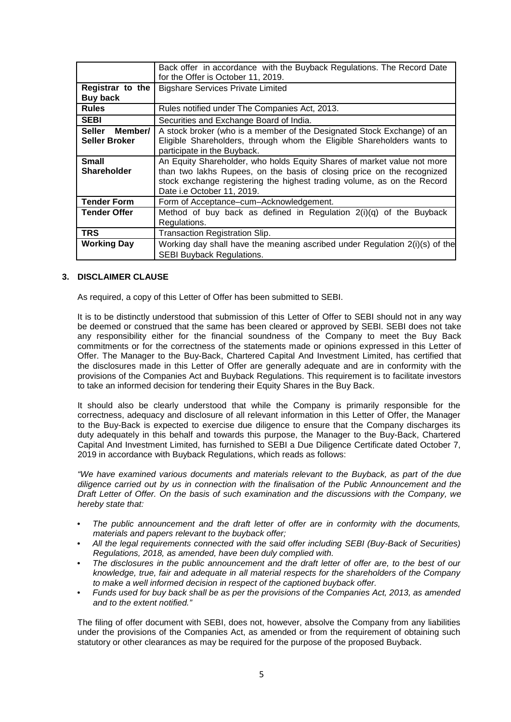|                          | Back offer in accordance with the Buyback Regulations. The Record Date<br>for the Offer is October 11, 2019. |
|--------------------------|--------------------------------------------------------------------------------------------------------------|
| Registrar to the         | <b>Bigshare Services Private Limited</b>                                                                     |
| Buy back                 |                                                                                                              |
| <b>Rules</b>             | Rules notified under The Companies Act, 2013.                                                                |
| <b>SEBI</b>              | Securities and Exchange Board of India.                                                                      |
| <b>Seller</b><br>Member/ | A stock broker (who is a member of the Designated Stock Exchange) of an                                      |
| <b>Seller Broker</b>     | Eligible Shareholders, through whom the Eligible Shareholders wants to                                       |
|                          | participate in the Buyback.                                                                                  |
| <b>Small</b>             | An Equity Shareholder, who holds Equity Shares of market value not more                                      |
| <b>Shareholder</b>       | than two lakhs Rupees, on the basis of closing price on the recognized                                       |
|                          | stock exchange registering the highest trading volume, as on the Record                                      |
|                          | Date i.e October 11, 2019.                                                                                   |
| <b>Tender Form</b>       | Form of Acceptance-cum-Acknowledgement.                                                                      |
| <b>Tender Offer</b>      | Method of buy back as defined in Regulation $2(i)(q)$ of the Buyback                                         |
|                          | Regulations.                                                                                                 |
| <b>TRS</b>               | Transaction Registration Slip.                                                                               |
| <b>Working Day</b>       | Working day shall have the meaning ascribed under Regulation 2(i)(s) of the                                  |
|                          | <b>SEBI Buyback Regulations.</b>                                                                             |

#### **3. DISCLAIMER CLAUSE**

As required, a copy of this Letter of Offer has been submitted to SEBI.

It is to be distinctly understood that submission of this Letter of Offer to SEBI should not in any way be deemed or construed that the same has been cleared or approved by SEBI. SEBI does not take any responsibility either for the financial soundness of the Company to meet the Buy Back commitments or for the correctness of the statements made or opinions expressed in this Letter of Offer. The Manager to the Buy-Back, Chartered Capital And Investment Limited, has certified that the disclosures made in this Letter of Offer are generally adequate and are in conformity with the provisions of the Companies Act and Buyback Regulations. This requirement is to facilitate investors to take an informed decision for tendering their Equity Shares in the Buy Back.

It should also be clearly understood that while the Company is primarily responsible for the correctness, adequacy and disclosure of all relevant information in this Letter of Offer, the Manager to the Buy-Back is expected to exercise due diligence to ensure that the Company discharges its duty adequately in this behalf and towards this purpose, the Manager to the Buy-Back, Chartered Capital And Investment Limited, has furnished to SEBI a Due Diligence Certificate dated October 7, 2019 in accordance with Buyback Regulations, which reads as follows:

*"We have examined various documents and materials relevant to the Buyback, as part of the due diligence carried out by us in connection with the finalisation of the Public Announcement and the Draft Letter of Offer. On the basis of such examination and the discussions with the Company, we hereby state that:*

- *The public announcement and the draft letter of offer are in conformity with the documents, materials and papers relevant to the buyback offer;*
- *All the legal requirements connected with the said offer including SEBI (Buy-Back of Securities) Regulations, 2018, as amended, have been duly complied with.*
- *The disclosures in the public announcement and the draft letter of offer are, to the best of our knowledge, true, fair and adequate in all material respects for the shareholders of the Company to make a well informed decision in respect of the captioned buyback offer.*
- *Funds used for buy back shall be as per the provisions of the Companies Act, 2013, as amended and to the extent notified."*

The filing of offer document with SEBI, does not, however, absolve the Company from any liabilities under the provisions of the Companies Act, as amended or from the requirement of obtaining such statutory or other clearances as may be required for the purpose of the proposed Buyback.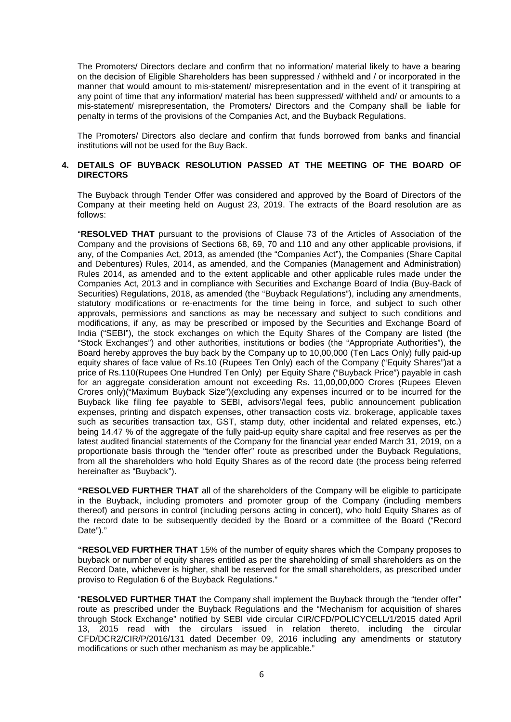The Promoters/ Directors declare and confirm that no information/ material likely to have a bearing on the decision of Eligible Shareholders has been suppressed / withheld and / or incorporated in the manner that would amount to mis-statement/ misrepresentation and in the event of it transpiring at any point of time that any information/ material has been suppressed/ withheld and/ or amounts to a mis-statement/ misrepresentation, the Promoters/ Directors and the Company shall be liable for penalty in terms of the provisions of the Companies Act, and the Buyback Regulations.

The Promoters/ Directors also declare and confirm that funds borrowed from banks and financial institutions will not be used for the Buy Back.

#### **4. DETAILS OF BUYBACK RESOLUTION PASSED AT THE MEETING OF THE BOARD OF DIRECTORS**

The Buyback through Tender Offer was considered and approved by the Board of Directors of the Company at their meeting held on August 23, 2019. The extracts of the Board resolution are as follows:

"**RESOLVED THAT** pursuant to the provisions of Clause 73 of the Articles of Association of the Company and the provisions of Sections 68, 69, 70 and 110 and any other applicable provisions, if any, of the Companies Act, 2013, as amended (the "Companies Act"), the Companies (Share Capital and Debentures) Rules, 2014, as amended, and the Companies (Management and Administration) Rules 2014, as amended and to the extent applicable and other applicable rules made under the Companies Act, 2013 and in compliance with Securities and Exchange Board of India (Buy-Back of Securities) Regulations, 2018, as amended (the "Buyback Regulations"), including any amendments, statutory modifications or re-enactments for the time being in force, and subject to such other approvals, permissions and sanctions as may be necessary and subject to such conditions and modifications, if any, as may be prescribed or imposed by the Securities and Exchange Board of India ("SEBI"), the stock exchanges on which the Equity Shares of the Company are listed (the "Stock Exchanges") and other authorities, institutions or bodies (the "Appropriate Authorities"), the Board hereby approves the buy back by the Company up to 10,00,000 (Ten Lacs Only) fully paid-up equity shares of face value of Rs.10 (Rupees Ten Only) each of the Company ("Equity Shares")at a price of Rs.110(Rupees One Hundred Ten Only) per Equity Share ("Buyback Price") payable in cash for an aggregate consideration amount not exceeding Rs. 11,00,00,000 Crores (Rupees Eleven Crores only)("Maximum Buyback Size")(excluding any expenses incurred or to be incurred for the Buyback like filing fee payable to SEBI, advisors'/legal fees, public announcement publication expenses, printing and dispatch expenses, other transaction costs viz. brokerage, applicable taxes such as securities transaction tax, GST, stamp duty, other incidental and related expenses, etc.) being 14.47 % of the aggregate of the fully paid-up equity share capital and free reserves as per the latest audited financial statements of the Company for the financial year ended March 31, 2019, on a proportionate basis through the "tender offer" route as prescribed under the Buyback Regulations, from all the shareholders who hold Equity Shares as of the record date (the process being referred hereinafter as "Buyback").

**"RESOLVED FURTHER THAT** all of the shareholders of the Company will be eligible to participate in the Buyback, including promoters and promoter group of the Company (including members thereof) and persons in control (including persons acting in concert), who hold Equity Shares as of the record date to be subsequently decided by the Board or a committee of the Board ("Record Date")."

**"RESOLVED FURTHER THAT** 15% of the number of equity shares which the Company proposes to buyback or number of equity shares entitled as per the shareholding of small shareholders as on the Record Date, whichever is higher, shall be reserved for the small shareholders, as prescribed under proviso to Regulation 6 of the Buyback Regulations."

"**RESOLVED FURTHER THAT** the Company shall implement the Buyback through the "tender offer" route as prescribed under the Buyback Regulations and the "Mechanism for acquisition of shares through Stock Exchange" notified by SEBI vide circular CIR/CFD/POLICYCELL/1/2015 dated April 13, 2015 read with the circulars issued in relation thereto, including the circular CFD/DCR2/CIR/P/2016/131 dated December 09, 2016 including any amendments or statutory modifications or such other mechanism as may be applicable."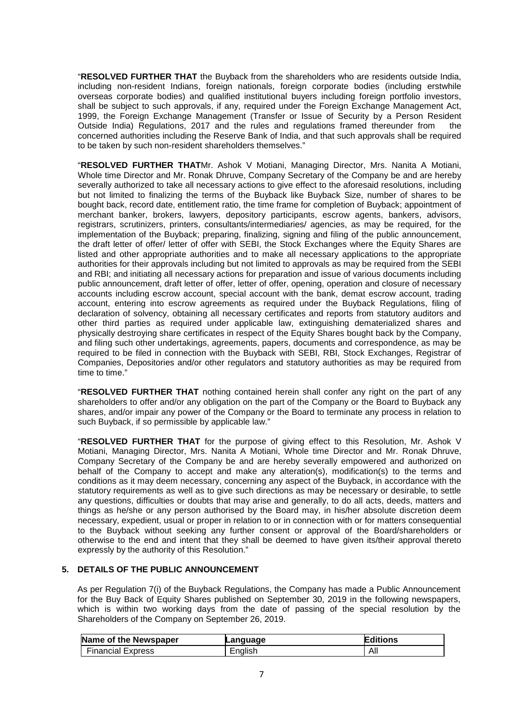"**RESOLVED FURTHER THAT** the Buyback from the shareholders who are residents outside India, including non-resident Indians, foreign nationals, foreign corporate bodies (including erstwhile overseas corporate bodies) and qualified institutional buyers including foreign portfolio investors, shall be subject to such approvals, if any, required under the Foreign Exchange Management Act, 1999, the Foreign Exchange Management (Transfer or Issue of Security by a Person Resident<br>Outside India) Regulations, 2017 and the rules and regulations framed thereunder from the Outside India) Regulations, 2017 and the rules and regulations framed thereunder from concerned authorities including the Reserve Bank of India, and that such approvals shall be required to be taken by such non-resident shareholders themselves."

"**RESOLVED FURTHER THAT**Mr. Ashok V Motiani, Managing Director, Mrs. Nanita A Motiani, Whole time Director and Mr. Ronak Dhruve, Company Secretary of the Company be and are hereby severally authorized to take all necessary actions to give effect to the aforesaid resolutions, including but not limited to finalizing the terms of the Buyback like Buyback Size, number of shares to be bought back, record date, entitlement ratio, the time frame for completion of Buyback; appointment of merchant banker, brokers, lawyers, depository participants, escrow agents, bankers, advisors, registrars, scrutinizers, printers, consultants/intermediaries/ agencies, as may be required, for the implementation of the Buyback; preparing, finalizing, signing and filing of the public announcement, the draft letter of offer/ letter of offer with SEBI, the Stock Exchanges where the Equity Shares are listed and other appropriate authorities and to make all necessary applications to the appropriate authorities for their approvals including but not limited to approvals as may be required from the SEBI and RBI; and initiating all necessary actions for preparation and issue of various documents including public announcement, draft letter of offer, letter of offer, opening, operation and closure of necessary accounts including escrow account, special account with the bank, demat escrow account, trading account, entering into escrow agreements as required under the Buyback Regulations, filing of declaration of solvency, obtaining all necessary certificates and reports from statutory auditors and other third parties as required under applicable law, extinguishing dematerialized shares and physically destroying share certificates in respect of the Equity Shares bought back by the Company, and filing such other undertakings, agreements, papers, documents and correspondence, as may be required to be filed in connection with the Buyback with SEBI, RBI, Stock Exchanges, Registrar of Companies, Depositories and/or other regulators and statutory authorities as may be required from time to time."

"**RESOLVED FURTHER THAT** nothing contained herein shall confer any right on the part of any shareholders to offer and/or any obligation on the part of the Company or the Board to Buyback any shares, and/or impair any power of the Company or the Board to terminate any process in relation to such Buyback, if so permissible by applicable law."

"**RESOLVED FURTHER THAT** for the purpose of giving effect to this Resolution, Mr. Ashok V Motiani, Managing Director, Mrs. Nanita A Motiani, Whole time Director and Mr. Ronak Dhruve, Company Secretary of the Company be and are hereby severally empowered and authorized on behalf of the Company to accept and make any alteration(s), modification(s) to the terms and conditions as it may deem necessary, concerning any aspect of the Buyback, in accordance with the statutory requirements as well as to give such directions as may be necessary or desirable, to settle any questions, difficulties or doubts that may arise and generally, to do all acts, deeds, matters and things as he/she or any person authorised by the Board may, in his/her absolute discretion deem necessary, expedient, usual or proper in relation to or in connection with or for matters consequential to the Buyback without seeking any further consent or approval of the Board/shareholders or otherwise to the end and intent that they shall be deemed to have given its/their approval thereto expressly by the authority of this Resolution."

# **5. DETAILS OF THE PUBLIC ANNOUNCEMENT**

As per Regulation 7(i) of the Buyback Regulations, the Company has made a Public Announcement for the Buy Back of Equity Shares published on September 30, 2019 in the following newspapers, which is within two working days from the date of passing of the special resolution by the Shareholders of the Company on September 26, 2019.

| Name of the Newspaper    | Lanquaqe | Editions |
|--------------------------|----------|----------|
| <b>Financial Express</b> | English  | All      |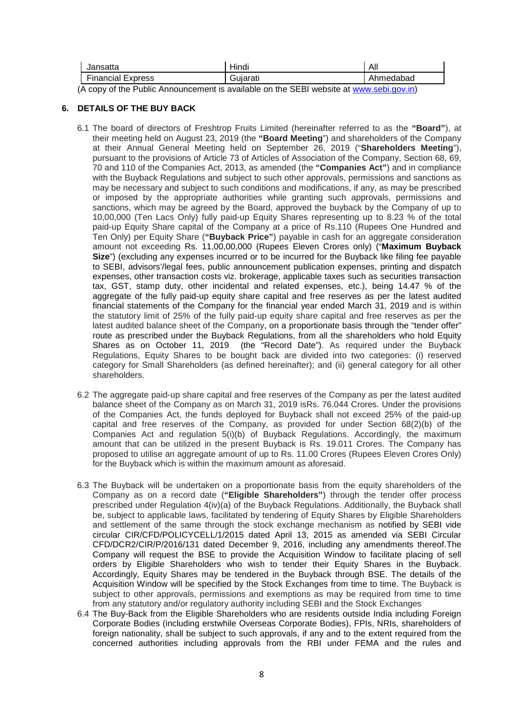| lansatta<br>Jai          | Hindi    | All       |
|--------------------------|----------|-----------|
| <b>Financial Express</b> | Guiarati | Ahmedabad |

(A copy of the Public Announcement is available on the SEBI website at [www.sebi.gov.in](http://www.sebi.gov.in/))

## **6. DETAILS OF THE BUY BACK**

- 6.1 The board of directors of Freshtrop Fruits Limited (hereinafter referred to as the **"Board"**), at their meeting held on August 23, 2019 (the **"Board Meeting**") and shareholders of the Company at their Annual General Meeting held on September 26, 2019 ("**Shareholders Meeting**"), pursuant to the provisions of Article 73 of Articles of Association of the Company, Section 68, 69, 70 and 110 of the Companies Act, 2013, as amended (the **"Companies Act"**) and in compliance with the Buyback Regulations and subject to such other approvals, permissions and sanctions as may be necessary and subject to such conditions and modifications, if any, as may be prescribed or imposed by the appropriate authorities while granting such approvals, permissions and sanctions, which may be agreed by the Board, approved the buyback by the Company of up to 10,00,000 (Ten Lacs Only) fully paid-up Equity Shares representing up to 8.23 % of the total paid-up Equity Share capital of the Company at a price of Rs.110 (Rupees One Hundred and Ten Only) per Equity Share (**"Buyback Price"**) payable in cash for an aggregate consideration amount not exceeding Rs. 11,00,00,000 (Rupees Eleven Crores only) ("**Maximum Buyback Size**") (excluding any expenses incurred or to be incurred for the Buyback like filing fee payable to SEBI, advisors'/legal fees, public announcement publication expenses, printing and dispatch expenses, other transaction costs viz. brokerage, applicable taxes such as securities transaction tax, GST, stamp duty, other incidental and related expenses, etc.), being 14.47 % of the aggregate of the fully paid-up equity share capital and free reserves as per the latest audited financial statements of the Company for the financial year ended March 31, 2019 and is within the statutory limit of 25% of the fully paid-up equity share capital and free reserves as per the latest audited balance sheet of the Company, on a proportionate basis through the "tender offer" route as prescribed under the Buyback Regulations, from all the shareholders who hold Equity Shares as on October 11, 2019 (the "Record Date"). As required under the Buyback Regulations, Equity Shares to be bought back are divided into two categories: (i) reserved category for Small Shareholders (as defined hereinafter); and (ii) general category for all other shareholders.
- 6.2 The aggregate paid-up share capital and free reserves of the Company as per the latest audited balance sheet of the Company as on March 31, 2019 isRs. 76.044 Crores. Under the provisions of the Companies Act, the funds deployed for Buyback shall not exceed 25% of the paid-up capital and free reserves of the Company, as provided for under Section 68(2)(b) of the Companies Act and regulation 5(i)(b) of Buyback Regulations. Accordingly, the maximum amount that can be utilized in the present Buyback is Rs. 19.011 Crores. The Company has proposed to utilise an aggregate amount of up to Rs. 11.00 Crores (Rupees Eleven Crores Only) for the Buyback which is within the maximum amount as aforesaid.
- 6.3 The Buyback will be undertaken on a proportionate basis from the equity shareholders of the Company as on a record date (**"Eligible Shareholders"**) through the tender offer process prescribed under Regulation 4(iv)(a) of the Buyback Regulations. Additionally, the Buyback shall be, subject to applicable laws, facilitated by tendering of Equity Shares by Eligible Shareholders and settlement of the same through the stock exchange mechanism as notified by SEBI vide circular CIR/CFD/POLICYCELL/1/2015 dated April 13, 2015 as amended via SEBI Circular CFD/DCR2/CIR/P/2016/131 dated December 9, 2016, including any amendments thereof.The Company will request the BSE to provide the Acquisition Window to facilitate placing of sell orders by Eligible Shareholders who wish to tender their Equity Shares in the Buyback. Accordingly, Equity Shares may be tendered in the Buyback through BSE. The details of the Acquisition Window will be specified by the Stock Exchanges from time to time. The Buyback is subject to other approvals, permissions and exemptions as may be required from time to time from any statutory and/or regulatory authority including SEBI and the Stock Exchanges
- 6.4 The Buy-Back from the Eligible Shareholders who are residents outside India including Foreign Corporate Bodies (including erstwhile Overseas Corporate Bodies), FPIs, NRIs, shareholders of foreign nationality, shall be subject to such approvals, if any and to the extent required from the concerned authorities including approvals from the RBI under FEMA and the rules and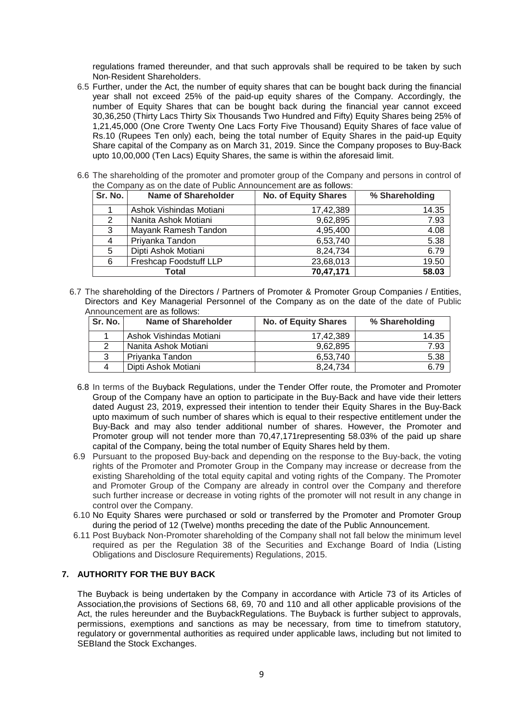regulations framed thereunder, and that such approvals shall be required to be taken by such Non‐Resident Shareholders.

- 6.5 Further, under the Act, the number of equity shares that can be bought back during the financial year shall not exceed 25% of the paid-up equity shares of the Company. Accordingly, the number of Equity Shares that can be bought back during the financial year cannot exceed 30,36,250 (Thirty Lacs Thirty Six Thousands Two Hundred and Fifty) Equity Shares being 25% of 1,21,45,000 (One Crore Twenty One Lacs Forty Five Thousand) Equity Shares of face value of Rs.10 (Rupees Ten only) each, being the total number of Equity Shares in the paid-up Equity Share capital of the Company as on March 31, 2019. Since the Company proposes to Buy-Back upto 10,00,000 (Ten Lacs) Equity Shares, the same is within the aforesaid limit.
- 6.6 The shareholding of the promoter and promoter group of the Company and persons in control of the Company as on the date of Public Announcement are as follows:

| Sr. No. | <b>Name of Shareholder</b> | <b>No. of Equity Shares</b> | % Shareholding |
|---------|----------------------------|-----------------------------|----------------|
|         | Ashok Vishindas Motiani    | 17,42,389                   | 14.35          |
| 2       | Nanita Ashok Motiani       | 9,62,895                    | 7.93           |
| 3       | Mayank Ramesh Tandon       | 4,95,400                    | 4.08           |
| 4       | Priyanka Tandon            | 6,53,740                    | 5.38           |
| 5       | Dipti Ashok Motiani        | 8,24,734                    | 6.79           |
| 6       | Freshcap Foodstuff LLP     | 23,68,013                   | 19.50          |
|         | Total                      | 70,47,171                   | 58.03          |

6.7 The shareholding of the Directors / Partners of Promoter & Promoter Group Companies / Entities, Directors and Key Managerial Personnel of the Company as on the date of the date of Public Announcement are as follows:

| Sr. No. | <b>Name of Shareholder</b> | <b>No. of Equity Shares</b> | % Shareholding |
|---------|----------------------------|-----------------------------|----------------|
|         | Ashok Vishindas Motiani    | 17.42.389                   | 14.35          |
|         | l Nanita Ashok Motiani.    | 9.62.895                    | 7.93           |
| 3       | Privanka Tandon            | 6.53.740                    | 5.38           |
|         | Dipti Ashok Motiani        | 8.24.734                    | 6.79           |

- 6.8 In terms of the Buyback Regulations, under the Tender Offer route, the Promoter and Promoter Group of the Company have an option to participate in the Buy-Back and have vide their letters dated August 23, 2019, expressed their intention to tender their Equity Shares in the Buy-Back upto maximum of such number of shares which is equal to their respective entitlement under the Buy-Back and may also tender additional number of shares. However, the Promoter and Promoter group will not tender more than 70,47,171representing 58.03% of the paid up share capital of the Company, being the total number of Equity Shares held by them.
- 6.9 Pursuant to the proposed Buy-back and depending on the response to the Buy-back, the voting rights of the Promoter and Promoter Group in the Company may increase or decrease from the existing Shareholding of the total equity capital and voting rights of the Company. The Promoter and Promoter Group of the Company are already in control over the Company and therefore such further increase or decrease in voting rights of the promoter will not result in any change in control over the Company.
- 6.10 No Equity Shares were purchased or sold or transferred by the Promoter and Promoter Group during the period of 12 (Twelve) months preceding the date of the Public Announcement.
- 6.11 Post Buyback Non-Promoter shareholding of the Company shall not fall below the minimum level required as per the Regulation 38 of the Securities and Exchange Board of India (Listing Obligations and Disclosure Requirements) Regulations, 2015.

## **7. AUTHORITY FOR THE BUY BACK**

The Buyback is being undertaken by the Company in accordance with Article 73 of its Articles of Association,the provisions of Sections 68, 69, 70 and 110 and all other applicable provisions of the Act, the rules hereunder and the BuybackRegulations. The Buyback is further subject to approvals, permissions, exemptions and sanctions as may be necessary, from time to timefrom statutory, regulatory or governmental authorities as required under applicable laws, including but not limited to SEBIand the Stock Exchanges.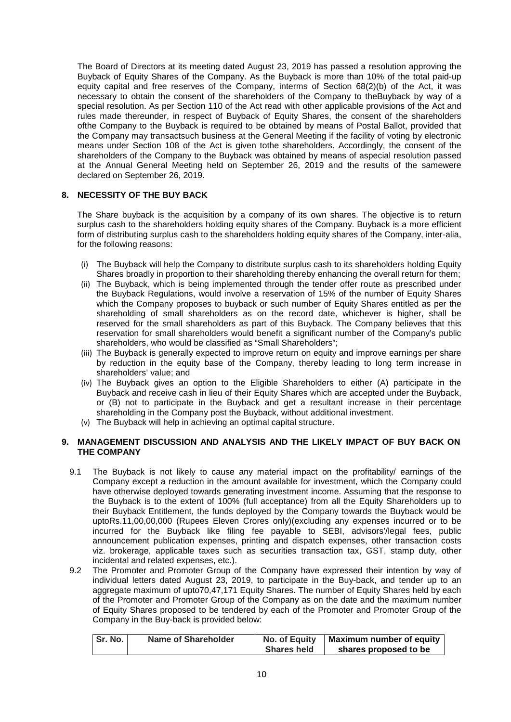The Board of Directors at its meeting dated August 23, 2019 has passed a resolution approving the Buyback of Equity Shares of the Company. As the Buyback is more than 10% of the total paid-up equity capital and free reserves of the Company, interms of Section 68(2)(b) of the Act, it was necessary to obtain the consent of the shareholders of the Company to theBuyback by way of a special resolution. As per Section 110 of the Act read with other applicable provisions of the Act and rules made thereunder, in respect of Buyback of Equity Shares, the consent of the shareholders ofthe Company to the Buyback is required to be obtained by means of Postal Ballot, provided that the Company may transactsuch business at the General Meeting if the facility of voting by electronic means under Section 108 of the Act is given tothe shareholders. Accordingly, the consent of the shareholders of the Company to the Buyback was obtained by means of aspecial resolution passed at the Annual General Meeting held on September 26, 2019 and the results of the samewere declared on September 26, 2019.

## **8. NECESSITY OF THE BUY BACK**

The Share buyback is the acquisition by a company of its own shares. The objective is to return surplus cash to the shareholders holding equity shares of the Company. Buyback is a more efficient form of distributing surplus cash to the shareholders holding equity shares of the Company, inter-alia, for the following reasons:

- (i) The Buyback will help the Company to distribute surplus cash to its shareholders holding Equity Shares broadly in proportion to their shareholding thereby enhancing the overall return for them;
- (ii) The Buyback, which is being implemented through the tender offer route as prescribed under the Buyback Regulations, would involve a reservation of 15% of the number of Equity Shares which the Company proposes to buyback or such number of Equity Shares entitled as per the shareholding of small shareholders as on the record date, whichever is higher, shall be reserved for the small shareholders as part of this Buyback. The Company believes that this reservation for small shareholders would benefit a significant number of the Company's public shareholders, who would be classified as "Small Shareholders";
- (iii) The Buyback is generally expected to improve return on equity and improve earnings per share by reduction in the equity base of the Company, thereby leading to long term increase in shareholders' value; and
- (iv) The Buyback gives an option to the Eligible Shareholders to either (A) participate in the Buyback and receive cash in lieu of their Equity Shares which are accepted under the Buyback, or (B) not to participate in the Buyback and get a resultant increase in their percentage shareholding in the Company post the Buyback, without additional investment.
- (v) The Buyback will help in achieving an optimal capital structure.

#### **9. MANAGEMENT DISCUSSION AND ANALYSIS AND THE LIKELY IMPACT OF BUY BACK ON THE COMPANY**

- 9.1 The Buyback is not likely to cause any material impact on the profitability/ earnings of the Company except a reduction in the amount available for investment, which the Company could have otherwise deployed towards generating investment income. Assuming that the response to the Buyback is to the extent of 100% (full acceptance) from all the Equity Shareholders up to their Buyback Entitlement, the funds deployed by the Company towards the Buyback would be uptoRs.11,00,00,000 (Rupees Eleven Crores only)(excluding any expenses incurred or to be incurred for the Buyback like filing fee payable to SEBI, advisors'/legal fees, public announcement publication expenses, printing and dispatch expenses, other transaction costs viz. brokerage, applicable taxes such as securities transaction tax, GST, stamp duty, other incidental and related expenses, etc.).
- 9.2 The Promoter and Promoter Group of the Company have expressed their intention by way of individual letters dated August 23, 2019, to participate in the Buy-back, and tender up to an aggregate maximum of upto70,47,171 Equity Shares. The number of Equity Shares held by each of the Promoter and Promoter Group of the Company as on the date and the maximum number of Equity Shares proposed to be tendered by each of the Promoter and Promoter Group of the Company in the Buy-back is provided below:

| Sr. No. | <b>Name of Shareholder</b> | No. of Equity      | Maximum number of equity |
|---------|----------------------------|--------------------|--------------------------|
|         |                            | <b>Shares held</b> | shares proposed to be    |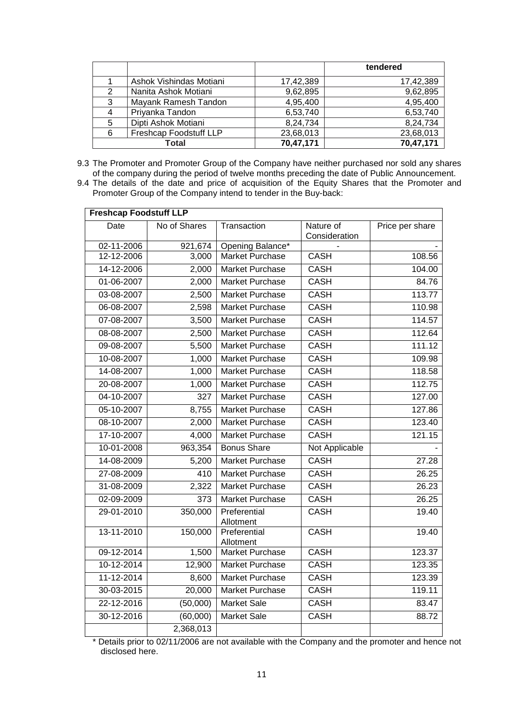|   |                         |           | tendered  |
|---|-------------------------|-----------|-----------|
|   | Ashok Vishindas Motiani | 17,42,389 | 17,42,389 |
| 2 | Nanita Ashok Motiani    | 9,62,895  | 9,62,895  |
| 3 | Mayank Ramesh Tandon    | 4,95,400  | 4,95,400  |
|   | Priyanka Tandon         | 6,53,740  | 6,53,740  |
| 5 | Dipti Ashok Motiani     | 8,24,734  | 8,24,734  |
| 6 | Freshcap Foodstuff LLP  | 23,68,013 | 23,68,013 |
|   | Total                   | 70,47,171 | 70,47,171 |

- 9.3 The Promoter and Promoter Group of the Company have neither purchased nor sold any shares of the company during the period of twelve months preceding the date of Public Announcement.
- 9.4 The details of the date and price of acquisition of the Equity Shares that the Promoter and Promoter Group of the Company intend to tender in the Buy-back:

| <b>Freshcap Foodstuff LLP</b> |              |                           |                            |                 |
|-------------------------------|--------------|---------------------------|----------------------------|-----------------|
| Date                          | No of Shares | Transaction               | Nature of<br>Consideration | Price per share |
| 02-11-2006                    | 921,674      | Opening Balance*          |                            |                 |
| 12-12-2006                    | 3,000        | <b>Market Purchase</b>    | <b>CASH</b>                | 108.56          |
| 14-12-2006                    | 2,000        | Market Purchase           | <b>CASH</b>                | 104.00          |
| 01-06-2007                    | 2,000        | Market Purchase           | <b>CASH</b>                | 84.76           |
| 03-08-2007                    | 2,500        | Market Purchase           | <b>CASH</b>                | 113.77          |
| 06-08-2007                    | 2,598        | Market Purchase           | <b>CASH</b>                | 110.98          |
| 07-08-2007                    | 3,500        | Market Purchase           | <b>CASH</b>                | 114.57          |
| 08-08-2007                    | 2,500        | Market Purchase           | <b>CASH</b>                | 112.64          |
| 09-08-2007                    | 5,500        | Market Purchase           | <b>CASH</b>                | 111.12          |
| 10-08-2007                    | 1,000        | Market Purchase           | <b>CASH</b>                | 109.98          |
| 14-08-2007                    | 1,000        | <b>Market Purchase</b>    | <b>CASH</b>                | 118.58          |
| 20-08-2007                    | 1,000        | Market Purchase           | <b>CASH</b>                | 112.75          |
| 04-10-2007                    | 327          | Market Purchase           | <b>CASH</b>                | 127.00          |
| 05-10-2007                    | 8,755        | Market Purchase           | <b>CASH</b>                | 127.86          |
| 08-10-2007                    | 2,000        | Market Purchase           | <b>CASH</b>                | 123.40          |
| 17-10-2007                    | 4,000        | Market Purchase           | <b>CASH</b>                | 121.15          |
| 10-01-2008                    | 963,354      | <b>Bonus Share</b>        | Not Applicable             |                 |
| 14-08-2009                    | 5,200        | Market Purchase           | <b>CASH</b>                | 27.28           |
| 27-08-2009                    | 410          | Market Purchase           | <b>CASH</b>                | 26.25           |
| 31-08-2009                    | 2,322        | Market Purchase           | <b>CASH</b>                | 26.23           |
| 02-09-2009                    | 373          | Market Purchase           | <b>CASH</b>                | 26.25           |
| 29-01-2010                    | 350,000      | Preferential<br>Allotment | <b>CASH</b>                | 19.40           |
| 13-11-2010                    | 150,000      | Preferential<br>Allotment | <b>CASH</b>                | 19.40           |
| 09-12-2014                    | 1,500        | <b>Market Purchase</b>    | <b>CASH</b>                | 123.37          |
| 10-12-2014                    | 12,900       | Market Purchase           | <b>CASH</b>                | 123.35          |
| 11-12-2014                    | 8,600        | Market Purchase           | <b>CASH</b>                | 123.39          |
| 30-03-2015                    | 20,000       | Market Purchase           | CASH                       | 119.11          |
| 22-12-2016                    | (50,000)     | <b>Market Sale</b>        | <b>CASH</b>                | 83.47           |
| 30-12-2016                    | (60,000)     | Market Sale               | <b>CASH</b>                | 88.72           |
|                               | 2,368,013    |                           |                            |                 |

\* Details prior to 02/11/2006 are not available with the Company and the promoter and hence not disclosed here.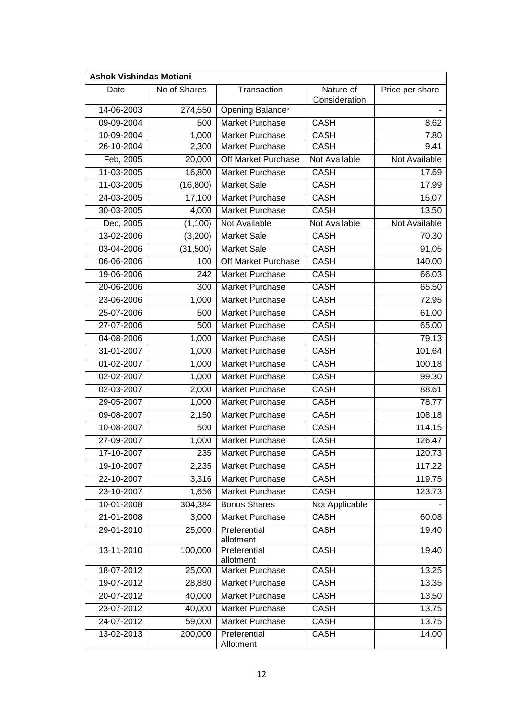| <b>Ashok Vishindas Motiani</b> |              |                           |                            |                     |
|--------------------------------|--------------|---------------------------|----------------------------|---------------------|
| Date                           | No of Shares | Transaction               | Nature of<br>Consideration | Price per share     |
| 14-06-2003                     | 274,550      | Opening Balance*          |                            |                     |
| 09-09-2004                     | 500          | Market Purchase           | <b>CASH</b>                | 8.62                |
| 10-09-2004                     | 1,000        | Market Purchase           | <b>CASH</b>                | 7.80                |
| 26-10-2004                     | 2,300        | Market Purchase           | <b>CASH</b>                | 9.41                |
| Feb, 2005                      | 20,000       | Off Market Purchase       | Not Available              | Not Available       |
| 11-03-2005                     | 16,800       | Market Purchase           | <b>CASH</b>                | 17.69               |
| 11-03-2005                     | (16, 800)    | <b>Market Sale</b>        | <b>CASH</b>                | 17.99               |
| 24-03-2005                     | 17,100       | Market Purchase           | <b>CASH</b>                | 15.07               |
| 30-03-2005                     | 4,000        | Market Purchase           | <b>CASH</b>                | 13.50               |
| Dec, 2005                      | (1, 100)     | Not Available             | Not Available              | Not Available       |
| 13-02-2006                     | (3,200)      | <b>Market Sale</b>        | <b>CASH</b>                | 70.30               |
| 03-04-2006                     | (31,500)     | <b>Market Sale</b>        | <b>CASH</b>                | 91.05               |
| 06-06-2006                     | 100          | Off Market Purchase       | <b>CASH</b>                | 140.00              |
| 19-06-2006                     | 242          | Market Purchase           | <b>CASH</b>                | 66.03               |
| 20-06-2006                     | 300          | Market Purchase           | <b>CASH</b>                | 65.50               |
| 23-06-2006                     | 1,000        | Market Purchase           | CASH                       | 72.95               |
| 25-07-2006                     | 500          | Market Purchase           | <b>CASH</b>                | 61.00               |
| 27-07-2006                     | 500          | Market Purchase           | <b>CASH</b>                | 65.00               |
| 04-08-2006                     | 1,000        | Market Purchase           | <b>CASH</b>                | 79.13               |
| 31-01-2007                     | 1,000        | Market Purchase           | <b>CASH</b>                | 101.64              |
| 01-02-2007                     | 1,000        | Market Purchase           | <b>CASH</b>                | 100.18              |
| 02-02-2007                     | 1,000        | Market Purchase           | <b>CASH</b>                | 99.30               |
| 02-03-2007                     | 2,000        | Market Purchase           | <b>CASH</b>                | 88.61               |
| 29-05-2007                     | 1,000        | Market Purchase           | <b>CASH</b>                | 78.77               |
| 09-08-2007                     | 2,150        | Market Purchase           | <b>CASH</b>                | 108.18              |
| 10-08-2007                     | 500          | Market Purchase           | <b>CASH</b>                | 114.15              |
| 27-09-2007                     | 1,000        | Market Purchase           | <b>CASH</b>                | 126.47              |
| 17-10-2007                     | 235          | Market Purchase           | <b>CASH</b>                | 120.73              |
| 19-10-2007                     | 2,235        | Market Purchase           | CASH                       | 117.22              |
| 22-10-2007                     | 3,316        | Market Purchase           | <b>CASH</b>                | 119.75              |
| 23-10-2007                     | 1,656        | Market Purchase           | <b>CASH</b>                | $\overline{123}.73$ |
| 10-01-2008                     | 304,384      | <b>Bonus Shares</b>       | Not Applicable             |                     |
| 21-01-2008                     | 3,000        | Market Purchase           | <b>CASH</b>                | 60.08               |
| 29-01-2010                     | 25,000       | Preferential<br>allotment | <b>CASH</b>                | 19.40               |
| 13-11-2010                     | 100,000      | Preferential<br>allotment | <b>CASH</b>                | 19.40               |
| 18-07-2012                     | 25,000       | Market Purchase           | CASH                       | 13.25               |
| 19-07-2012                     | 28,880       | Market Purchase           | <b>CASH</b>                | 13.35               |
| 20-07-2012                     | 40,000       | Market Purchase           | <b>CASH</b>                | 13.50               |
| 23-07-2012                     | 40,000       | Market Purchase           | <b>CASH</b>                | 13.75               |
| 24-07-2012                     | 59,000       | Market Purchase           | <b>CASH</b>                | 13.75               |
| 13-02-2013                     | 200,000      | Preferential<br>Allotment | <b>CASH</b>                | 14.00               |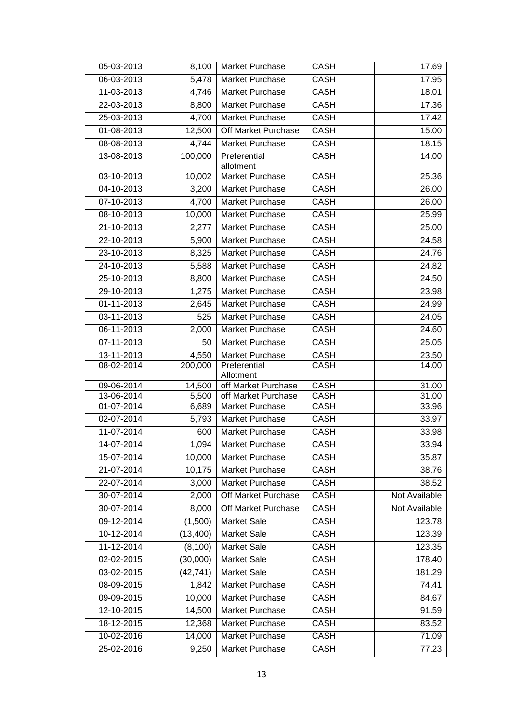| 05-03-2013               | 8,100     | Market Purchase           | <b>CASH</b> | 17.69         |
|--------------------------|-----------|---------------------------|-------------|---------------|
| 06-03-2013               | 5,478     | Market Purchase           | CASH        | 17.95         |
| 11-03-2013               | 4,746     | Market Purchase           | CASH        | 18.01         |
| 22-03-2013               | 8,800     | Market Purchase           | <b>CASH</b> | 17.36         |
| 25-03-2013               | 4,700     | Market Purchase           | <b>CASH</b> | 17.42         |
| 01-08-2013               | 12,500    | Off Market Purchase       | <b>CASH</b> | 15.00         |
| 08-08-2013               | 4,744     | Market Purchase           | <b>CASH</b> | 18.15         |
| 13-08-2013               | 100,000   | Preferential              | <b>CASH</b> | 14.00         |
|                          |           | allotment                 |             |               |
| 03-10-2013               | 10,002    | Market Purchase           | <b>CASH</b> | 25.36         |
| 04-10-2013               | 3,200     | Market Purchase           | <b>CASH</b> | 26.00         |
| 07-10-2013               | 4,700     | Market Purchase           | <b>CASH</b> | 26.00         |
| 08-10-2013               | 10,000    | Market Purchase           | <b>CASH</b> | 25.99         |
| 21-10-2013               | 2,277     | Market Purchase           | <b>CASH</b> | 25.00         |
| 22-10-2013               | 5,900     | Market Purchase           | CASH        | 24.58         |
| 23-10-2013               | 8,325     | Market Purchase           | <b>CASH</b> | 24.76         |
| 24-10-2013               | 5,588     | Market Purchase           | <b>CASH</b> | 24.82         |
| 25-10-2013               | 8,800     | Market Purchase           | <b>CASH</b> | 24.50         |
| 29-10-2013               | 1,275     | Market Purchase           | <b>CASH</b> | 23.98         |
| 01-11-2013               | 2,645     | Market Purchase           | <b>CASH</b> | 24.99         |
| 03-11-2013               | 525       | Market Purchase           | <b>CASH</b> | 24.05         |
| 06-11-2013               | 2,000     | Market Purchase           | <b>CASH</b> | 24.60         |
| 07-11-2013               | 50        | Market Purchase           | <b>CASH</b> | 25.05         |
| 13-11-2013               | 4,550     | Market Purchase           | <b>CASH</b> | 23.50         |
| 08-02-2014               | 200,000   | Preferential<br>Allotment | <b>CASH</b> | 14.00         |
| 09-06-2014               | 14,500    | off Market Purchase       | <b>CASH</b> | 31.00         |
| 13-06-2014               | 5,500     | off Market Purchase       | <b>CASH</b> | 31.00         |
| 01-07-2014               | 6,689     | Market Purchase           | <b>CASH</b> | 33.96         |
| 02-07-2014               | 5,793     | Market Purchase           | <b>CASH</b> | 33.97         |
| 11-07-2014               | 600       | Market Purchase           | <b>CASH</b> | 33.98         |
| 14-07-2014               | 1,094     | <b>Market Purchase</b>    | <b>CASH</b> | 33.94         |
| 15-07-2014               | 10,000    | Market Purchase           | <b>CASH</b> | 35.87         |
| 21-07-2014               | 10,175    | Market Purchase           | <b>CASH</b> | 38.76         |
| 22-07-2014               | 3,000     | Market Purchase           | <b>CASH</b> | 38.52         |
| 30-07-2014               | 2,000     | Off Market Purchase       | <b>CASH</b> | Not Available |
| 30-07-2014               | 8,000     | Off Market Purchase       | <b>CASH</b> | Not Available |
| 09-12-2014               | (1,500)   | <b>Market Sale</b>        | <b>CASH</b> | 123.78        |
| 10-12-2014               | (13, 400) | <b>Market Sale</b>        | <b>CASH</b> | 123.39        |
| 11-12-2014               | (8, 100)  | <b>Market Sale</b>        | <b>CASH</b> | 123.35        |
| $\overline{0}$ 2-02-2015 | (30,000)  | Market Sale               | <b>CASH</b> | 178.40        |
| 03-02-2015               | (42, 741) | <b>Market Sale</b>        | <b>CASH</b> | 181.29        |
| 08-09-2015               | 1,842     | Market Purchase           | CASH        | 74.41         |
| 09-09-2015               | 10,000    | Market Purchase           | CASH        | 84.67         |
| 12-10-2015               | 14,500    | Market Purchase           | <b>CASH</b> | 91.59         |
| 18-12-2015               | 12,368    | Market Purchase           | <b>CASH</b> | 83.52         |
| 10-02-2016               | 14,000    | Market Purchase           | <b>CASH</b> | 71.09         |
| 25-02-2016               | 9,250     | Market Purchase           | <b>CASH</b> | 77.23         |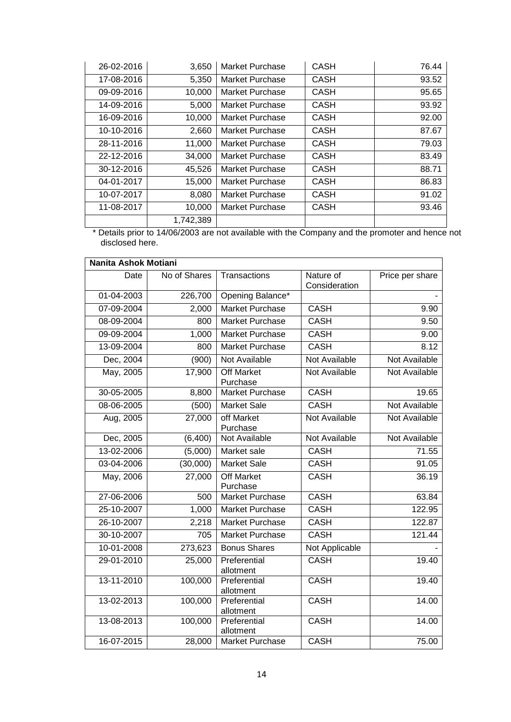| 26-02-2016 | 3,650     | <b>Market Purchase</b> | CASH        | 76.44 |
|------------|-----------|------------------------|-------------|-------|
| 17-08-2016 | 5,350     | <b>Market Purchase</b> | <b>CASH</b> | 93.52 |
| 09-09-2016 | 10,000    | Market Purchase        | <b>CASH</b> | 95.65 |
| 14-09-2016 | 5,000     | Market Purchase        | <b>CASH</b> | 93.92 |
| 16-09-2016 | 10,000    | Market Purchase        | <b>CASH</b> | 92.00 |
| 10-10-2016 | 2,660     | Market Purchase        | <b>CASH</b> | 87.67 |
| 28-11-2016 | 11,000    | Market Purchase        | <b>CASH</b> | 79.03 |
| 22-12-2016 | 34,000    | Market Purchase        | <b>CASH</b> | 83.49 |
| 30-12-2016 | 45,526    | Market Purchase        | <b>CASH</b> | 88.71 |
| 04-01-2017 | 15,000    | Market Purchase        | CASH        | 86.83 |
| 10-07-2017 | 8,080     | Market Purchase        | <b>CASH</b> | 91.02 |
| 11-08-2017 | 10,000    | Market Purchase        | <b>CASH</b> | 93.46 |
|            | 1,742,389 |                        |             |       |

\* Details prior to 14/06/2003 are not available with the Company and the promoter and hence not disclosed here.

| Nanita Ashok Motiani |              |                               |                            |                      |
|----------------------|--------------|-------------------------------|----------------------------|----------------------|
| Date                 | No of Shares | Transactions                  | Nature of<br>Consideration | Price per share      |
| 01-04-2003           | 226,700      | Opening Balance*              |                            |                      |
| 07-09-2004           | 2,000        | <b>Market Purchase</b>        | <b>CASH</b>                | 9.90                 |
| 08-09-2004           | 800          | Market Purchase               | <b>CASH</b>                | 9.50                 |
| 09-09-2004           | 1,000        | <b>Market Purchase</b>        | <b>CASH</b>                | 9.00                 |
| 13-09-2004           | 800          | Market Purchase               | <b>CASH</b>                | 8.12                 |
| Dec, 2004            | (900)        | Not Available                 | Not Available              | <b>Not Available</b> |
| May, 2005            | 17,900       | <b>Off Market</b><br>Purchase | Not Available              | <b>Not Available</b> |
| 30-05-2005           | 8,800        | <b>Market Purchase</b>        | <b>CASH</b>                | 19.65                |
| 08-06-2005           | (500)        | <b>Market Sale</b>            | <b>CASH</b>                | Not Available        |
| Aug, 2005            | 27,000       | off Market<br>Purchase        | Not Available              | <b>Not Available</b> |
| Dec, 2005            | (6,400)      | Not Available                 | Not Available              | Not Available        |
| 13-02-2006           | (5,000)      | Market sale                   | <b>CASH</b>                | 71.55                |
| 03-04-2006           | (30,000)     | <b>Market Sale</b>            | CASH                       | 91.05                |
| May, 2006            | 27,000       | <b>Off Market</b><br>Purchase | <b>CASH</b>                | 36.19                |
| 27-06-2006           | 500          | Market Purchase               | <b>CASH</b>                | 63.84                |
| 25-10-2007           | 1,000        | Market Purchase               | <b>CASH</b>                | 122.95               |
| 26-10-2007           | 2,218        | Market Purchase               | <b>CASH</b>                | 122.87               |
| 30-10-2007           | 705          | Market Purchase               | <b>CASH</b>                | 121.44               |
| 10-01-2008           | 273,623      | <b>Bonus Shares</b>           | Not Applicable             |                      |
| 29-01-2010           | 25,000       | Preferential<br>allotment     | <b>CASH</b>                | 19.40                |
| 13-11-2010           | 100,000      | Preferential<br>allotment     | <b>CASH</b>                | 19.40                |
| 13-02-2013           | 100,000      | Preferential<br>allotment     | <b>CASH</b>                | 14.00                |
| 13-08-2013           | 100,000      | Preferential<br>allotment     | <b>CASH</b>                | 14.00                |
| 16-07-2015           | 28,000       | <b>Market Purchase</b>        | <b>CASH</b>                | 75.00                |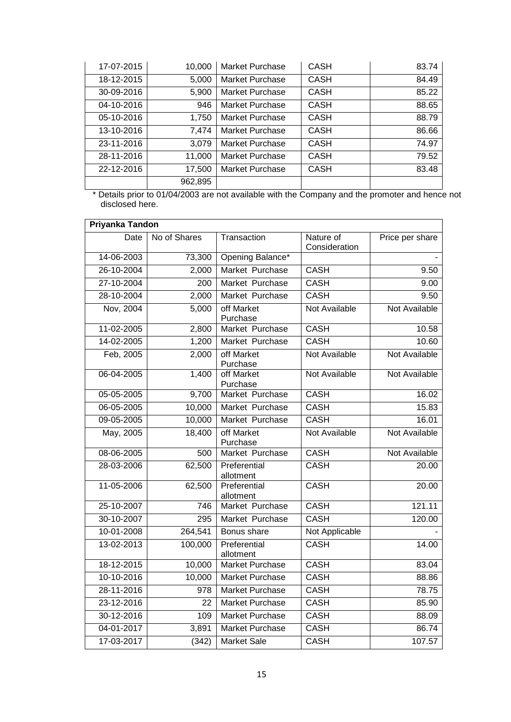| 17-07-2015 | 10,000  | Market Purchase | <b>CASH</b> | 83.74 |
|------------|---------|-----------------|-------------|-------|
| 18-12-2015 | 5,000   | Market Purchase | <b>CASH</b> | 84.49 |
| 30-09-2016 | 5,900   | Market Purchase | <b>CASH</b> | 85.22 |
| 04-10-2016 | 946     | Market Purchase | <b>CASH</b> | 88.65 |
| 05-10-2016 | 1,750   | Market Purchase | <b>CASH</b> | 88.79 |
| 13-10-2016 | 7,474   | Market Purchase | <b>CASH</b> | 86.66 |
| 23-11-2016 | 3.079   | Market Purchase | <b>CASH</b> | 74.97 |
| 28-11-2016 | 11,000  | Market Purchase | <b>CASH</b> | 79.52 |
| 22-12-2016 | 17,500  | Market Purchase | <b>CASH</b> | 83.48 |
|            | 962,895 |                 |             |       |

\* Details prior to 01/04/2003 are not available with the Company and the promoter and hence not disclosed here.

| Priyanka Tandon  |              |                           |                            |                 |
|------------------|--------------|---------------------------|----------------------------|-----------------|
| Date             | No of Shares | Transaction               | Nature of<br>Consideration | Price per share |
| 14-06-2003       | 73,300       | Opening Balance*          |                            |                 |
| 26-10-2004       | 2,000        | Market Purchase           | <b>CASH</b>                | 9.50            |
| $27 - 10 - 2004$ | 200          | Market Purchase           | <b>CASH</b>                | 9.00            |
| 28-10-2004       | 2,000        | Market Purchase           | <b>CASH</b>                | 9.50            |
| Nov, 2004        | 5,000        | off Market<br>Purchase    | Not Available              | Not Available   |
| 11-02-2005       | 2,800        | Market Purchase           | <b>CASH</b>                | 10.58           |
| 14-02-2005       | 1,200        | Market Purchase           | <b>CASH</b>                | 10.60           |
| Feb, 2005        | 2,000        | off Market<br>Purchase    | Not Available              | Not Available   |
| 06-04-2005       | 1,400        | off Market<br>Purchase    | <b>Not Available</b>       | Not Available   |
| 05-05-2005       | 9,700        | Market Purchase           | <b>CASH</b>                | 16.02           |
| 06-05-2005       | 10,000       | Market Purchase           | <b>CASH</b>                | 15.83           |
| 09-05-2005       | 10,000       | Market Purchase           | <b>CASH</b>                | 16.01           |
| May, 2005        | 18,400       | off Market<br>Purchase    | Not Available              | Not Available   |
| 08-06-2005       | 500          | Market Purchase           | <b>CASH</b>                | Not Available   |
| 28-03-2006       | 62,500       | Preferential<br>allotment | <b>CASH</b>                | 20.00           |
| 11-05-2006       | 62,500       | Preferential<br>allotment | <b>CASH</b>                | 20.00           |
| 25-10-2007       | 746          | Market Purchase           | <b>CASH</b>                | 121.11          |
| 30-10-2007       | 295          | Market Purchase           | CASH                       | 120.00          |
| 10-01-2008       | 264,541      | Bonus share               | Not Applicable             |                 |
| 13-02-2013       | 100,000      | Preferential<br>allotment | <b>CASH</b>                | 14.00           |
| 18-12-2015       | 10,000       | Market Purchase           | <b>CASH</b>                | 83.04           |
| 10-10-2016       | 10,000       | <b>Market Purchase</b>    | <b>CASH</b>                | 88.86           |
| 28-11-2016       | 978          | <b>Market Purchase</b>    | <b>CASH</b>                | 78.75           |
| 23-12-2016       | 22           | <b>Market Purchase</b>    | <b>CASH</b>                | 85.90           |
| 30-12-2016       | 109          | Market Purchase           | <b>CASH</b>                | 88.09           |
| 04-01-2017       | 3,891        | <b>Market Purchase</b>    | <b>CASH</b>                | 86.74           |
| 17-03-2017       | (342)        | <b>Market Sale</b>        | <b>CASH</b>                | 107.57          |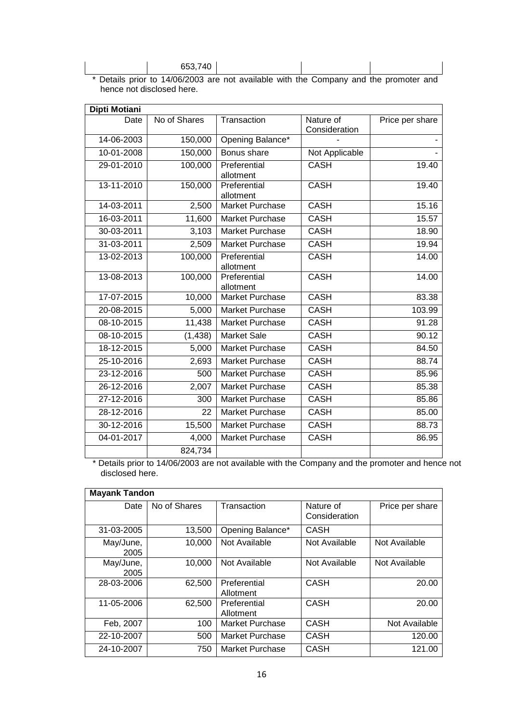|        | . | -- | . |  |
|--------|---|----|---|--|
| 552740 |   |    |   |  |

\* Details prior to 14/06/2003 are not available with the Company and the promoter and hence not disclosed here.

| Dipti Motiani    |              |                           |                            |                 |
|------------------|--------------|---------------------------|----------------------------|-----------------|
| Date             | No of Shares | Transaction               | Nature of<br>Consideration | Price per share |
| 14-06-2003       | 150,000      | Opening Balance*          |                            |                 |
| 10-01-2008       | 150,000      | Bonus share               | Not Applicable             |                 |
| 29-01-2010       | 100,000      | Preferential<br>allotment | <b>CASH</b>                | 19.40           |
| 13-11-2010       | 150,000      | Preferential<br>allotment | <b>CASH</b>                | 19.40           |
| 14-03-2011       | 2,500        | Market Purchase           | <b>CASH</b>                | 15.16           |
| 16-03-2011       | 11,600       | Market Purchase           | <b>CASH</b>                | 15.57           |
| 30-03-2011       | 3,103        | Market Purchase           | <b>CASH</b>                | 18.90           |
| 31-03-2011       | 2,509        | Market Purchase           | <b>CASH</b>                | 19.94           |
| 13-02-2013       | 100,000      | Preferential<br>allotment | <b>CASH</b>                | 14.00           |
| 13-08-2013       | 100,000      | Preferential<br>allotment | <b>CASH</b>                | 14.00           |
| 17-07-2015       | 10,000       | Market Purchase           | <b>CASH</b>                | 83.38           |
| 20-08-2015       | 5,000        | Market Purchase           | <b>CASH</b>                | 103.99          |
| 08-10-2015       | 11,438       | Market Purchase           | <b>CASH</b>                | 91.28           |
| 08-10-2015       | (1, 438)     | <b>Market Sale</b>        | <b>CASH</b>                | 90.12           |
| 18-12-2015       | 5,000        | Market Purchase           | <b>CASH</b>                | 84.50           |
| 25-10-2016       | 2,693        | Market Purchase           | <b>CASH</b>                | 88.74           |
| 23-12-2016       | 500          | Market Purchase           | <b>CASH</b>                | 85.96           |
| 26-12-2016       | 2,007        | Market Purchase           | <b>CASH</b>                | 85.38           |
| 27-12-2016       | 300          | <b>Market Purchase</b>    | <b>CASH</b>                | 85.86           |
| 28-12-2016       | 22           | Market Purchase           | <b>CASH</b>                | 85.00           |
| 30-12-2016       | 15,500       | Market Purchase           | <b>CASH</b>                | 88.73           |
| $04 - 01 - 2017$ | 4,000        | Market Purchase           | <b>CASH</b>                | 86.95           |
|                  | 824,734      |                           |                            |                 |

\* Details prior to 14/06/2003 are not available with the Company and the promoter and hence not disclosed here.

| <b>Mayank Tandon</b> |              |                           |                            |                 |
|----------------------|--------------|---------------------------|----------------------------|-----------------|
| Date                 | No of Shares | Transaction               | Nature of<br>Consideration | Price per share |
| 31-03-2005           | 13,500       | Opening Balance*          | <b>CASH</b>                |                 |
| May/June,<br>2005    | 10,000       | Not Available             | Not Available              | Not Available   |
| May/June,<br>2005    | 10,000       | Not Available             | Not Available              | Not Available   |
| 28-03-2006           | 62,500       | Preferential<br>Allotment | <b>CASH</b>                | 20.00           |
| 11-05-2006           | 62.500       | Preferential<br>Allotment | CASH                       | 20.00           |
| Feb, 2007            | 100          | Market Purchase           | <b>CASH</b>                | Not Available   |
| 22-10-2007           | 500          | Market Purchase           | <b>CASH</b>                | 120.00          |
| 24-10-2007           | 750          | Market Purchase           | <b>CASH</b>                | 121.00          |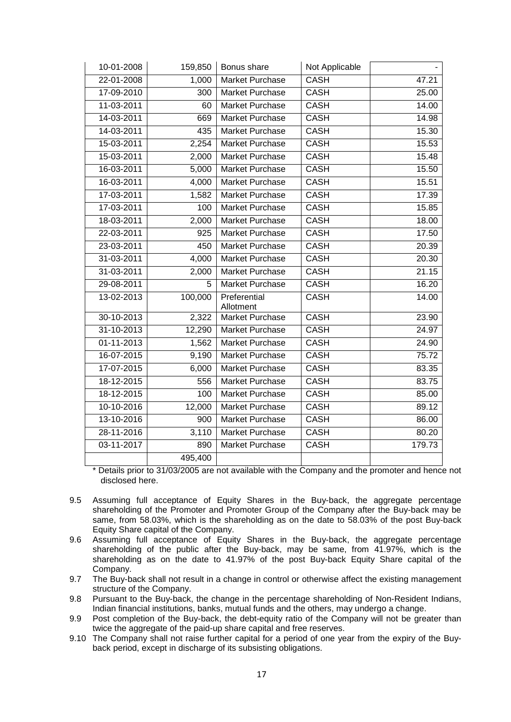| 10-01-2008       | 159,850 | Bonus share            | Not Applicable |        |
|------------------|---------|------------------------|----------------|--------|
| 22-01-2008       | 1,000   | Market Purchase        | <b>CASH</b>    | 47.21  |
| 17-09-2010       | 300     | Market Purchase        | <b>CASH</b>    | 25.00  |
| 11-03-2011       | 60      | Market Purchase        | <b>CASH</b>    | 14.00  |
| 14-03-2011       | 669     | Market Purchase        | <b>CASH</b>    | 14.98  |
| 14-03-2011       | 435     | Market Purchase        | <b>CASH</b>    | 15.30  |
| 15-03-2011       | 2,254   | Market Purchase        | <b>CASH</b>    | 15.53  |
| 15-03-2011       | 2,000   | Market Purchase        | <b>CASH</b>    | 15.48  |
| 16-03-2011       | 5,000   | Market Purchase        | <b>CASH</b>    | 15.50  |
| 16-03-2011       | 4,000   | Market Purchase        | <b>CASH</b>    | 15.51  |
| 17-03-2011       | 1,582   | Market Purchase        | <b>CASH</b>    | 17.39  |
| 17-03-2011       | 100     | Market Purchase        | <b>CASH</b>    | 15.85  |
| 18-03-2011       | 2,000   | Market Purchase        | <b>CASH</b>    | 18.00  |
| 22-03-2011       | 925     | Market Purchase        | <b>CASH</b>    | 17.50  |
| 23-03-2011       | 450     | Market Purchase        | <b>CASH</b>    | 20.39  |
| 31-03-2011       | 4,000   | Market Purchase        | <b>CASH</b>    | 20.30  |
| 31-03-2011       | 2,000   | Market Purchase        | CASH           | 21.15  |
| 29-08-2011       | 5.      | Market Purchase        | <b>CASH</b>    | 16.20  |
| 13-02-2013       | 100,000 | Preferential           | <b>CASH</b>    | 14.00  |
|                  |         | Allotment              |                |        |
| 30-10-2013       | 2,322   | <b>Market Purchase</b> | <b>CASH</b>    | 23.90  |
| 31-10-2013       | 12,290  | Market Purchase        | <b>CASH</b>    | 24.97  |
| 01-11-2013       | 1,562   | Market Purchase        | <b>CASH</b>    | 24.90  |
| 16-07-2015       | 9,190   | Market Purchase        | <b>CASH</b>    | 75.72  |
| 17-07-2015       | 6,000   | Market Purchase        | <b>CASH</b>    | 83.35  |
| 18-12-2015       | 556     | Market Purchase        | <b>CASH</b>    | 83.75  |
| 18-12-2015       | 100     | Market Purchase        | <b>CASH</b>    | 85.00  |
| 10-10-2016       | 12,000  | Market Purchase        | <b>CASH</b>    | 89.12  |
| 13-10-2016       | 900     | Market Purchase        | <b>CASH</b>    | 86.00  |
| 28-11-2016       | 3,110   | Market Purchase        | <b>CASH</b>    | 80.20  |
| $03 - 11 - 2017$ | 890     | Market Purchase        | <b>CASH</b>    | 179.73 |
|                  | 495,400 |                        |                |        |

\* Details prior to 31/03/2005 are not available with the Company and the promoter and hence not disclosed here.

- 9.5 Assuming full acceptance of Equity Shares in the Buy-back, the aggregate percentage shareholding of the Promoter and Promoter Group of the Company after the Buy-back may be same, from 58.03%, which is the shareholding as on the date to 58.03% of the post Buy-back Equity Share capital of the Company.
- 9.6 Assuming full acceptance of Equity Shares in the Buy-back, the aggregate percentage shareholding of the public after the Buy-back, may be same, from 41.97%, which is the shareholding as on the date to 41.97% of the post Buy-back Equity Share capital of the Company.
- 9.7 The Buy-back shall not result in a change in control or otherwise affect the existing management structure of the Company.
- 9.8 Pursuant to the Buy-back, the change in the percentage shareholding of Non-Resident Indians, Indian financial institutions, banks, mutual funds and the others, may undergo a change.
- 9.9 Post completion of the Buy-back, the debt-equity ratio of the Company will not be greater than twice the aggregate of the paid-up share capital and free reserves.
- 9.10 The Company shall not raise further capital for a period of one year from the expiry of the Buyback period, except in discharge of its subsisting obligations.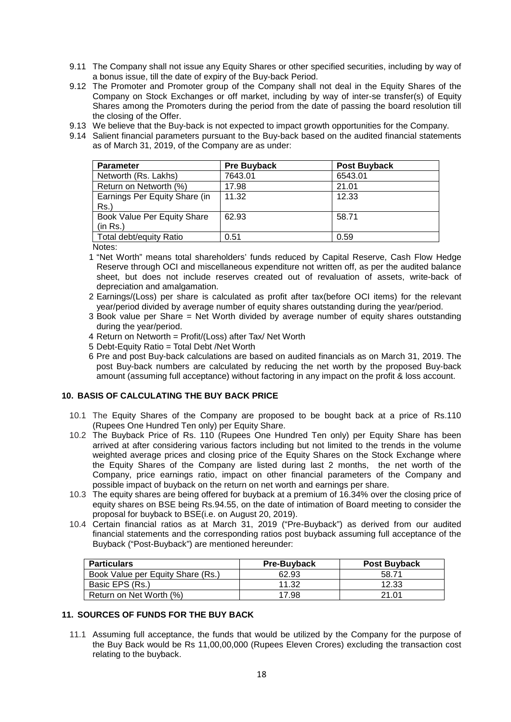- 9.11 The Company shall not issue any Equity Shares or other specified securities, including by way of a bonus issue, till the date of expiry of the Buy-back Period.
- 9.12 The Promoter and Promoter group of the Company shall not deal in the Equity Shares of the Company on Stock Exchanges or off market, including by way of inter-se transfer(s) of Equity Shares among the Promoters during the period from the date of passing the board resolution till the closing of the Offer.
- 9.13 We believe that the Buy-back is not expected to impact growth opportunities for the Company.
- 9.14 Salient financial parameters pursuant to the Buy-back based on the audited financial statements as of March 31, 2019, of the Company are as under:

| <b>Parameter</b>                         | <b>Pre Buyback</b> | <b>Post Buyback</b> |
|------------------------------------------|--------------------|---------------------|
| Networth (Rs. Lakhs)                     | 7643.01            | 6543.01             |
| Return on Networth (%)                   | 17.98              | 21.01               |
| Earnings Per Equity Share (in<br>$Rs.$ ) | 11.32              | 12.33               |
| Book Value Per Equity Share<br>(in Rs.)  | 62.93              | 58.71               |
| Total debt/equity Ratio                  | 0.51               | 0.59                |

Notes:

- 1 "Net Worth" means total shareholders' funds reduced by Capital Reserve, Cash Flow Hedge Reserve through OCI and miscellaneous expenditure not written off, as per the audited balance sheet, but does not include reserves created out of revaluation of assets, write-back of depreciation and amalgamation.
- 2 Earnings/(Loss) per share is calculated as profit after tax(before OCI items) for the relevant year/period divided by average number of equity shares outstanding during the year/period.
- 3 Book value per Share = Net Worth divided by average number of equity shares outstanding during the year/period.
- 4 Return on Networth = Profit/(Loss) after Tax/ Net Worth
- 5 Debt-Equity Ratio = Total Debt /Net Worth
- 6 Pre and post Buy-back calculations are based on audited financials as on March 31, 2019. The post Buy-back numbers are calculated by reducing the net worth by the proposed Buy-back amount (assuming full acceptance) without factoring in any impact on the profit & loss account.

## **10. BASIS OF CALCULATING THE BUY BACK PRICE**

- 10.1 The Equity Shares of the Company are proposed to be bought back at a price of Rs.110 (Rupees One Hundred Ten only) per Equity Share.
- 10.2 The Buyback Price of Rs. 110 (Rupees One Hundred Ten only) per Equity Share has been arrived at after considering various factors including but not limited to the trends in the volume weighted average prices and closing price of the Equity Shares on the Stock Exchange where the Equity Shares of the Company are listed during last 2 months, the net worth of the Company, price earnings ratio, impact on other financial parameters of the Company and possible impact of buyback on the return on net worth and earnings per share.
- 10.3 The equity shares are being offered for buyback at a premium of 16.34% over the closing price of equity shares on BSE being Rs.94.55, on the date of intimation of Board meeting to consider the proposal for buyback to BSE(i.e. on August 20, 2019).
- 10.4 Certain financial ratios as at March 31, 2019 ("Pre-Buyback") as derived from our audited financial statements and the corresponding ratios post buyback assuming full acceptance of the Buyback ("Post-Buyback") are mentioned hereunder:

| <b>Particulars</b>                | <b>Pre-Buyback</b> | <b>Post Buyback</b> |
|-----------------------------------|--------------------|---------------------|
| Book Value per Equity Share (Rs.) | 62.93              | 58.71               |
| Basic EPS (Rs.)                   | 11.32              | 12.33               |
| Return on Net Worth (%)           | 17.98              | 21 Q1               |

## **11. SOURCES OF FUNDS FOR THE BUY BACK**

11.1 Assuming full acceptance, the funds that would be utilized by the Company for the purpose of the Buy Back would be Rs 11,00,00,000 (Rupees Eleven Crores) excluding the transaction cost relating to the buyback.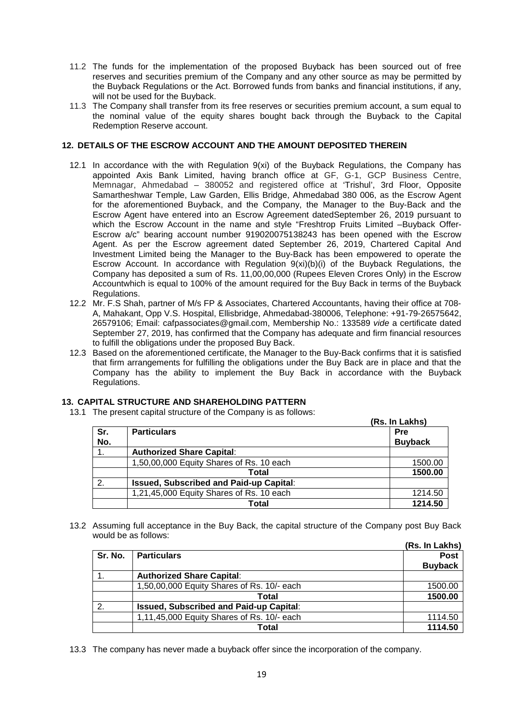- 11.2 The funds for the implementation of the proposed Buyback has been sourced out of free reserves and securities premium of the Company and any other source as may be permitted by the Buyback Regulations or the Act. Borrowed funds from banks and financial institutions, if any, will not be used for the Buyback.
- 11.3 The Company shall transfer from its free reserves or securities premium account, a sum equal to the nominal value of the equity shares bought back through the Buyback to the Capital Redemption Reserve account.

## **12. DETAILS OF THE ESCROW ACCOUNT AND THE AMOUNT DEPOSITED THEREIN**

- 12.1 In accordance with the with Regulation 9(xi) of the Buyback Regulations, the Company has appointed Axis Bank Limited, having branch office at GF, G-1, GCP Business Centre, Memnagar, Ahmedabad – 380052 and registered office at 'Trishul', 3rd Floor, Opposite Samartheshwar Temple, Law Garden, Ellis Bridge, Ahmedabad 380 006, as the Escrow Agent for the aforementioned Buyback, and the Company, the Manager to the Buy-Back and the Escrow Agent have entered into an Escrow Agreement datedSeptember 26, 2019 pursuant to which the Escrow Account in the name and style "Freshtrop Fruits Limited –Buyback Offer-Escrow a/c" bearing account number 919020075138243 has been opened with the Escrow Agent. As per the Escrow agreement dated September 26, 2019, Chartered Capital And Investment Limited being the Manager to the Buy-Back has been empowered to operate the Escrow Account. In accordance with Regulation 9(xi)(b)(i) of the Buyback Regulations, the Company has deposited a sum of Rs. 11,00,00,000 (Rupees Eleven Crores Only) in the Escrow Accountwhich is equal to 100% of the amount required for the Buy Back in terms of the Buyback Regulations.
- 12.2 Mr. F.S Shah, partner of M/s FP & Associates, Chartered Accountants, having their office at 708- A, Mahakant, Opp V.S. Hospital, Ellisbridge, Ahmedabad-380006, Telephone: +91-79-26575642, 26579106; Email: cafpassociates@gmail.com, Membership No.: 133589 *vide* a certificate dated September 27, 2019, has confirmed that the Company has adequate and firm financial resources to fulfill the obligations under the proposed Buy Back.
- 12.3 Based on the aforementioned certificate, the Manager to the Buy-Back confirms that it is satisfied that firm arrangements for fulfilling the obligations under the Buy Back are in place and that the Company has the ability to implement the Buy Back in accordance with the Buyback Regulations.

## **13. CAPITAL STRUCTURE AND SHAREHOLDING PATTERN**

13.1 The present capital structure of the Company is as follows:

|            | The present capital stracture or the Company is as follows: | (Rs. In Lakhs)               |
|------------|-------------------------------------------------------------|------------------------------|
| Sr.<br>No. | <b>Particulars</b>                                          | <b>Pre</b><br><b>Buyback</b> |
|            | <b>Authorized Share Capital:</b>                            |                              |
|            | 1,50,00,000 Equity Shares of Rs. 10 each                    | 1500.00                      |
|            | Total                                                       | 1500.00                      |
| 2.         | <b>Issued, Subscribed and Paid-up Capital:</b>              |                              |
|            | 1,21,45,000 Equity Shares of Rs. 10 each                    | 1214.50                      |
|            | Total                                                       | 1214.50                      |

13.2 Assuming full acceptance in the Buy Back, the capital structure of the Company post Buy Back would be as follows:

|              |                                                | (Rs. In Lakhs) |
|--------------|------------------------------------------------|----------------|
| Sr. No.      | <b>Particulars</b>                             | <b>Post</b>    |
|              |                                                | <b>Buyback</b> |
|              | <b>Authorized Share Capital:</b>               |                |
|              | 1,50,00,000 Equity Shares of Rs. 10/- each     | 1500.00        |
|              | Total                                          | 1500.00        |
| $\mathbf{2}$ | <b>Issued, Subscribed and Paid-up Capital:</b> |                |
|              | 1,11,45,000 Equity Shares of Rs. 10/- each     | 1114.50        |
|              | Total                                          | 1114.50        |

13.3 The company has never made a buyback offer since the incorporation of the company.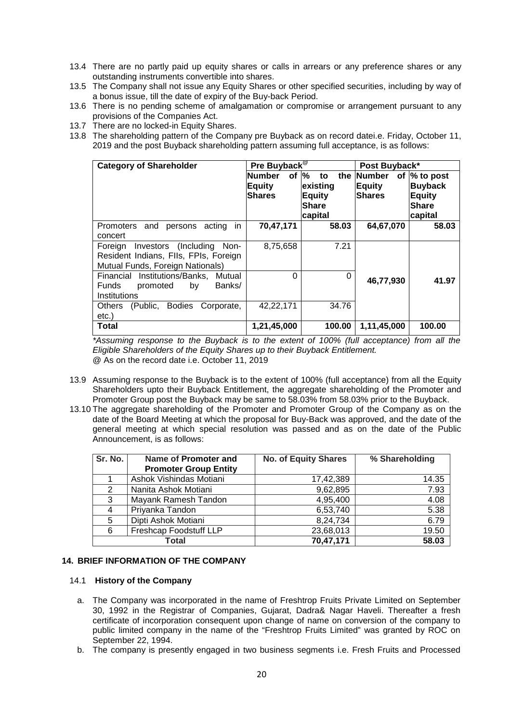- 13.4 There are no partly paid up equity shares or calls in arrears or any preference shares or any outstanding instruments convertible into shares.
- 13.5 The Company shall not issue any Equity Shares or other specified securities, including by way of a bonus issue, till the date of expiry of the Buy-back Period.
- 13.6 There is no pending scheme of amalgamation or compromise or arrangement pursuant to any provisions of the Companies Act.
- 13.7 There are no locked-in Equity Shares.
- 13.8 The shareholding pattern of the Company pre Buyback as on record datei.e. Friday, October 11, 2019 and the post Buyback shareholding pattern assuming full acceptance, is as follows:

| <b>Category of Shareholder</b>                      | Pre Buyback <sup>®</sup>          |                               | Post Buyback* |                        |
|-----------------------------------------------------|-----------------------------------|-------------------------------|---------------|------------------------|
|                                                     | <b>Number</b><br>of $\frac{1}{6}$ | to                            | the Number    | of % to post           |
|                                                     | <b>Equity</b>                     | existing                      | <b>Equity</b> | <b>Buyback</b>         |
|                                                     | <b>Shares</b>                     | <b>Equity</b><br><b>Share</b> | <b>Shares</b> | Equity<br><b>Share</b> |
|                                                     |                                   | capital                       |               | capital                |
| acting<br>in.<br><b>Promoters</b><br>and<br>persons | 70,47,171                         | 58.03                         | 64,67,070     | 58.03                  |
| concert                                             |                                   |                               |               |                        |
| Investors (Including<br>Foreian<br>Non-             | 8,75,658                          | 7.21                          |               |                        |
| Resident Indians, FIIs, FPIs, Foreign               |                                   |                               |               |                        |
| Mutual Funds, Foreign Nationals)                    |                                   |                               |               |                        |
| Financial Institutions/Banks.<br>Mutual             | 0                                 | 0                             | 46,77,930     | 41.97                  |
| <b>Funds</b><br>Banks/<br>promoted<br>by            |                                   |                               |               |                        |
| Institutions                                        |                                   |                               |               |                        |
| <b>Others</b><br>(Public,<br>Bodies<br>Corporate,   | 42,22,171                         | 34.76                         |               |                        |
| etc.)                                               |                                   |                               |               |                        |
| Total                                               | 1,21,45,000                       | 100.00                        | 1,11,45,000   | 100.00                 |

<span id="page-19-0"></span>*\*Assuming response to the Buyback is to the extent of 100% (full acceptance) from all the Eligible Shareholders of the Equity Shares up to their Buyback Entitlement.* @ As on the record date i.e. October 11, 2019

- 13.9 Assuming response to the Buyback is to the extent of 100% (full acceptance) from all the Equity Shareholders upto their Buyback Entitlement, the aggregate shareholding of the Promoter and Promoter Group post the Buyback may be same to 58.03% from 58.03% prior to the Buyback.
- 13.10 The aggregate shareholding of the Promoter and Promoter Group of the Company as on the date of the Board Meeting at which the proposal for Buy-Back was approved, and the date of the general meeting at which special resolution was passed and as on the date of the Public Announcement, is as follows:

| Sr. No. | Name of Promoter and         | <b>No. of Equity Shares</b> |       |  |
|---------|------------------------------|-----------------------------|-------|--|
|         | <b>Promoter Group Entity</b> |                             |       |  |
|         | Ashok Vishindas Motiani      | 17,42,389                   | 14.35 |  |
| 2       | Nanita Ashok Motiani         | 9,62,895                    | 7.93  |  |
| 3       | Mayank Ramesh Tandon         | 4,95,400                    | 4.08  |  |
| 4       | Priyanka Tandon              | 6,53,740                    | 5.38  |  |
| 5       | Dipti Ashok Motiani          | 8,24,734                    | 6.79  |  |
| 6       | Freshcap Foodstuff LLP       | 23,68,013                   | 19.50 |  |
|         | Total                        | 70,47,171                   | 58.03 |  |

## **14. BRIEF INFORMATION OF THE COMPANY**

#### 14.1 **History of the Company**

- a. The Company was incorporated in the name of Freshtrop Fruits Private Limited on September 30, 1992 in the Registrar of Companies, Gujarat, Dadra& Nagar Haveli. Thereafter a fresh certificate of incorporation consequent upon change of name on conversion of the company to public limited company in the name of the "Freshtrop Fruits Limited" was granted by ROC on September 22, 1994.
- b. The company is presently engaged in two business segments i.e. Fresh Fruits and Processed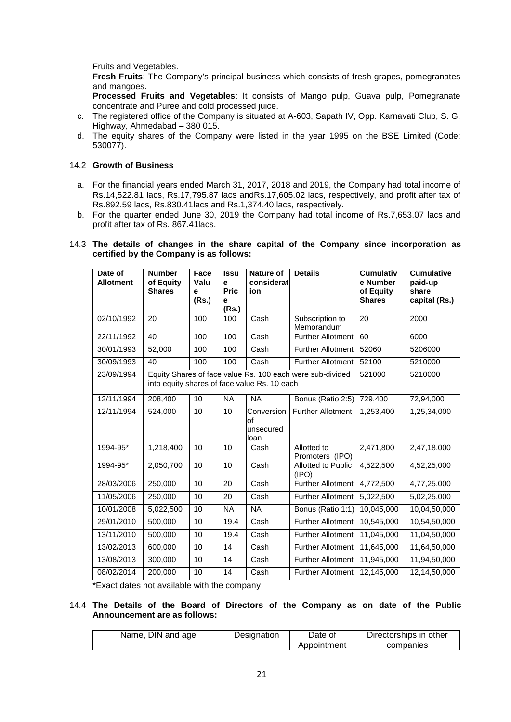Fruits and Vegetables.

**Fresh Fruits**: The Company's principal business which consists of fresh grapes, pomegranates and mangoes.

**Processed Fruits and Vegetables**: It consists of Mango pulp, Guava pulp, Pomegranate concentrate and Puree and cold processed juice.

- c. The registered office of the Company is situated at A-603, Sapath IV, Opp. Karnavati Club, S. G. Highway, Ahmedabad – 380 015.
- d. The equity shares of the Company were listed in the year 1995 on the BSE Limited (Code: 530077).

#### 14.2 **Growth of Business**

- a. For the financial years ended March 31, 2017, 2018 and 2019, the Company had total income of Rs.14,522.81 lacs, Rs.17,795.87 lacs andRs.17,605.02 lacs, respectively, and profit after tax of Rs.892.59 lacs, Rs.830.41lacs and Rs.1,374.40 lacs, respectively.
- b. For the quarter ended June 30, 2019 the Company had total income of Rs.7,653.07 lacs and profit after tax of Rs. 867.41lacs.

#### 14.3 **The details of changes in the share capital of the Company since incorporation as certified by the Company is as follows:**

| Date of<br><b>Allotment</b> | <b>Number</b><br>of Equity<br><b>Shares</b> | Face<br>Valu<br>e<br>(Rs.) | <b>Issu</b><br>e<br><b>Pric</b><br>e<br>(Rs.) | <b>Nature of</b><br>considerat<br>ion        | <b>Details</b>                                            | <b>Cumulativ</b><br>e Number<br>of Equity<br><b>Shares</b> | <b>Cumulative</b><br>paid-up<br>share<br>capital (Rs.) |
|-----------------------------|---------------------------------------------|----------------------------|-----------------------------------------------|----------------------------------------------|-----------------------------------------------------------|------------------------------------------------------------|--------------------------------------------------------|
| 02/10/1992                  | 20                                          | 100                        | 100                                           | Cash                                         | Subscription to<br>Memorandum                             | 20                                                         | 2000                                                   |
| 22/11/1992                  | 40                                          | 100                        | 100                                           | Cash                                         | <b>Further Allotment</b>                                  | 60                                                         | 6000                                                   |
| 30/01/1993                  | 52,000                                      | 100                        | 100                                           | Cash                                         | Further Allotment                                         | 52060                                                      | 5206000                                                |
| 30/09/1993                  | 40                                          | 100                        | 100                                           | Cash                                         | <b>Further Allotment</b>                                  | 52100                                                      | 5210000                                                |
| 23/09/1994                  |                                             |                            |                                               | into equity shares of face value Rs. 10 each | Equity Shares of face value Rs. 100 each were sub-divided | 521000                                                     | 5210000                                                |
| 12/11/1994                  | 208,400                                     | 10                         | <b>NA</b>                                     | <b>NA</b>                                    | Bonus (Ratio 2:5)                                         | 729,400                                                    | 72,94,000                                              |
| 12/11/1994                  | 524,000                                     | 10                         | 10                                            | Conversion<br>оf<br>unsecured<br>loan        | <b>Further Allotment</b>                                  | 1,253,400                                                  | 1,25,34,000                                            |
| 1994-95*                    | 1,218,400                                   | 10                         | 10                                            | Cash                                         | Allotted to<br>Promoters (IPO)                            | 2,471,800                                                  | 2,47,18,000                                            |
| 1994-95*                    | 2,050,700                                   | 10                         | 10                                            | Cash<br><b>Allotted to Public</b><br>(IPO)   |                                                           | 4,522,500                                                  | 4,52,25,000                                            |
| 28/03/2006                  | 250,000                                     | 10                         | 20                                            | Cash                                         | <b>Further Allotment</b>                                  | 4,772,500                                                  | 4,77,25,000                                            |
| 11/05/2006                  | 250,000                                     | 10                         | 20                                            | Cash                                         | <b>Further Allotment</b>                                  | 5,022,500                                                  | 5,02,25,000                                            |
| 10/01/2008                  | 5,022,500                                   | 10                         | <b>NA</b>                                     | <b>NA</b>                                    | Bonus (Ratio 1:1)                                         | 10,045,000                                                 | 10,04,50,000                                           |
| 29/01/2010                  | 500,000                                     | 10                         | 19.4                                          | Cash                                         | Further Allotment                                         | 10,545,000                                                 | 10,54,50,000                                           |
| 13/11/2010                  | 500,000                                     | 10                         | 19.4                                          | Cash                                         | <b>Further Allotment</b>                                  | 11,045,000                                                 | 11,04,50,000                                           |
| 13/02/2013                  | 600,000                                     | 10                         | 14                                            | Cash                                         | <b>Further Allotment</b>                                  | 11,645,000                                                 | 11,64,50,000                                           |
| 13/08/2013                  | 300,000                                     | 10                         | 14                                            | Cash                                         | <b>Further Allotment</b>                                  | 11,945,000                                                 | 11,94,50,000                                           |
| 08/02/2014                  | 200,000                                     | 10                         | 14                                            | Cash                                         | Further Allotment                                         | 12,145,000                                                 | 12,14,50,000                                           |

\*Exact dates not available with the company

#### 14.4 **The Details of the Board of Directors of the Company as on date of the Public Announcement are as follows:**

| Name, DIN and age | Designation | Date of     | Directorships in other |
|-------------------|-------------|-------------|------------------------|
|                   |             | Appointment | companies              |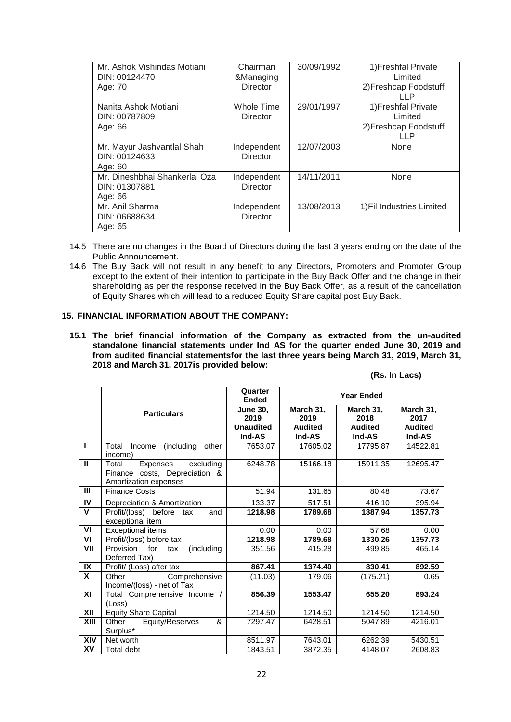| Mr. Ashok Vishindas Motiani<br>DIN: 00124470<br>Age: 70   | Chairman<br>&Managing<br><b>Director</b> | 30/09/1992 | 1) Freshfal Private<br>Limited<br>2) Freshcap Foodstuff<br>LLP.  |
|-----------------------------------------------------------|------------------------------------------|------------|------------------------------------------------------------------|
| Nanita Ashok Motiani<br>DIN: 00787809<br>Age: 66          | <b>Whole Time</b><br>Director            | 29/01/1997 | 1) Freshfal Private<br>Limited<br>2) Freshcap Foodstuff<br>I I P |
| Mr. Mayur Jashvantlal Shah<br>DIN: 00124633<br>Age: 60    | Independent<br>Director                  | 12/07/2003 | None                                                             |
| Mr. Dineshbhai Shankerlal Oza<br>DIN: 01307881<br>Age: 66 | Independent<br>Director                  | 14/11/2011 | None                                                             |
| Mr. Anil Sharma<br>DIN: 06688634<br>Age: 65               | Independent<br>Director                  | 13/08/2013 | 1) Fil Industries Limited                                        |

- 14.5 There are no changes in the Board of Directors during the last 3 years ending on the date of the Public Announcement.
- 14.6 The Buy Back will not result in any benefit to any Directors, Promoters and Promoter Group except to the extent of their intention to participate in the Buy Back Offer and the change in their shareholding as per the response received in the Buy Back Offer, as a result of the cancellation of Equity Shares which will lead to a reduced Equity Share capital post Buy Back.

#### **15. FINANCIAL INFORMATION ABOUT THE COMPANY:**

**15.1 The brief financial information of the Company as extracted from the un-audited standalone financial statements under Ind AS for the quarter ended June 30, 2019 and from audited financial statementsfor the last three years being March 31, 2019, March 31, 2018 and March 31, 2017is provided below:**

| (Rs. In Lacs) |  |
|---------------|--|
|---------------|--|

|              |                                                                                          | Quarter<br><b>Ended</b>    |                          | <b>Year Ended</b>        |                          |
|--------------|------------------------------------------------------------------------------------------|----------------------------|--------------------------|--------------------------|--------------------------|
|              | <b>Particulars</b>                                                                       | <b>June 30.</b><br>2019    | March 31,<br>2019        | March 31,<br>2018        | March 31,<br>2017        |
|              |                                                                                          | <b>Unaudited</b><br>Ind-AS | <b>Audited</b><br>Ind-AS | <b>Audited</b><br>Ind-AS | <b>Audited</b><br>Ind-AS |
| $\mathbf{I}$ | Total<br>(including<br>other<br>Income<br>income)                                        | 7653.07                    | 17605.02                 | 17795.87                 | 14522.81                 |
| $\mathbf{I}$ | Expenses<br>excluding<br>Total<br>Finance costs, Depreciation &<br>Amortization expenses | 6248.78                    | 15166.18                 | 15911.35                 | 12695.47                 |
| Ш            | <b>Finance Costs</b>                                                                     | 51.94                      | 131.65                   | 80.48                    | 73.67                    |
| IV           | Depreciation & Amortization                                                              | 133.37                     | 517.51                   | 416.10                   | 395.94                   |
| $\mathbf v$  | Profit/(loss) before tax<br>and<br>exceptional item                                      | 1218.98                    | 1789.68                  | 1387.94                  | 1357.73                  |
| VI           | <b>Exceptional items</b>                                                                 | 0.00                       | 0.00                     | 57.68                    | 0.00                     |
| VI           | Profit/(loss) before tax                                                                 | 1218.98                    | 1789.68                  | 1330.26                  | 1357.73                  |
| VII          | Provision<br>(including<br>for<br>tax<br>Deferred Tax)                                   | 351.56                     | 415.28                   | 499.85                   | 465.14                   |
| IX           | Profit/ (Loss) after tax                                                                 | 867.41                     | 1374.40                  | 830.41                   | 892.59                   |
| X            | Other<br>Comprehensive<br>Income/(loss) - net of Tax                                     | (11.03)                    | 179.06                   | (175.21)                 | 0.65                     |
| XI           | Total Comprehensive Income /<br>(Loss)                                                   | 856.39                     | 1553.47                  | 655.20                   | 893.24                   |
| XII          | <b>Equity Share Capital</b>                                                              | 1214.50                    | 1214.50                  | 1214.50                  | 1214.50                  |
| XIII         | Equity/Reserves<br>Other<br>&                                                            | 7297.47                    | 6428.51                  | 5047.89                  | 4216.01                  |
|              | Surplus*                                                                                 |                            |                          |                          |                          |
| <b>XIV</b>   | Net worth                                                                                | 8511.97                    | 7643.01                  | 6262.39                  | 5430.51                  |
| XV           | Total debt                                                                               | 1843.51                    | 3872.35                  | 4148.07                  | 2608.83                  |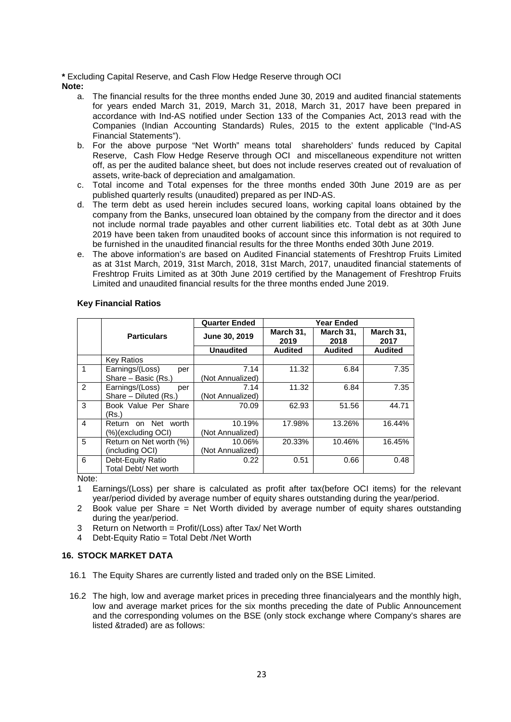#### **\*** Excluding Capital Reserve, and Cash Flow Hedge Reserve through OCI **Note:**

- a. The financial results for the three months ended June 30, 2019 and audited financial statements for years ended March 31, 2019, March 31, 2018, March 31, 2017 have been prepared in accordance with Ind-AS notified under Section 133 of the Companies Act, 2013 read with the Companies (Indian Accounting Standards) Rules, 2015 to the extent applicable ("Ind-AS Financial Statements").
- b. For the above purpose "Net Worth" means total shareholders' funds reduced by Capital Reserve, Cash Flow Hedge Reserve through OCI and miscellaneous expenditure not written off, as per the audited balance sheet, but does not include reserves created out of revaluation of assets, write-back of depreciation and amalgamation.
- c. Total income and Total expenses for the three months ended 30th June 2019 are as per published quarterly results (unaudited) prepared as per IND-AS.
- d. The term debt as used herein includes secured loans, working capital loans obtained by the company from the Banks, unsecured loan obtained by the company from the director and it does not include normal trade payables and other current liabilities etc. Total debt as at 30th June 2019 have been taken from unaudited books of account since this information is not required to be furnished in the unaudited financial results for the three Months ended 30th June 2019.
- e. The above information's are based on Audited Financial statements of Freshtrop Fruits Limited as at 31st March, 2019, 31st March, 2018, 31st March, 2017, unaudited financial statements of Freshtrop Fruits Limited as at 30th June 2019 certified by the Management of Freshtrop Fruits Limited and unaudited financial results for the three months ended June 2019.

|                |                         | <b>Quarter Ended</b> |                   | <b>Year Ended</b> |                   |
|----------------|-------------------------|----------------------|-------------------|-------------------|-------------------|
|                | <b>Particulars</b>      | June 30, 2019        | March 31,<br>2019 | March 31,<br>2018 | March 31,<br>2017 |
|                |                         | <b>Unaudited</b>     | <b>Audited</b>    | <b>Audited</b>    | <b>Audited</b>    |
|                | <b>Key Ratios</b>       |                      |                   |                   |                   |
| $\mathbf 1$    | Earnings/(Loss)<br>per  | 7.14                 | 11.32             | 6.84              | 7.35              |
|                | Share - Basic (Rs.)     | (Not Annualized)     |                   |                   |                   |
| $\overline{2}$ | Earnings/(Loss)<br>per  | 7.14                 | 11.32             | 6.84              | 7.35              |
|                | Share - Diluted (Rs.)   | (Not Annualized)     |                   |                   |                   |
| $\overline{3}$ | Book Value Per Share    | 70.09                | 62.93             | 51.56             | 44.71             |
|                | (Rs.)                   |                      |                   |                   |                   |
| $\overline{4}$ | on Net worth<br>Return  | 10.19%               | 17.98%            | 13.26%            | 16.44%            |
|                | (%)(excluding OCI)      | (Not Annualized)     |                   |                   |                   |
| 5              | Return on Net worth (%) | 10.06%               | 20.33%            | 10.46%            | 16.45%            |
|                | (including OCI)         | (Not Annualized)     |                   |                   |                   |
| 6              | Debt-Equity Ratio       | 0.22                 | 0.51              | 0.66              | 0.48              |
|                | Total Debt/ Net worth   |                      |                   |                   |                   |

## **Key Financial Ratios**

Note:

- 1 Earnings/(Loss) per share is calculated as profit after tax(before OCI items) for the relevant year/period divided by average number of equity shares outstanding during the year/period.
- 2 Book value per Share = Net Worth divided by average number of equity shares outstanding during the year/period.
- 3 Return on Networth = Profit/(Loss) after Tax/ Net Worth<br>4 Debt-Equity Ratio = Total Debt /Net Worth
- Debt-Equity Ratio = Total Debt /Net Worth

## **16. STOCK MARKET DATA**

- 16.1 The Equity Shares are currently listed and traded only on the BSE Limited.
- 16.2 The high, low and average market prices in preceding three financialyears and the monthly high, low and average market prices for the six months preceding the date of Public Announcement and the corresponding volumes on the BSE (only stock exchange where Company's shares are listed &traded) are as follows: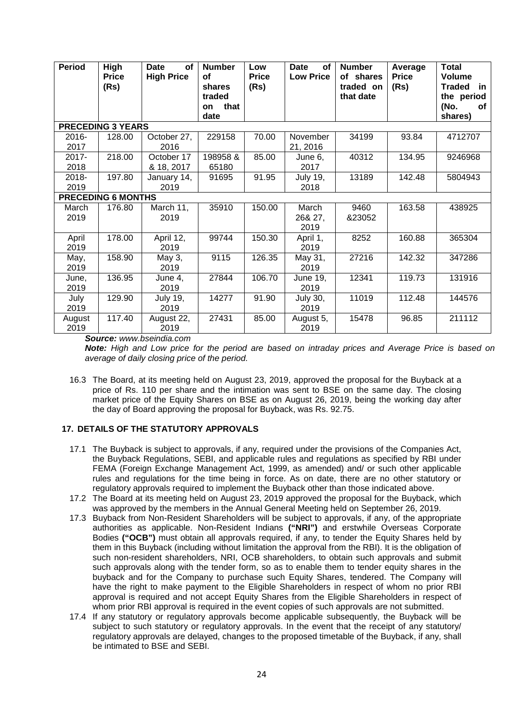| <b>Period</b> | <b>High</b><br><b>Price</b><br>(Rs) | <b>Date</b><br><b>of</b><br><b>High Price</b> | <b>Number</b><br>οf<br>shares<br>traded<br>that<br><b>on</b><br>date | Low<br><b>Price</b><br>(Rs) | <b>of</b><br>Date<br><b>Low Price</b> | <b>Number</b><br>of shares<br>traded on<br>that date | Average<br><b>Price</b><br>(Rs) | <b>Total</b><br><b>Volume</b><br><b>Traded</b><br>- in<br>the period<br>(No.<br>оf<br>shares) |
|---------------|-------------------------------------|-----------------------------------------------|----------------------------------------------------------------------|-----------------------------|---------------------------------------|------------------------------------------------------|---------------------------------|-----------------------------------------------------------------------------------------------|
|               | <b>PRECEDING 3 YEARS</b>            |                                               |                                                                      |                             |                                       |                                                      |                                 |                                                                                               |
| $2016 -$      | 128.00                              | October 27,                                   | 229158                                                               | 70.00                       | November                              | 34199                                                | 93.84                           | 4712707                                                                                       |
| 2017          |                                     | 2016                                          |                                                                      |                             | 21, 2016                              |                                                      |                                 |                                                                                               |
| 2017-         | 218.00                              | October 17                                    | 198958&                                                              | 85.00                       | June 6,                               | 40312                                                | 134.95                          | 9246968                                                                                       |
| 2018          |                                     | & 18, 2017                                    | 65180                                                                |                             | 2017                                  |                                                      |                                 |                                                                                               |
| 2018-         | 197.80                              | January 14,                                   | 91695                                                                | 91.95                       | <b>July 19,</b>                       | 13189                                                | 142.48                          | 5804943                                                                                       |
| 2019          |                                     | 2019                                          |                                                                      |                             | 2018                                  |                                                      |                                 |                                                                                               |
|               | <b>PRECEDING 6 MONTHS</b>           |                                               |                                                                      |                             |                                       |                                                      |                                 |                                                                                               |
| March         | 176.80                              | March 11,                                     | 35910                                                                | 150.00                      | March                                 | 9460                                                 | 163.58                          | 438925                                                                                        |
| 2019          |                                     | 2019                                          |                                                                      |                             | 26& 27,                               | &23052                                               |                                 |                                                                                               |
|               |                                     |                                               |                                                                      |                             | 2019                                  |                                                      |                                 |                                                                                               |
| April         | 178.00                              | April 12,                                     | 99744                                                                | 150.30                      | April 1,                              | 8252                                                 | 160.88                          | 365304                                                                                        |
| 2019          |                                     | 2019                                          |                                                                      |                             | 2019                                  |                                                      |                                 |                                                                                               |
| May,          | 158.90                              | May 3,                                        | 9115                                                                 | 126.35                      | May 31,                               | 27216                                                | 142.32                          | 347286                                                                                        |
| 2019          |                                     | 2019                                          |                                                                      |                             | 2019                                  |                                                      |                                 |                                                                                               |
| June,         | 136.95                              | June 4,                                       | 27844                                                                | 106.70                      | June 19,                              | 12341                                                | 119.73                          | 131916                                                                                        |
| 2019          |                                     | 2019                                          |                                                                      |                             | 2019                                  |                                                      |                                 |                                                                                               |
| July          | 129.90                              | <b>July 19,</b>                               | 14277                                                                | 91.90                       | <b>July 30,</b>                       | 11019                                                | 112.48                          | 144576                                                                                        |
| 2019          |                                     | 2019                                          |                                                                      |                             | 2019                                  |                                                      |                                 |                                                                                               |
| August        | 117.40                              | August 22,                                    | 27431                                                                | 85.00                       | August 5,                             | 15478                                                | 96.85                           | 211112                                                                                        |
| 2019          |                                     | 2019                                          |                                                                      |                             | 2019                                  |                                                      |                                 |                                                                                               |

*Source: www.bseindia.com* 

*Note: High and Low price for the period are based on intraday prices and Average Price is based on average of daily closing price of the period.*

16.3 The Board, at its meeting held on August 23, 2019, approved the proposal for the Buyback at a price of Rs. 110 per share and the intimation was sent to BSE on the same day. The closing market price of the Equity Shares on BSE as on August 26, 2019, being the working day after the day of Board approving the proposal for Buyback, was Rs. 92.75.

# **17. DETAILS OF THE STATUTORY APPROVALS**

- 17.1 The Buyback is subject to approvals, if any, required under the provisions of the Companies Act, the Buyback Regulations, SEBI, and applicable rules and regulations as specified by RBI under FEMA (Foreign Exchange Management Act, 1999, as amended) and/ or such other applicable rules and regulations for the time being in force. As on date, there are no other statutory or regulatory approvals required to implement the Buyback other than those indicated above.
- 17.2 The Board at its meeting held on August 23, 2019 approved the proposal for the Buyback, which was approved by the members in the Annual General Meeting held on September 26, 2019.
- 17.3 Buyback from Non-Resident Shareholders will be subject to approvals, if any, of the appropriate authorities as applicable. Non-Resident Indians **("NRI")** and erstwhile Overseas Corporate Bodies **("OCB")** must obtain all approvals required, if any, to tender the Equity Shares held by them in this Buyback (including without limitation the approval from the RBI). It is the obligation of such non-resident shareholders, NRI, OCB shareholders, to obtain such approvals and submit such approvals along with the tender form, so as to enable them to tender equity shares in the buyback and for the Company to purchase such Equity Shares, tendered. The Company will have the right to make payment to the Eligible Shareholders in respect of whom no prior RBI approval is required and not accept Equity Shares from the Eligible Shareholders in respect of whom prior RBI approval is required in the event copies of such approvals are not submitted.
- 17.4 If any statutory or regulatory approvals become applicable subsequently, the Buyback will be subject to such statutory or regulatory approvals. In the event that the receipt of any statutory/ regulatory approvals are delayed, changes to the proposed timetable of the Buyback, if any, shall be intimated to BSE and SEBI.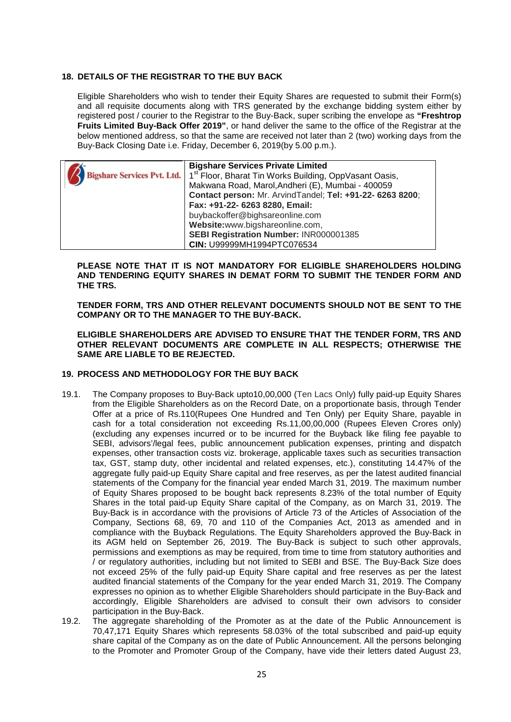#### **18. DETAILS OF THE REGISTRAR TO THE BUY BACK**

Eligible Shareholders who wish to tender their Equity Shares are requested to submit their Form(s) and all requisite documents along with TRS generated by the exchange bidding system either by registered post / courier to the Registrar to the Buy-Back, super scribing the envelope as **"Freshtrop Fruits Limited Buy-Back Offer 2019"**, or hand deliver the same to the office of the Registrar at the below mentioned address, so that the same are received not later than 2 (two) working days from the Buy-Back Closing Date i.e. Friday, December 6, 2019(by 5.00 p.m.).

| <b>Bigshare Services Private Limited</b>                                                         |
|--------------------------------------------------------------------------------------------------|
| Bigshare Services Pvt. Ltd.   1 <sup>st</sup> Floor, Bharat Tin Works Building, OppVasant Oasis, |
| Makwana Road, Marol, Andheri (E), Mumbai - 400059                                                |
| Contact person: Mr. ArvindTandel; Tel: +91-22- 6263 8200;                                        |
| Fax: +91-22- 6263 8280, Email:                                                                   |
| buybackoffer@bighsareonline.com                                                                  |
| Website:www.bigshareonline.com,                                                                  |
| SEBI Registration Number: INR000001385                                                           |
| <b>CIN: U99999MH1994PTC076534</b>                                                                |

**PLEASE NOTE THAT IT IS NOT MANDATORY FOR ELIGIBLE SHAREHOLDERS HOLDING AND TENDERING EQUITY SHARES IN DEMAT FORM TO SUBMIT THE TENDER FORM AND THE TRS.** 

**TENDER FORM, TRS AND OTHER RELEVANT DOCUMENTS SHOULD NOT BE SENT TO THE COMPANY OR TO THE MANAGER TO THE BUY-BACK.** 

**ELIGIBLE SHAREHOLDERS ARE ADVISED TO ENSURE THAT THE TENDER FORM, TRS AND OTHER RELEVANT DOCUMENTS ARE COMPLETE IN ALL RESPECTS; OTHERWISE THE SAME ARE LIABLE TO BE REJECTED.**

#### **19. PROCESS AND METHODOLOGY FOR THE BUY BACK**

- 19.1. The Company proposes to Buy-Back upto10,00,000 (Ten Lacs Only) fully paid-up Equity Shares from the Eligible Shareholders as on the Record Date, on a proportionate basis, through Tender Offer at a price of Rs.110(Rupees One Hundred and Ten Only) per Equity Share, payable in cash for a total consideration not exceeding Rs.11,00,00,000 (Rupees Eleven Crores only) (excluding any expenses incurred or to be incurred for the Buyback like filing fee payable to SEBI, advisors'/legal fees, public announcement publication expenses, printing and dispatch expenses, other transaction costs viz. brokerage, applicable taxes such as securities transaction tax, GST, stamp duty, other incidental and related expenses, etc.), constituting 14.47% of the aggregate fully paid-up Equity Share capital and free reserves, as per the latest audited financial statements of the Company for the financial year ended March 31, 2019. The maximum number of Equity Shares proposed to be bought back represents 8.23% of the total number of Equity Shares in the total paid‐up Equity Share capital of the Company, as on March 31, 2019. The Buy-Back is in accordance with the provisions of Article 73 of the Articles of Association of the Company, Sections 68, 69, 70 and 110 of the Companies Act, 2013 as amended and in compliance with the Buyback Regulations. The Equity Shareholders approved the Buy-Back in its AGM held on September 26, 2019. The Buy-Back is subject to such other approvals, permissions and exemptions as may be required, from time to time from statutory authorities and / or regulatory authorities, including but not limited to SEBI and BSE. The Buy-Back Size does not exceed 25% of the fully paid-up Equity Share capital and free reserves as per the latest audited financial statements of the Company for the year ended March 31, 2019. The Company expresses no opinion as to whether Eligible Shareholders should participate in the Buy-Back and accordingly, Eligible Shareholders are advised to consult their own advisors to consider participation in the Buy-Back.
- 19.2. The aggregate shareholding of the Promoter as at the date of the Public Announcement is 70,47,171 Equity Shares which represents 58.03% of the total subscribed and paid-up equity share capital of the Company as on the date of Public Announcement. All the persons belonging to the Promoter and Promoter Group of the Company, have vide their letters dated August 23,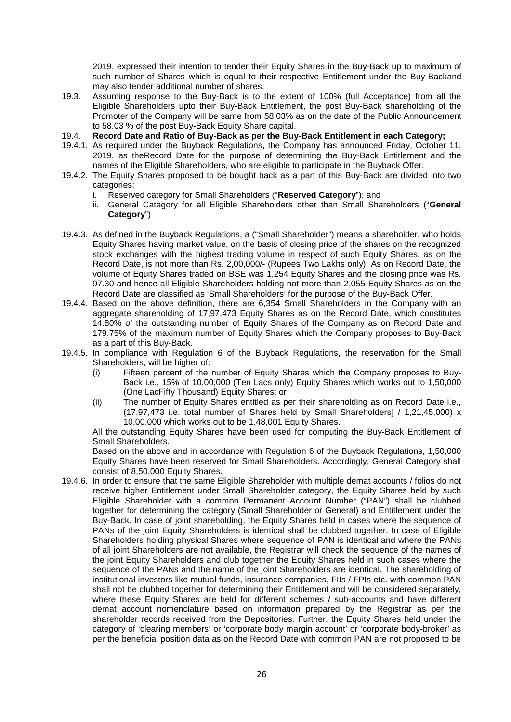2019, expressed their intention to tender their Equity Shares in the Buy-Back up to maximum of such number of Shares which is equal to their respective Entitlement under the Buy-Backand may also tender additional number of shares.

- 19.3. Assuming response to the Buy-Back is to the extent of 100% (full Acceptance) from all the Eligible Shareholders upto their Buy-Back Entitlement, the post Buy-Back shareholding of the Promoter of the Company will be same from 58.03% as on the date of the Public Announcement to 58.03 % of the post Buy-Back Equity Share capital.
- 19.4. **Record Date and Ratio of Buy-Back as per the Buy-Back Entitlement in each Category;**
- 19.4.1. As required under the Buyback Regulations, the Company has announced Friday, October 11, 2019, as theRecord Date for the purpose of determining the Buy-Back Entitlement and the names of the Eligible Shareholders, who are eligible to participate in the Buyback Offer.
- 19.4.2. The Equity Shares proposed to be bought back as a part of this Buy-Back are divided into two categories:
	- i. Reserved category for Small Shareholders ("**Reserved Category**"); and
	- ii. General Category for all Eligible Shareholders other than Small Shareholders ("**General Category**")
- 19.4.3. As defined in the Buyback Regulations, a ("Small Shareholder") means a shareholder, who holds Equity Shares having market value, on the basis of closing price of the shares on the recognized stock exchanges with the highest trading volume in respect of such Equity Shares, as on the Record Date, is not more than Rs. 2,00,000/- (Rupees Two Lakhs only). As on Record Date, the volume of Equity Shares traded on BSE was 1,254 Equity Shares and the closing price was Rs. 97.30 and hence all Eligible Shareholders holding not more than 2,055 Equity Shares as on the Record Date are classified as 'Small Shareholders' for the purpose of the Buy-Back Offer.
- 19.4.4. Based on the above definition, there are 6,354 Small Shareholders in the Company with an aggregate shareholding of 17,97,473 Equity Shares as on the Record Date, which constitutes 14.80% of the outstanding number of Equity Shares of the Company as on Record Date and 179.75% of the maximum number of Equity Shares which the Company proposes to Buy-Back as a part of this Buy-Back.
- 19.4.5. In compliance with Regulation 6 of the Buyback Regulations, the reservation for the Small Shareholders, will be higher of:
	- (i) Fifteen percent of the number of Equity Shares which the Company proposes to Buy-Back i.e., 15% of 10,00,000 (Ten Lacs only) Equity Shares which works out to 1,50,000 (One LacFifty Thousand) Equity Shares; or
	- (ii) The number of Equity Shares entitled as per their shareholding as on Record Date i.e., (17,97,473 i.e. total number of Shares held by Small Shareholders] / 1,21,45,000) x 10,00,000 which works out to be 1,48,001 Equity Shares.

All the outstanding Equity Shares have been used for computing the Buy-Back Entitlement of Small Shareholders.

Based on the above and in accordance with Regulation 6 of the Buyback Regulations, 1,50,000 Equity Shares have been reserved for Small Shareholders. Accordingly, General Category shall consist of 8,50,000 Equity Shares.

19.4.6. In order to ensure that the same Eligible Shareholder with multiple demat accounts / folios do not receive higher Entitlement under Small Shareholder category, the Equity Shares held by such Eligible Shareholder with a common Permanent Account Number ("PAN") shall be clubbed together for determining the category (Small Shareholder or General) and Entitlement under the Buy-Back. In case of joint shareholding, the Equity Shares held in cases where the sequence of PANs of the joint Equity Shareholders is identical shall be clubbed together. In case of Eligible Shareholders holding physical Shares where sequence of PAN is identical and where the PANs of all joint Shareholders are not available, the Registrar will check the sequence of the names of the joint Equity Shareholders and club together the Equity Shares held in such cases where the sequence of the PANs and the name of the joint Shareholders are identical. The shareholding of institutional investors like mutual funds, insurance companies, FIIs / FPIs etc. with common PAN shall not be clubbed together for determining their Entitlement and will be considered separately, where these Equity Shares are held for different schemes / sub-accounts and have different demat account nomenclature based on information prepared by the Registrar as per the shareholder records received from the Depositories. Further, the Equity Shares held under the category of 'clearing members' or 'corporate body margin account' or 'corporate body-broker' as per the beneficial position data as on the Record Date with common PAN are not proposed to be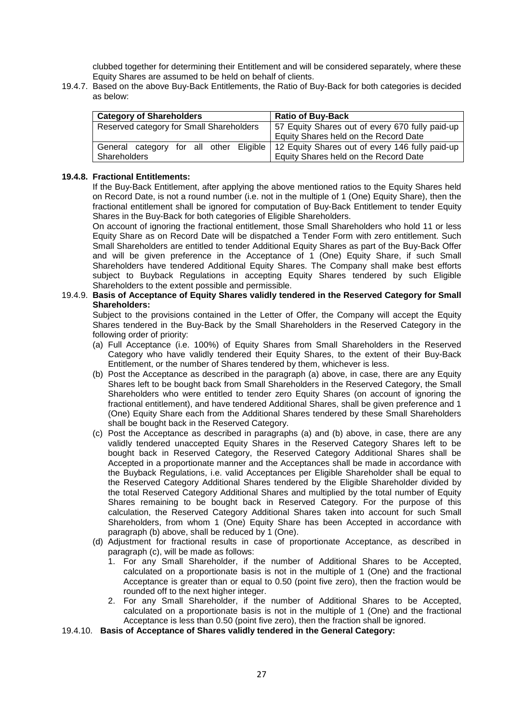clubbed together for determining their Entitlement and will be considered separately, where these Equity Shares are assumed to be held on behalf of clients.

19.4.7. Based on the above Buy-Back Entitlements, the Ratio of Buy-Back for both categories is decided as below:

| <b>Category of Shareholders</b>          | <b>Ratio of Buy-Back</b>                                                                  |  |
|------------------------------------------|-------------------------------------------------------------------------------------------|--|
| Reserved category for Small Shareholders | 57 Equity Shares out of every 670 fully paid-up                                           |  |
|                                          | Equity Shares held on the Record Date                                                     |  |
|                                          | General category for all other Eligible   12 Equity Shares out of every 146 fully paid-up |  |
| Shareholders                             | Equity Shares held on the Record Date                                                     |  |

#### **19.4.8. Fractional Entitlements:**

If the Buy-Back Entitlement, after applying the above mentioned ratios to the Equity Shares held on Record Date, is not a round number (i.e. not in the multiple of 1 (One) Equity Share), then the fractional entitlement shall be ignored for computation of Buy-Back Entitlement to tender Equity Shares in the Buy-Back for both categories of Eligible Shareholders.

On account of ignoring the fractional entitlement, those Small Shareholders who hold 11 or less Equity Share as on Record Date will be dispatched a Tender Form with zero entitlement. Such Small Shareholders are entitled to tender Additional Equity Shares as part of the Buy-Back Offer and will be given preference in the Acceptance of 1 (One) Equity Share, if such Small Shareholders have tendered Additional Equity Shares. The Company shall make best efforts subject to Buyback Regulations in accepting Equity Shares tendered by such Eligible Shareholders to the extent possible and permissible.

#### 19.4.9. **Basis of Acceptance of Equity Shares validly tendered in the Reserved Category for Small Shareholders:**

Subject to the provisions contained in the Letter of Offer, the Company will accept the Equity Shares tendered in the Buy-Back by the Small Shareholders in the Reserved Category in the following order of priority:

- (a) Full Acceptance (i.e. 100%) of Equity Shares from Small Shareholders in the Reserved Category who have validly tendered their Equity Shares, to the extent of their Buy-Back Entitlement, or the number of Shares tendered by them, whichever is less.
- (b) Post the Acceptance as described in the paragraph (a) above, in case, there are any Equity Shares left to be bought back from Small Shareholders in the Reserved Category, the Small Shareholders who were entitled to tender zero Equity Shares (on account of ignoring the fractional entitlement), and have tendered Additional Shares, shall be given preference and 1 (One) Equity Share each from the Additional Shares tendered by these Small Shareholders shall be bought back in the Reserved Category.
- (c) Post the Acceptance as described in paragraphs (a) and (b) above, in case, there are any validly tendered unaccepted Equity Shares in the Reserved Category Shares left to be bought back in Reserved Category, the Reserved Category Additional Shares shall be Accepted in a proportionate manner and the Acceptances shall be made in accordance with the Buyback Regulations, i.e. valid Acceptances per Eligible Shareholder shall be equal to the Reserved Category Additional Shares tendered by the Eligible Shareholder divided by the total Reserved Category Additional Shares and multiplied by the total number of Equity Shares remaining to be bought back in Reserved Category. For the purpose of this calculation, the Reserved Category Additional Shares taken into account for such Small Shareholders, from whom 1 (One) Equity Share has been Accepted in accordance with paragraph (b) above, shall be reduced by 1 (One).
- (d) Adjustment for fractional results in case of proportionate Acceptance, as described in paragraph (c), will be made as follows:
	- 1. For any Small Shareholder, if the number of Additional Shares to be Accepted, calculated on a proportionate basis is not in the multiple of 1 (One) and the fractional Acceptance is greater than or equal to 0.50 (point five zero), then the fraction would be rounded off to the next higher integer.
	- 2. For any Small Shareholder, if the number of Additional Shares to be Accepted, calculated on a proportionate basis is not in the multiple of 1 (One) and the fractional Acceptance is less than 0.50 (point five zero), then the fraction shall be ignored.
- 19.4.10. **Basis of Acceptance of Shares validly tendered in the General Category:**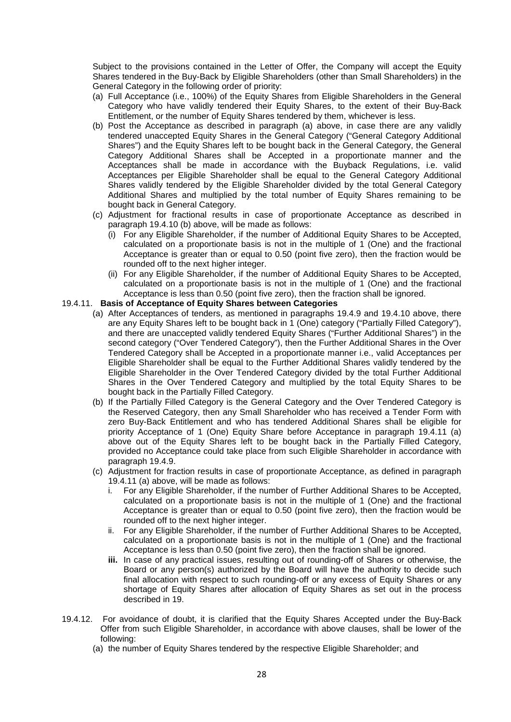Subject to the provisions contained in the Letter of Offer, the Company will accept the Equity Shares tendered in the Buy-Back by Eligible Shareholders (other than Small Shareholders) in the General Category in the following order of priority:

- (a) Full Acceptance (i.e., 100%) of the Equity Shares from Eligible Shareholders in the General Category who have validly tendered their Equity Shares, to the extent of their Buy-Back Entitlement, or the number of Equity Shares tendered by them, whichever is less.
- (b) Post the Acceptance as described in paragraph (a) above, in case there are any validly tendered unaccepted Equity Shares in the General Category ("General Category Additional Shares") and the Equity Shares left to be bought back in the General Category, the General Category Additional Shares shall be Accepted in a proportionate manner and the Acceptances shall be made in accordance with the Buyback Regulations, i.e. valid Acceptances per Eligible Shareholder shall be equal to the General Category Additional Shares validly tendered by the Eligible Shareholder divided by the total General Category Additional Shares and multiplied by the total number of Equity Shares remaining to be bought back in General Category.
- (c) Adjustment for fractional results in case of proportionate Acceptance as described in paragraph 19.4.10 (b) above, will be made as follows:
	- (i) For any Eligible Shareholder, if the number of Additional Equity Shares to be Accepted, calculated on a proportionate basis is not in the multiple of 1 (One) and the fractional Acceptance is greater than or equal to 0.50 (point five zero), then the fraction would be rounded off to the next higher integer.
	- (ii) For any Eligible Shareholder, if the number of Additional Equity Shares to be Accepted, calculated on a proportionate basis is not in the multiple of 1 (One) and the fractional Acceptance is less than 0.50 (point five zero), then the fraction shall be ignored.

## 19.4.11. **Basis of Acceptance of Equity Shares between Categories**

- (a) After Acceptances of tenders, as mentioned in paragraphs 19.4.9 and 19.4.10 above, there are any Equity Shares left to be bought back in 1 (One) category ("Partially Filled Category"), and there are unaccepted validly tendered Equity Shares ("Further Additional Shares") in the second category ("Over Tendered Category"), then the Further Additional Shares in the Over Tendered Category shall be Accepted in a proportionate manner i.e., valid Acceptances per Eligible Shareholder shall be equal to the Further Additional Shares validly tendered by the Eligible Shareholder in the Over Tendered Category divided by the total Further Additional Shares in the Over Tendered Category and multiplied by the total Equity Shares to be bought back in the Partially Filled Category.
- (b) If the Partially Filled Category is the General Category and the Over Tendered Category is the Reserved Category, then any Small Shareholder who has received a Tender Form with zero Buy-Back Entitlement and who has tendered Additional Shares shall be eligible for priority Acceptance of 1 (One) Equity Share before Acceptance in paragraph 19.4.11 (a) above out of the Equity Shares left to be bought back in the Partially Filled Category, provided no Acceptance could take place from such Eligible Shareholder in accordance with paragraph 19.4.9.
- (c) Adjustment for fraction results in case of proportionate Acceptance, as defined in paragraph 19.4.11 (a) above, will be made as follows:
	- For any Eligible Shareholder, if the number of Further Additional Shares to be Accepted, calculated on a proportionate basis is not in the multiple of 1 (One) and the fractional Acceptance is greater than or equal to 0.50 (point five zero), then the fraction would be rounded off to the next higher integer.
	- ii. For any Eligible Shareholder, if the number of Further Additional Shares to be Accepted, calculated on a proportionate basis is not in the multiple of 1 (One) and the fractional Acceptance is less than 0.50 (point five zero), then the fraction shall be ignored.
	- **iii.** In case of any practical issues, resulting out of rounding-off of Shares or otherwise, the Board or any person(s) authorized by the Board will have the authority to decide such final allocation with respect to such rounding-off or any excess of Equity Shares or any shortage of Equity Shares after allocation of Equity Shares as set out in the process described in 19.
- 19.4.12. For avoidance of doubt, it is clarified that the Equity Shares Accepted under the Buy-Back Offer from such Eligible Shareholder, in accordance with above clauses, shall be lower of the following:
	- (a) the number of Equity Shares tendered by the respective Eligible Shareholder; and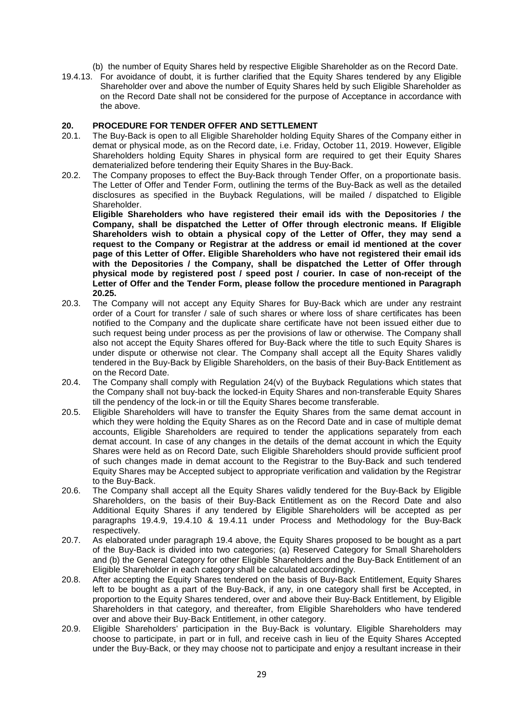(b) the number of Equity Shares held by respective Eligible Shareholder as on the Record Date.

19.4.13. For avoidance of doubt, it is further clarified that the Equity Shares tendered by any Eligible Shareholder over and above the number of Equity Shares held by such Eligible Shareholder as on the Record Date shall not be considered for the purpose of Acceptance in accordance with the above.

# **20. PROCEDURE FOR TENDER OFFER AND SETTLEMENT**

- The Buy-Back is open to all Eligible Shareholder holding Equity Shares of the Company either in demat or physical mode, as on the Record date, i.e. Friday, October 11, 2019. However, Eligible Shareholders holding Equity Shares in physical form are required to get their Equity Shares dematerialized before tendering their Equity Shares in the Buy-Back.
- 20.2. The Company proposes to effect the Buy-Back through Tender Offer, on a proportionate basis. The Letter of Offer and Tender Form, outlining the terms of the Buy-Back as well as the detailed disclosures as specified in the Buyback Regulations, will be mailed / dispatched to Eligible **Shareholder**

**Eligible Shareholders who have registered their email ids with the Depositories / the Company, shall be dispatched the Letter of Offer through electronic means. If Eligible Shareholders wish to obtain a physical copy of the Letter of Offer, they may send a request to the Company or Registrar at the address or email id mentioned at the cover page of this Letter of Offer. Eligible Shareholders who have not registered their email ids with the Depositories / the Company, shall be dispatched the Letter of Offer through physical mode by registered post / speed post / courier. In case of non-receipt of the Letter of Offer and the Tender Form, please follow the procedure mentioned in Paragraph 20.25.**

- 20.3. The Company will not accept any Equity Shares for Buy-Back which are under any restraint order of a Court for transfer / sale of such shares or where loss of share certificates has been notified to the Company and the duplicate share certificate have not been issued either due to such request being under process as per the provisions of law or otherwise. The Company shall also not accept the Equity Shares offered for Buy-Back where the title to such Equity Shares is under dispute or otherwise not clear. The Company shall accept all the Equity Shares validly tendered in the Buy-Back by Eligible Shareholders, on the basis of their Buy-Back Entitlement as on the Record Date.
- 20.4. The Company shall comply with Regulation 24(v) of the Buyback Regulations which states that the Company shall not buy-back the locked-in Equity Shares and non-transferable Equity Shares till the pendency of the lock-in or till the Equity Shares become transferable.
- 20.5. Eligible Shareholders will have to transfer the Equity Shares from the same demat account in which they were holding the Equity Shares as on the Record Date and in case of multiple demat accounts, Eligible Shareholders are required to tender the applications separately from each demat account. In case of any changes in the details of the demat account in which the Equity Shares were held as on Record Date, such Eligible Shareholders should provide sufficient proof of such changes made in demat account to the Registrar to the Buy-Back and such tendered Equity Shares may be Accepted subject to appropriate verification and validation by the Registrar to the Buy-Back.
- 20.6. The Company shall accept all the Equity Shares validly tendered for the Buy-Back by Eligible Shareholders, on the basis of their Buy-Back Entitlement as on the Record Date and also Additional Equity Shares if any tendered by Eligible Shareholders will be accepted as per paragraphs 19.4.9, 19.4.10 & 19.4.11 under Process and Methodology for the Buy-Back respectively.
- 20.7. As elaborated under paragraph 19.4 above, the Equity Shares proposed to be bought as a part of the Buy-Back is divided into two categories; (a) Reserved Category for Small Shareholders and (b) the General Category for other Eligible Shareholders and the Buy-Back Entitlement of an Eligible Shareholder in each category shall be calculated accordingly.
- 20.8. After accepting the Equity Shares tendered on the basis of Buy-Back Entitlement, Equity Shares left to be bought as a part of the Buy-Back, if any, in one category shall first be Accepted, in proportion to the Equity Shares tendered, over and above their Buy-Back Entitlement, by Eligible Shareholders in that category, and thereafter, from Eligible Shareholders who have tendered over and above their Buy-Back Entitlement, in other category.
- 20.9. Eligible Shareholders' participation in the Buy-Back is voluntary. Eligible Shareholders may choose to participate, in part or in full, and receive cash in lieu of the Equity Shares Accepted under the Buy-Back, or they may choose not to participate and enjoy a resultant increase in their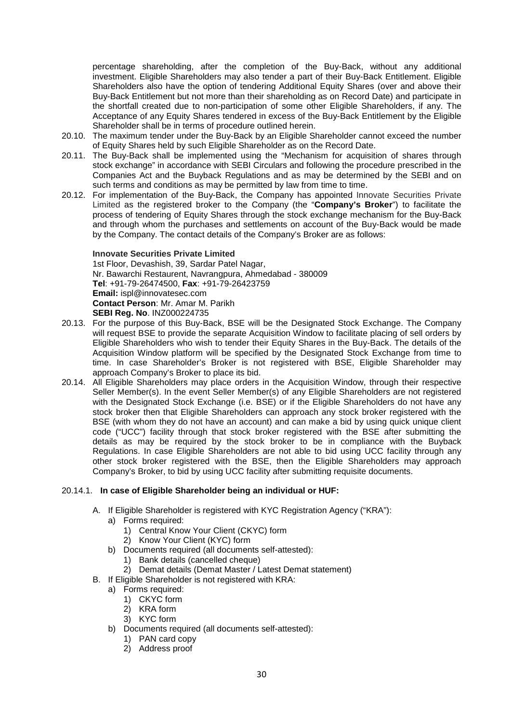percentage shareholding, after the completion of the Buy-Back, without any additional investment. Eligible Shareholders may also tender a part of their Buy-Back Entitlement. Eligible Shareholders also have the option of tendering Additional Equity Shares (over and above their Buy-Back Entitlement but not more than their shareholding as on Record Date) and participate in the shortfall created due to non-participation of some other Eligible Shareholders, if any. The Acceptance of any Equity Shares tendered in excess of the Buy-Back Entitlement by the Eligible Shareholder shall be in terms of procedure outlined herein.

- 20.10. The maximum tender under the Buy-Back by an Eligible Shareholder cannot exceed the number of Equity Shares held by such Eligible Shareholder as on the Record Date.
- 20.11. The Buy-Back shall be implemented using the "Mechanism for acquisition of shares through stock exchange" in accordance with SEBI Circulars and following the procedure prescribed in the Companies Act and the Buyback Regulations and as may be determined by the SEBI and on such terms and conditions as may be permitted by law from time to time.
- 20.12. For implementation of the Buy-Back, the Company has appointed Innovate Securities Private Limited as the registered broker to the Company (the "**Company's Broker**") to facilitate the process of tendering of Equity Shares through the stock exchange mechanism for the Buy-Back and through whom the purchases and settlements on account of the Buy-Back would be made by the Company. The contact details of the Company's Broker are as follows:

**Innovate Securities Private Limited**  1st Floor, Devashish, 39, Sardar Patel Nagar, Nr. Bawarchi Restaurent, Navrangpura, Ahmedabad - 380009 **Tel**: +91-79-26474500, **Fax**: +91-79-26423759 **Email:** ispl@innovatesec.com **Contact Person**: Mr. Amar M. Parikh **SEBI Reg. No**. INZ000224735

- 20.13. For the purpose of this Buy-Back, BSE will be the Designated Stock Exchange. The Company will request BSE to provide the separate Acquisition Window to facilitate placing of sell orders by Eligible Shareholders who wish to tender their Equity Shares in the Buy-Back. The details of the Acquisition Window platform will be specified by the Designated Stock Exchange from time to time. In case Shareholder's Broker is not registered with BSE, Eligible Shareholder may approach Company's Broker to place its bid.
- 20.14. All Eligible Shareholders may place orders in the Acquisition Window, through their respective Seller Member(s). In the event Seller Member(s) of any Eligible Shareholders are not registered with the Designated Stock Exchange (i.e. BSE) or if the Eligible Shareholders do not have any stock broker then that Eligible Shareholders can approach any stock broker registered with the BSE (with whom they do not have an account) and can make a bid by using quick unique client code ("UCC") facility through that stock broker registered with the BSE after submitting the details as may be required by the stock broker to be in compliance with the Buyback Regulations. In case Eligible Shareholders are not able to bid using UCC facility through any other stock broker registered with the BSE, then the Eligible Shareholders may approach Company's Broker, to bid by using UCC facility after submitting requisite documents.

#### 20.14.1. **In case of Eligible Shareholder being an individual or HUF:**

- A. If Eligible Shareholder is registered with KYC Registration Agency ("KRA"):
	- a) Forms required:
		- 1) Central Know Your Client (CKYC) form
		- 2) Know Your Client (KYC) form
		- b) Documents required (all documents self-attested):
			- 1) Bank details (cancelled cheque)
		- 2) Demat details (Demat Master / Latest Demat statement)
- B. If Eligible Shareholder is not registered with KRA:
	- a) Forms required:
		- 1) CKYC form
		- 2) KRA form
		- 3) KYC form
	- b) Documents required (all documents self-attested):
		- 1) PAN card copy
		- 2) Address proof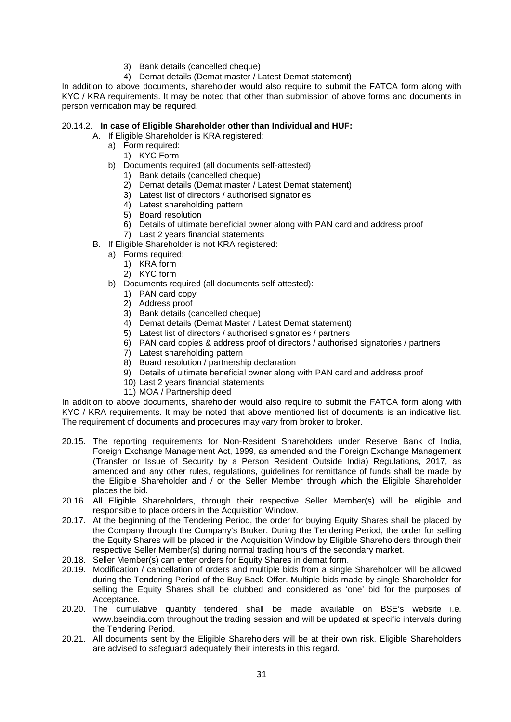- 3) Bank details (cancelled cheque)
- 4) Demat details (Demat master / Latest Demat statement)

In addition to above documents, shareholder would also require to submit the FATCA form along with KYC / KRA requirements. It may be noted that other than submission of above forms and documents in person verification may be required.

#### 20.14.2. **In case of Eligible Shareholder other than Individual and HUF:**

- A. If Eligible Shareholder is KRA registered:
	- a) Form required:
		- 1) KYC Form
		- b) Documents required (all documents self-attested)
			- 1) Bank details (cancelled cheque)
			- 2) Demat details (Demat master / Latest Demat statement)
			- 3) Latest list of directors / authorised signatories
			- 4) Latest shareholding pattern
			- 5) Board resolution
			- 6) Details of ultimate beneficial owner along with PAN card and address proof
			- 7) Last 2 years financial statements
- B. If Eligible Shareholder is not KRA registered:
	- a) Forms required:
		- 1) KRA form
		- 2) KYC form
	- b) Documents required (all documents self-attested):
		- 1) PAN card copy
		- 2) Address proof
		- 3) Bank details (cancelled cheque)
		- 4) Demat details (Demat Master / Latest Demat statement)
		- 5) Latest list of directors / authorised signatories / partners
		- 6) PAN card copies & address proof of directors / authorised signatories / partners
		- 7) Latest shareholding pattern
		- 8) Board resolution / partnership declaration
		- 9) Details of ultimate beneficial owner along with PAN card and address proof
		- 10) Last 2 years financial statements
		- 11) MOA / Partnership deed

In addition to above documents, shareholder would also require to submit the FATCA form along with KYC / KRA requirements. It may be noted that above mentioned list of documents is an indicative list. The requirement of documents and procedures may vary from broker to broker.

- 20.15. The reporting requirements for Non-Resident Shareholders under Reserve Bank of India, Foreign Exchange Management Act, 1999, as amended and the Foreign Exchange Management (Transfer or Issue of Security by a Person Resident Outside India) Regulations, 2017, as amended and any other rules, regulations, guidelines for remittance of funds shall be made by the Eligible Shareholder and / or the Seller Member through which the Eligible Shareholder places the bid.
- 20.16. All Eligible Shareholders, through their respective Seller Member(s) will be eligible and responsible to place orders in the Acquisition Window.
- 20.17. At the beginning of the Tendering Period, the order for buying Equity Shares shall be placed by the Company through the Company's Broker. During the Tendering Period, the order for selling the Equity Shares will be placed in the Acquisition Window by Eligible Shareholders through their respective Seller Member(s) during normal trading hours of the secondary market.
- 20.18. Seller Member(s) can enter orders for Equity Shares in demat form.
- 20.19. Modification / cancellation of orders and multiple bids from a single Shareholder will be allowed during the Tendering Period of the Buy-Back Offer. Multiple bids made by single Shareholder for selling the Equity Shares shall be clubbed and considered as 'one' bid for the purposes of Acceptance.
- 20.20. The cumulative quantity tendered shall be made available on BSE's website i.e. www.bseindia.com throughout the trading session and will be updated at specific intervals during the Tendering Period.
- 20.21. All documents sent by the Eligible Shareholders will be at their own risk. Eligible Shareholders are advised to safeguard adequately their interests in this regard.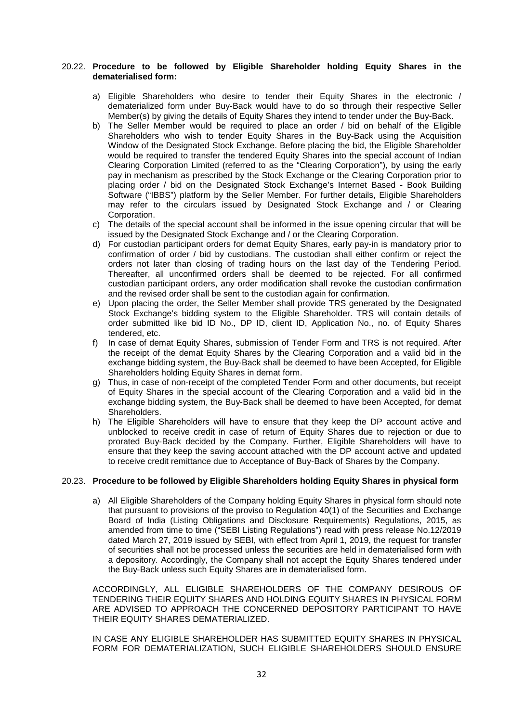#### 20.22. **Procedure to be followed by Eligible Shareholder holding Equity Shares in the dematerialised form:**

- a) Eligible Shareholders who desire to tender their Equity Shares in the electronic / dematerialized form under Buy-Back would have to do so through their respective Seller Member(s) by giving the details of Equity Shares they intend to tender under the Buy-Back.
- b) The Seller Member would be required to place an order / bid on behalf of the Eligible Shareholders who wish to tender Equity Shares in the Buy-Back using the Acquisition Window of the Designated Stock Exchange. Before placing the bid, the Eligible Shareholder would be required to transfer the tendered Equity Shares into the special account of Indian Clearing Corporation Limited (referred to as the "Clearing Corporation"), by using the early pay in mechanism as prescribed by the Stock Exchange or the Clearing Corporation prior to placing order / bid on the Designated Stock Exchange's Internet Based - Book Building Software ("IBBS") platform by the Seller Member. For further details, Eligible Shareholders may refer to the circulars issued by Designated Stock Exchange and / or Clearing Corporation.
- c) The details of the special account shall be informed in the issue opening circular that will be issued by the Designated Stock Exchange and / or the Clearing Corporation.
- d) For custodian participant orders for demat Equity Shares, early pay-in is mandatory prior to confirmation of order / bid by custodians. The custodian shall either confirm or reject the orders not later than closing of trading hours on the last day of the Tendering Period. Thereafter, all unconfirmed orders shall be deemed to be rejected. For all confirmed custodian participant orders, any order modification shall revoke the custodian confirmation and the revised order shall be sent to the custodian again for confirmation.
- e) Upon placing the order, the Seller Member shall provide TRS generated by the Designated Stock Exchange's bidding system to the Eligible Shareholder. TRS will contain details of order submitted like bid ID No., DP ID, client ID, Application No., no. of Equity Shares tendered, etc.
- f) In case of demat Equity Shares, submission of Tender Form and TRS is not required. After the receipt of the demat Equity Shares by the Clearing Corporation and a valid bid in the exchange bidding system, the Buy-Back shall be deemed to have been Accepted, for Eligible Shareholders holding Equity Shares in demat form.
- g) Thus, in case of non-receipt of the completed Tender Form and other documents, but receipt of Equity Shares in the special account of the Clearing Corporation and a valid bid in the exchange bidding system, the Buy-Back shall be deemed to have been Accepted, for demat Shareholders.
- h) The Eligible Shareholders will have to ensure that they keep the DP account active and unblocked to receive credit in case of return of Equity Shares due to rejection or due to prorated Buy-Back decided by the Company. Further, Eligible Shareholders will have to ensure that they keep the saving account attached with the DP account active and updated to receive credit remittance due to Acceptance of Buy-Back of Shares by the Company.

## 20.23. **Procedure to be followed by Eligible Shareholders holding Equity Shares in physical form**

a) All Eligible Shareholders of the Company holding Equity Shares in physical form should note that pursuant to provisions of the proviso to Regulation 40(1) of the Securities and Exchange Board of India (Listing Obligations and Disclosure Requirements) Regulations, 2015, as amended from time to time ("SEBI Listing Regulations") read with press release No.12/2019 dated March 27, 2019 issued by SEBI, with effect from April 1, 2019, the request for transfer of securities shall not be processed unless the securities are held in dematerialised form with a depository. Accordingly, the Company shall not accept the Equity Shares tendered under the Buy-Back unless such Equity Shares are in dematerialised form.

ACCORDINGLY, ALL ELIGIBLE SHAREHOLDERS OF THE COMPANY DESIROUS OF TENDERING THEIR EQUITY SHARES AND HOLDING EQUITY SHARES IN PHYSICAL FORM ARE ADVISED TO APPROACH THE CONCERNED DEPOSITORY PARTICIPANT TO HAVE THEIR EQUITY SHARES DEMATERIALIZED.

IN CASE ANY ELIGIBLE SHAREHOLDER HAS SUBMITTED EQUITY SHARES IN PHYSICAL FORM FOR DEMATERIALIZATION, SUCH ELIGIBLE SHAREHOLDERS SHOULD ENSURE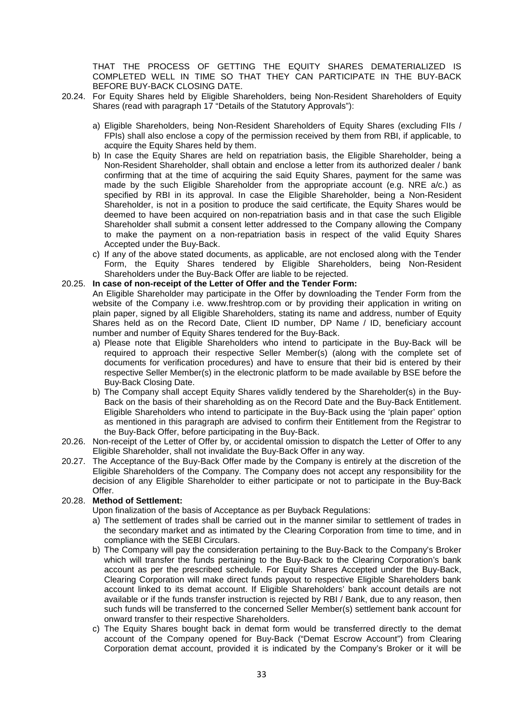THAT THE PROCESS OF GETTING THE EQUITY SHARES DEMATERIALIZED IS COMPLETED WELL IN TIME SO THAT THEY CAN PARTICIPATE IN THE BUY-BACK BEFORE BUY-BACK CLOSING DATE.

- 20.24. For Equity Shares held by Eligible Shareholders, being Non-Resident Shareholders of Equity Shares (read with paragraph 17 "Details of the Statutory Approvals"):
	- a) Eligible Shareholders, being Non-Resident Shareholders of Equity Shares (excluding FIIs / FPIs) shall also enclose a copy of the permission received by them from RBI, if applicable, to acquire the Equity Shares held by them.
	- b) In case the Equity Shares are held on repatriation basis, the Eligible Shareholder, being a Non-Resident Shareholder, shall obtain and enclose a letter from its authorized dealer / bank confirming that at the time of acquiring the said Equity Shares, payment for the same was made by the such Eligible Shareholder from the appropriate account (e.g. NRE a/c.) as specified by RBI in its approval. In case the Eligible Shareholder, being a Non-Resident Shareholder, is not in a position to produce the said certificate, the Equity Shares would be deemed to have been acquired on non-repatriation basis and in that case the such Eligible Shareholder shall submit a consent letter addressed to the Company allowing the Company to make the payment on a non-repatriation basis in respect of the valid Equity Shares Accepted under the Buy-Back.
	- c) If any of the above stated documents, as applicable, are not enclosed along with the Tender Form, the Equity Shares tendered by Eligible Shareholders, being Non-Resident Shareholders under the Buy-Back Offer are liable to be rejected.

#### 20.25. **In case of non-receipt of the Letter of Offer and the Tender Form:**

An Eligible Shareholder may participate in the Offer by downloading the Tender Form from the website of the Company i.e. www.freshtrop.com or by providing their application in writing on plain paper, signed by all Eligible Shareholders, stating its name and address, number of Equity Shares held as on the Record Date, Client ID number, DP Name / ID, beneficiary account number and number of Equity Shares tendered for the Buy-Back.

- a) Please note that Eligible Shareholders who intend to participate in the Buy-Back will be required to approach their respective Seller Member(s) (along with the complete set of documents for verification procedures) and have to ensure that their bid is entered by their respective Seller Member(s) in the electronic platform to be made available by BSE before the Buy-Back Closing Date.
- b) The Company shall accept Equity Shares validly tendered by the Shareholder(s) in the Buy-Back on the basis of their shareholding as on the Record Date and the Buy-Back Entitlement. Eligible Shareholders who intend to participate in the Buy-Back using the 'plain paper' option as mentioned in this paragraph are advised to confirm their Entitlement from the Registrar to the Buy-Back Offer, before participating in the Buy-Back.
- 20.26. Non-receipt of the Letter of Offer by, or accidental omission to dispatch the Letter of Offer to any Eligible Shareholder, shall not invalidate the Buy-Back Offer in any way.
- 20.27. The Acceptance of the Buy-Back Offer made by the Company is entirely at the discretion of the Eligible Shareholders of the Company. The Company does not accept any responsibility for the decision of any Eligible Shareholder to either participate or not to participate in the Buy-Back Offer.

## 20.28. **Method of Settlement:**

Upon finalization of the basis of Acceptance as per Buyback Regulations:

- a) The settlement of trades shall be carried out in the manner similar to settlement of trades in the secondary market and as intimated by the Clearing Corporation from time to time, and in compliance with the SEBI Circulars.
- b) The Company will pay the consideration pertaining to the Buy-Back to the Company's Broker which will transfer the funds pertaining to the Buy-Back to the Clearing Corporation's bank account as per the prescribed schedule. For Equity Shares Accepted under the Buy-Back, Clearing Corporation will make direct funds payout to respective Eligible Shareholders bank account linked to its demat account. If Eligible Shareholders' bank account details are not available or if the funds transfer instruction is rejected by RBI / Bank, due to any reason, then such funds will be transferred to the concerned Seller Member(s) settlement bank account for onward transfer to their respective Shareholders.
- c) The Equity Shares bought back in demat form would be transferred directly to the demat account of the Company opened for Buy-Back ("Demat Escrow Account") from Clearing Corporation demat account, provided it is indicated by the Company's Broker or it will be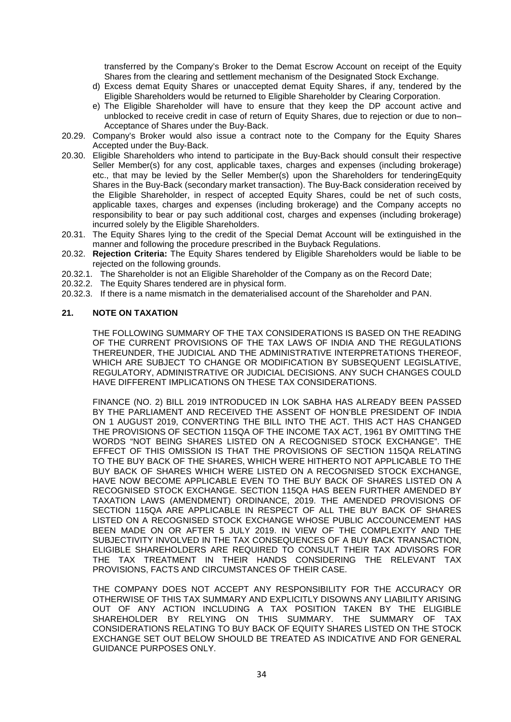transferred by the Company's Broker to the Demat Escrow Account on receipt of the Equity Shares from the clearing and settlement mechanism of the Designated Stock Exchange.

- d) Excess demat Equity Shares or unaccepted demat Equity Shares, if any, tendered by the Eligible Shareholders would be returned to Eligible Shareholder by Clearing Corporation.
- e) The Eligible Shareholder will have to ensure that they keep the DP account active and unblocked to receive credit in case of return of Equity Shares, due to rejection or due to non– Acceptance of Shares under the Buy-Back.
- 20.29. Company's Broker would also issue a contract note to the Company for the Equity Shares Accepted under the Buy-Back.
- 20.30. Eligible Shareholders who intend to participate in the Buy-Back should consult their respective Seller Member(s) for any cost, applicable taxes, charges and expenses (including brokerage) etc., that may be levied by the Seller Member(s) upon the Shareholders for tenderingEquity Shares in the Buy-Back (secondary market transaction). The Buy-Back consideration received by the Eligible Shareholder, in respect of accepted Equity Shares, could be net of such costs, applicable taxes, charges and expenses (including brokerage) and the Company accepts no responsibility to bear or pay such additional cost, charges and expenses (including brokerage) incurred solely by the Eligible Shareholders.
- 20.31. The Equity Shares lying to the credit of the Special Demat Account will be extinguished in the manner and following the procedure prescribed in the Buyback Regulations.
- 20.32. **Rejection Criteria:** The Equity Shares tendered by Eligible Shareholders would be liable to be rejected on the following grounds.
- 20.32.1. The Shareholder is not an Eligible Shareholder of the Company as on the Record Date;
- 20.32.2. The Equity Shares tendered are in physical form.
- 20.32.3. If there is a name mismatch in the dematerialised account of the Shareholder and PAN.

#### **21. NOTE ON TAXATION**

THE FOLLOWING SUMMARY OF THE TAX CONSIDERATIONS IS BASED ON THE READING OF THE CURRENT PROVISIONS OF THE TAX LAWS OF INDIA AND THE REGULATIONS THEREUNDER, THE JUDICIAL AND THE ADMINISTRATIVE INTERPRETATIONS THEREOF, WHICH ARE SUBJECT TO CHANGE OR MODIFICATION BY SUBSEQUENT LEGISLATIVE. REGULATORY, ADMINISTRATIVE OR JUDICIAL DECISIONS. ANY SUCH CHANGES COULD HAVE DIFFERENT IMPLICATIONS ON THESE TAX CONSIDERATIONS.

FINANCE (NO. 2) BILL 2019 INTRODUCED IN LOK SABHA HAS ALREADY BEEN PASSED BY THE PARLIAMENT AND RECEIVED THE ASSENT OF HON'BLE PRESIDENT OF INDIA ON 1 AUGUST 2019, CONVERTING THE BILL INTO THE ACT. THIS ACT HAS CHANGED THE PROVISIONS OF SECTION 115QA OF THE INCOME TAX ACT, 1961 BY OMITTING THE WORDS "NOT BEING SHARES LISTED ON A RECOGNISED STOCK EXCHANGE". THE EFFECT OF THIS OMISSION IS THAT THE PROVISIONS OF SECTION 115QA RELATING TO THE BUY BACK OF THE SHARES, WHICH WERE HITHERTO NOT APPLICABLE TO THE BUY BACK OF SHARES WHICH WERE LISTED ON A RECOGNISED STOCK EXCHANGE, HAVE NOW BECOME APPLICABLE EVEN TO THE BUY BACK OF SHARES LISTED ON A RECOGNISED STOCK EXCHANGE. SECTION 115QA HAS BEEN FURTHER AMENDED BY TAXATION LAWS (AMENDMENT) ORDINANCE, 2019. THE AMENDED PROVISIONS OF SECTION 115QA ARE APPLICABLE IN RESPECT OF ALL THE BUY BACK OF SHARES LISTED ON A RECOGNISED STOCK EXCHANGE WHOSE PUBLIC ACCOUNCEMENT HAS BEEN MADE ON OR AFTER 5 JULY 2019. IN VIEW OF THE COMPLEXITY AND THE SUBJECTIVITY INVOLVED IN THE TAX CONSEQUENCES OF A BUY BACK TRANSACTION, ELIGIBLE SHAREHOLDERS ARE REQUIRED TO CONSULT THEIR TAX ADVISORS FOR THE TAX TREATMENT IN THEIR HANDS CONSIDERING THE RELEVANT TAX PROVISIONS, FACTS AND CIRCUMSTANCES OF THEIR CASE.

THE COMPANY DOES NOT ACCEPT ANY RESPONSIBILITY FOR THE ACCURACY OR OTHERWISE OF THIS TAX SUMMARY AND EXPLICITLY DISOWNS ANY LIABILITY ARISING OUT OF ANY ACTION INCLUDING A TAX POSITION TAKEN BY THE ELIGIBLE SHAREHOLDER BY RELYING ON THIS SUMMARY. THE SUMMARY OF TAX CONSIDERATIONS RELATING TO BUY BACK OF EQUITY SHARES LISTED ON THE STOCK EXCHANGE SET OUT BELOW SHOULD BE TREATED AS INDICATIVE AND FOR GENERAL GUIDANCE PURPOSES ONLY.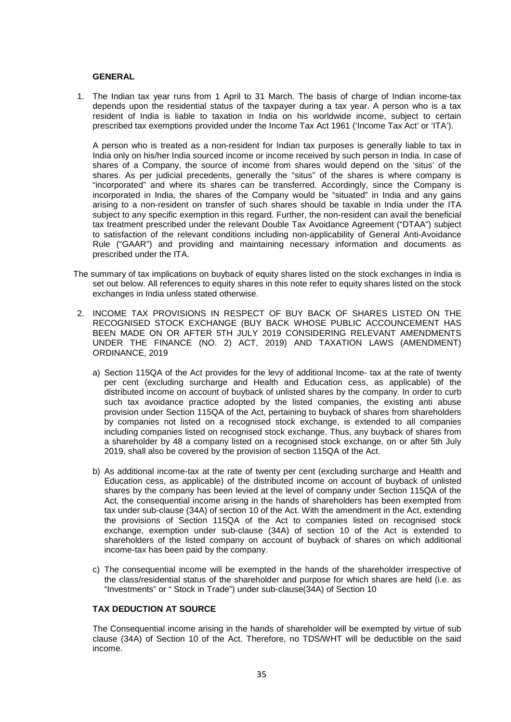#### **GENERAL**

1. The Indian tax year runs from 1 April to 31 March. The basis of charge of Indian income-tax depends upon the residential status of the taxpayer during a tax year. A person who is a tax resident of India is liable to taxation in India on his worldwide income, subject to certain prescribed tax exemptions provided under the Income Tax Act 1961 ('Income Tax Act' or 'ITA').

A person who is treated as a non-resident for Indian tax purposes is generally liable to tax in India only on his/her India sourced income or income received by such person in India. In case of shares of a Company, the source of income from shares would depend on the 'situs' of the shares. As per judicial precedents, generally the "situs" of the shares is where company is "incorporated" and where its shares can be transferred. Accordingly, since the Company is incorporated in India, the shares of the Company would be "situated" in India and any gains arising to a non-resident on transfer of such shares should be taxable in India under the ITA subject to any specific exemption in this regard. Further, the non-resident can avail the beneficial tax treatment prescribed under the relevant Double Tax Avoidance Agreement ("DTAA") subject to satisfaction of the relevant conditions including non-applicability of General Anti-Avoidance Rule ("GAAR") and providing and maintaining necessary information and documents as prescribed under the ITA.

- The summary of tax implications on buyback of equity shares listed on the stock exchanges in India is set out below. All references to equity shares in this note refer to equity shares listed on the stock exchanges in India unless stated otherwise.
- 2. INCOME TAX PROVISIONS IN RESPECT OF BUY BACK OF SHARES LISTED ON THE RECOGNISED STOCK EXCHANGE (BUY BACK WHOSE PUBLIC ACCOUNCEMENT HAS BEEN MADE ON OR AFTER 5TH JULY 2019 CONSIDERING RELEVANT AMENDMENTS UNDER THE FINANCE (NO. 2) ACT, 2019) AND TAXATION LAWS (AMENDMENT) ORDINANCE, 2019
	- a) Section 115QA of the Act provides for the levy of additional Income- tax at the rate of twenty per cent (excluding surcharge and Health and Education cess, as applicable) of the distributed income on account of buyback of unlisted shares by the company. In order to curb such tax avoidance practice adopted by the listed companies, the existing anti abuse provision under Section 115QA of the Act, pertaining to buyback of shares from shareholders by companies not listed on a recognised stock exchange, is extended to all companies including companies listed on recognised stock exchange. Thus, any buyback of shares from a shareholder by 48 a company listed on a recognised stock exchange, on or after 5th July 2019, shall also be covered by the provision of section 115QA of the Act.
	- b) As additional income-tax at the rate of twenty per cent (excluding surcharge and Health and Education cess, as applicable) of the distributed income on account of buyback of unlisted shares by the company has been levied at the level of company under Section 115QA of the Act, the consequential income arising in the hands of shareholders has been exempted from tax under sub-clause (34A) of section 10 of the Act. With the amendment in the Act, extending the provisions of Section 115QA of the Act to companies listed on recognised stock exchange, exemption under sub-clause (34A) of section 10 of the Act is extended to shareholders of the listed company on account of buyback of shares on which additional income-tax has been paid by the company.
	- c) The consequential income will be exempted in the hands of the shareholder irrespective of the class/residential status of the shareholder and purpose for which shares are held (i.e. as "Investments" or " Stock in Trade") under sub-clause(34A) of Section 10

#### **TAX DEDUCTION AT SOURCE**

The Consequential income arising in the hands of shareholder will be exempted by virtue of sub clause (34A) of Section 10 of the Act. Therefore, no TDS/WHT will be deductible on the said income.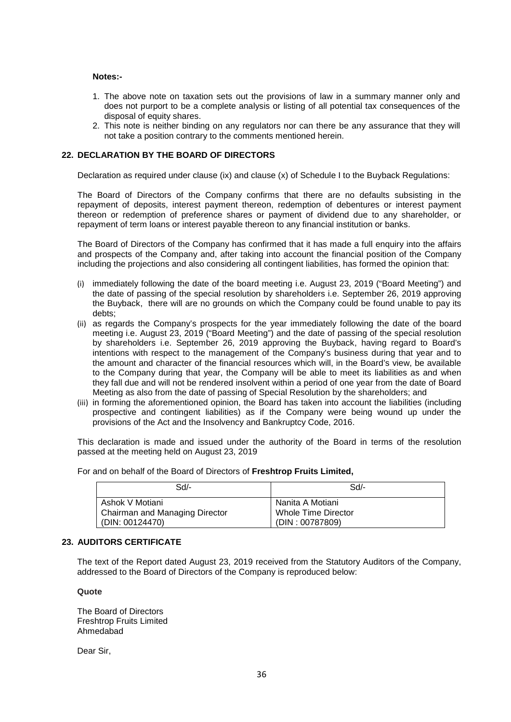#### **Notes:-**

- 1. The above note on taxation sets out the provisions of law in a summary manner only and does not purport to be a complete analysis or listing of all potential tax consequences of the disposal of equity shares.
- 2. This note is neither binding on any regulators nor can there be any assurance that they will not take a position contrary to the comments mentioned herein.

#### **22. DECLARATION BY THE BOARD OF DIRECTORS**

Declaration as required under clause (ix) and clause (x) of Schedule I to the Buyback Regulations:

The Board of Directors of the Company confirms that there are no defaults subsisting in the repayment of deposits, interest payment thereon, redemption of debentures or interest payment thereon or redemption of preference shares or payment of dividend due to any shareholder, or repayment of term loans or interest payable thereon to any financial institution or banks.

The Board of Directors of the Company has confirmed that it has made a full enquiry into the affairs and prospects of the Company and, after taking into account the financial position of the Company including the projections and also considering all contingent liabilities, has formed the opinion that:

- (i) immediately following the date of the board meeting i.e. August 23, 2019 ("Board Meeting") and the date of passing of the special resolution by shareholders i.e. September 26, 2019 approving the Buyback, there will are no grounds on which the Company could be found unable to pay its debts;
- (ii) as regards the Company's prospects for the year immediately following the date of the board meeting i.e. August 23, 2019 ("Board Meeting") and the date of passing of the special resolution by shareholders i.e. September 26, 2019 approving the Buyback, having regard to Board's intentions with respect to the management of the Company's business during that year and to the amount and character of the financial resources which will, in the Board's view, be available to the Company during that year, the Company will be able to meet its liabilities as and when they fall due and will not be rendered insolvent within a period of one year from the date of Board Meeting as also from the date of passing of Special Resolution by the shareholders; and
- (iii) in forming the aforementioned opinion, the Board has taken into account the liabilities (including prospective and contingent liabilities) as if the Company were being wound up under the provisions of the Act and the Insolvency and Bankruptcy Code, 2016.

This declaration is made and issued under the authority of the Board in terms of the resolution passed at the meeting held on August 23, 2019

| Sd/-                           | Sd/-                |
|--------------------------------|---------------------|
| Ashok V Motiani                | Nanita A Motiani    |
| Chairman and Managing Director | Whole Time Director |
| (DIN: 00124470)                | (DIN: 00787809)     |

For and on behalf of the Board of Directors of **Freshtrop Fruits Limited,**

#### **23. AUDITORS CERTIFICATE**

The text of the Report dated August 23, 2019 received from the Statutory Auditors of the Company, addressed to the Board of Directors of the Company is reproduced below:

#### **Quote**

The Board of Directors Freshtrop Fruits Limited Ahmedabad

Dear Sir,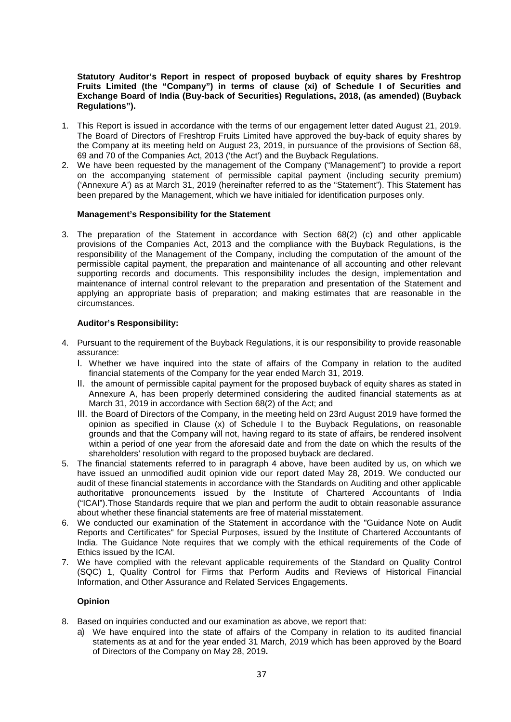#### **Statutory Auditor's Report in respect of proposed buyback of equity shares by Freshtrop Fruits Limited (the "Company") in terms of clause (xi) of Schedule I of Securities and Exchange Board of India (Buy-back of Securities) Regulations, 2018, (as amended) (Buyback Regulations").**

- 1. This Report is issued in accordance with the terms of our engagement letter dated August 21, 2019. The Board of Directors of Freshtrop Fruits Limited have approved the buy-back of equity shares by the Company at its meeting held on August 23, 2019, in pursuance of the provisions of Section 68, 69 and 70 of the Companies Act, 2013 ('the Act') and the Buyback Regulations.
- 2. We have been requested by the management of the Company ("Management") to provide a report on the accompanying statement of permissible capital payment (including security premium) ('Annexure A') as at March 31, 2019 (hereinafter referred to as the "Statement"). This Statement has been prepared by the Management, which we have initialed for identification purposes only.

#### **Management's Responsibility for the Statement**

3. The preparation of the Statement in accordance with Section 68(2) (c) and other applicable provisions of the Companies Act, 2013 and the compliance with the Buyback Regulations, is the responsibility of the Management of the Company, including the computation of the amount of the permissible capital payment, the preparation and maintenance of all accounting and other relevant supporting records and documents. This responsibility includes the design, implementation and maintenance of internal control relevant to the preparation and presentation of the Statement and applying an appropriate basis of preparation; and making estimates that are reasonable in the circumstances.

#### **Auditor's Responsibility:**

- 4. Pursuant to the requirement of the Buyback Regulations, it is our responsibility to provide reasonable assurance:
	- I. Whether we have inquired into the state of affairs of the Company in relation to the audited financial statements of the Company for the year ended March 31, 2019.
	- II. the amount of permissible capital payment for the proposed buyback of equity shares as stated in Annexure A, has been properly determined considering the audited financial statements as at March 31, 2019 in accordance with Section 68(2) of the Act; and
	- III. the Board of Directors of the Company, in the meeting held on 23rd August 2019 have formed the opinion as specified in Clause (x) of Schedule I to the Buyback Regulations, on reasonable grounds and that the Company will not, having regard to its state of affairs, be rendered insolvent within a period of one year from the aforesaid date and from the date on which the results of the shareholders' resolution with regard to the proposed buyback are declared.
- 5. The financial statements referred to in paragraph 4 above, have been audited by us, on which we have issued an unmodified audit opinion vide our report dated May 28, 2019. We conducted our audit of these financial statements in accordance with the Standards on Auditing and other applicable authoritative pronouncements issued by the Institute of Chartered Accountants of India ("ICAI").Those Standards require that we plan and perform the audit to obtain reasonable assurance about whether these financial statements are free of material misstatement.
- 6. We conducted our examination of the Statement in accordance with the "Guidance Note on Audit Reports and Certificates" for Special Purposes, issued by the Institute of Chartered Accountants of India. The Guidance Note requires that we comply with the ethical requirements of the Code of Ethics issued by the ICAI.
- 7. We have complied with the relevant applicable requirements of the Standard on Quality Control (SQC) 1, Quality Control for Firms that Perform Audits and Reviews of Historical Financial Information, and Other Assurance and Related Services Engagements.

#### **Opinion**

- 8. Based on inquiries conducted and our examination as above, we report that:
	- a) We have enquired into the state of affairs of the Company in relation to its audited financial statements as at and for the year ended 31 March, 2019 which has been approved by the Board of Directors of the Company on May 28, 2019**.**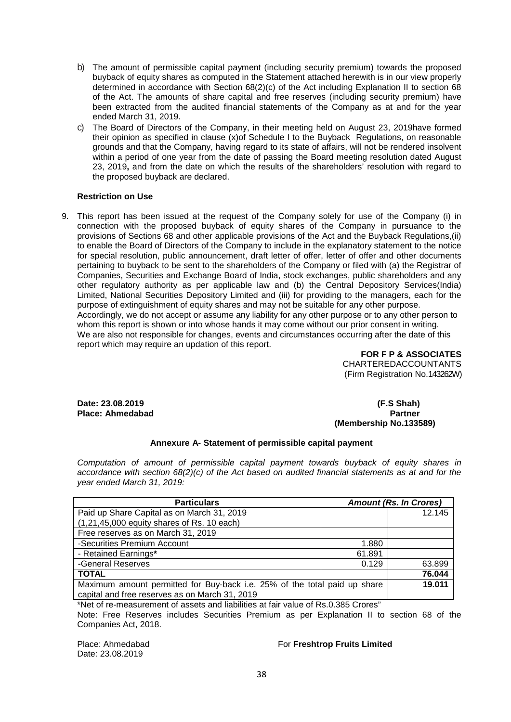- b) The amount of permissible capital payment (including security premium) towards the proposed buyback of equity shares as computed in the Statement attached herewith is in our view properly determined in accordance with Section 68(2)(c) of the Act including Explanation II to section 68 of the Act. The amounts of share capital and free reserves (including security premium) have been extracted from the audited financial statements of the Company as at and for the year ended March 31, 2019.
- c) The Board of Directors of the Company, in their meeting held on August 23, 2019have formed their opinion as specified in clause (x)of Schedule I to the Buyback Regulations, on reasonable grounds and that the Company, having regard to its state of affairs, will not be rendered insolvent within a period of one year from the date of passing the Board meeting resolution dated August 23, 2019**,** and from the date on which the results of the shareholders' resolution with regard to the proposed buyback are declared.

#### **Restriction on Use**

9. This report has been issued at the request of the Company solely for use of the Company (i) in connection with the proposed buyback of equity shares of the Company in pursuance to the provisions of Sections 68 and other applicable provisions of the Act and the Buyback Regulations,(ii) to enable the Board of Directors of the Company to include in the explanatory statement to the notice for special resolution, public announcement, draft letter of offer, letter of offer and other documents pertaining to buyback to be sent to the shareholders of the Company or filed with (a) the Registrar of Companies, Securities and Exchange Board of India, stock exchanges, public shareholders and any other regulatory authority as per applicable law and (b) the Central Depository Services(India) Limited, National Securities Depository Limited and (iii) for providing to the managers, each for the purpose of extinguishment of equity shares and may not be suitable for any other purpose. Accordingly, we do not accept or assume any liability for any other purpose or to any other person to whom this report is shown or into whose hands it may come without our prior consent in writing. We are also not responsible for changes, events and circumstances occurring after the date of this report which may require an updation of this report.

**FOR F P & ASSOCIATES**  CHARTEREDACCOUNTANTS (Firm Registration No.143262W)

**Date: 23.08.2019 (F.S Shah)**

# **Place: Ahmedabad Partner** Partner **Place: Ahmedabad** Partner **(Membership No.133589)**

#### **Annexure A- Statement of permissible capital payment**

*Computation of amount of permissible capital payment towards buyback of equity shares in accordance with section 68(2)(c) of the Act based on audited financial statements as at and for the year ended March 31, 2019:*

| <b>Particulars</b>                                                        | <b>Amount (Rs. In Crores)</b> |        |  |
|---------------------------------------------------------------------------|-------------------------------|--------|--|
| Paid up Share Capital as on March 31, 2019                                |                               | 12.145 |  |
| $(1,21,45,000$ equity shares of Rs. 10 each)                              |                               |        |  |
| Free reserves as on March 31, 2019                                        |                               |        |  |
| -Securities Premium Account                                               | 1.880                         |        |  |
| - Retained Earnings*                                                      | 61.891                        |        |  |
| -General Reserves                                                         | 0.129                         | 63.899 |  |
| <b>TOTAL</b>                                                              |                               | 76.044 |  |
| Maximum amount permitted for Buy-back i.e. 25% of the total paid up share | 19.011                        |        |  |
| capital and free reserves as on March 31, 2019                            |                               |        |  |

\*Net of re-measurement of assets and liabilities at fair value of Rs.0.385 Crores"

Note: Free Reserves includes Securities Premium as per Explanation II to section 68 of the Companies Act, 2018.

Date: 23.08.2019

#### Place: Ahmedabad **For Freshtrop Fruits Limited**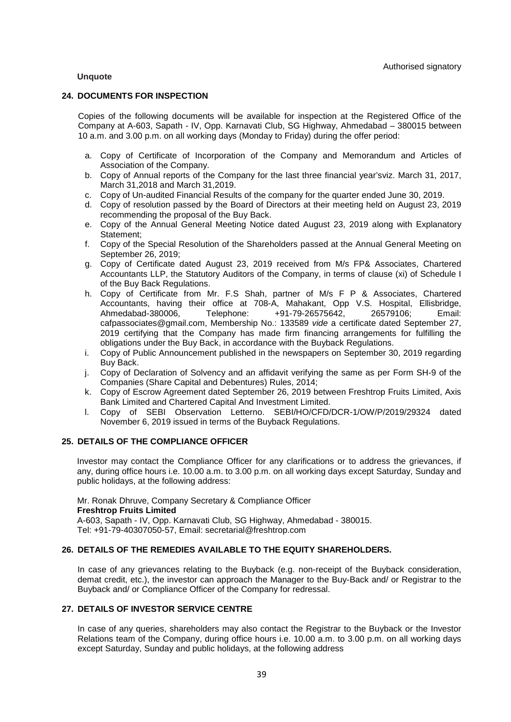#### **Unquote**

#### **24. DOCUMENTS FOR INSPECTION**

Copies of the following documents will be available for inspection at the Registered Office of the Company at A-603, Sapath - IV, Opp. Karnavati Club, SG Highway, Ahmedabad – 380015 between 10 a.m. and 3.00 p.m. on all working days (Monday to Friday) during the offer period:

- a. Copy of Certificate of Incorporation of the Company and Memorandum and Articles of Association of the Company.
- b. Copy of Annual reports of the Company for the last three financial year'sviz. March 31, 2017, March 31,2018 and March 31,2019.
- c. Copy of Un-audited Financial Results of the company for the quarter ended June 30, 2019.
- d. Copy of resolution passed by the Board of Directors at their meeting held on August 23, 2019 recommending the proposal of the Buy Back.
- e. Copy of the Annual General Meeting Notice dated August 23, 2019 along with Explanatory Statement;
- f. Copy of the Special Resolution of the Shareholders passed at the Annual General Meeting on September 26, 2019;
- g. Copy of Certificate dated August 23, 2019 received from M/s FP& Associates, Chartered Accountants LLP, the Statutory Auditors of the Company, in terms of clause (xi) of Schedule I of the Buy Back Regulations.
- h. Copy of Certificate from Mr. F.S Shah, partner of M/s F P & Associates, Chartered Accountants, having their office at 708-A, Mahakant, Opp V.S. Hospital, Ellisbridge, Ahmedabad-380006, Telephone: +91-79-26575642, 26579106; Email: cafpassociates@gmail.com, Membership No.: 133589 *vide* a certificate dated September 27, 2019 certifying that the Company has made firm financing arrangements for fulfilling the obligations under the Buy Back, in accordance with the Buyback Regulations.
- i. Copy of Public Announcement published in the newspapers on September 30, 2019 regarding Buy Back.
- j. Copy of Declaration of Solvency and an affidavit verifying the same as per Form SH-9 of the Companies (Share Capital and Debentures) Rules, 2014;
- k. Copy of Escrow Agreement dated September 26, 2019 between Freshtrop Fruits Limited, Axis Bank Limited and Chartered Capital And Investment Limited.
- l. Copy of SEBI Observation Letterno. SEBI/HO/CFD/DCR-1/OW/P/2019/29324 dated November 6, 2019 issued in terms of the Buyback Regulations.

#### **25. DETAILS OF THE COMPLIANCE OFFICER**

Investor may contact the Compliance Officer for any clarifications or to address the grievances, if any, during office hours i.e. 10.00 a.m. to 3.00 p.m. on all working days except Saturday, Sunday and public holidays, at the following address:

Mr. Ronak Dhruve, Company Secretary & Compliance Officer **Freshtrop Fruits Limited** A-603, Sapath - IV, Opp. Karnavati Club, SG Highway, Ahmedabad - 380015. Tel: +91-79-40307050-57, Email: [secretarial@freshtrop.com](mailto:secretarial@freshtrop.com)

#### **26. DETAILS OF THE REMEDIES AVAILABLE TO THE EQUITY SHAREHOLDERS.**

In case of any grievances relating to the Buyback (e.g. non-receipt of the Buyback consideration, demat credit, etc.), the investor can approach the Manager to the Buy-Back and/ or Registrar to the Buyback and/ or Compliance Officer of the Company for redressal.

#### **27. DETAILS OF INVESTOR SERVICE CENTRE**

In case of any queries, shareholders may also contact the Registrar to the Buyback or the Investor Relations team of the Company, during office hours i.e. 10.00 a.m. to 3.00 p.m. on all working days except Saturday, Sunday and public holidays, at the following address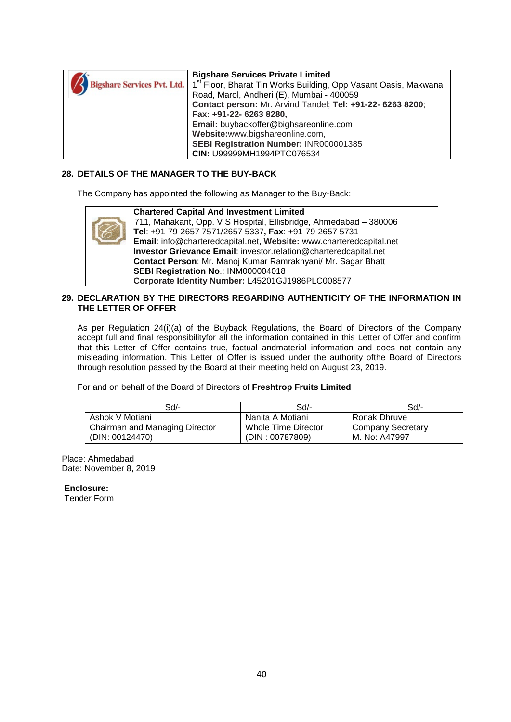|                                    | <b>Bigshare Services Private Limited</b>                                    |
|------------------------------------|-----------------------------------------------------------------------------|
| <b>Bigshare Services Pvt. Ltd.</b> | 1 <sup>st</sup> Floor, Bharat Tin Works Building, Opp Vasant Oasis, Makwana |
|                                    | Road, Marol, Andheri (E), Mumbai - 400059                                   |
|                                    | Contact person: Mr. Arvind Tandel; Tel: +91-22- 6263 8200;                  |
|                                    | Fax: +91-22- 6263 8280,                                                     |
|                                    | Email: buybackoffer@bighsareonline.com                                      |
|                                    | Website:www.bigshareonline.com,                                             |
|                                    | SEBI Registration Number: INR000001385                                      |
|                                    | CIN: U99999MH1994PTC076534                                                  |

#### **28. DETAILS OF THE MANAGER TO THE BUY-BACK**

The Company has appointed the following as Manager to the Buy-Back:



#### **29. DECLARATION BY THE DIRECTORS REGARDING AUTHENTICITY OF THE INFORMATION IN THE LETTER OF OFFER**

As per Regulation 24(i)(a) of the Buyback Regulations, the Board of Directors of the Company accept full and final responsibilityfor all the information contained in this Letter of Offer and confirm that this Letter of Offer contains true, factual andmaterial information and does not contain any misleading information. This Letter of Offer is issued under the authority ofthe Board of Directors through resolution passed by the Board at their meeting held on August 23, 2019.

For and on behalf of the Board of Directors of **Freshtrop Fruits Limited**

| Sd/-                           | Sd/-                | Sd/-                     |
|--------------------------------|---------------------|--------------------------|
| Ashok V Motiani                | Nanita A Motiani    | Ronak Dhruve             |
| Chairman and Managing Director | Whole Time Director | <b>Company Secretary</b> |
| (DIN: 00124470)                | (DIN: 00787809)     | M. No: A47997            |

Place: Ahmedabad Date: November 8, 2019

**Enclosure:**

Tender Form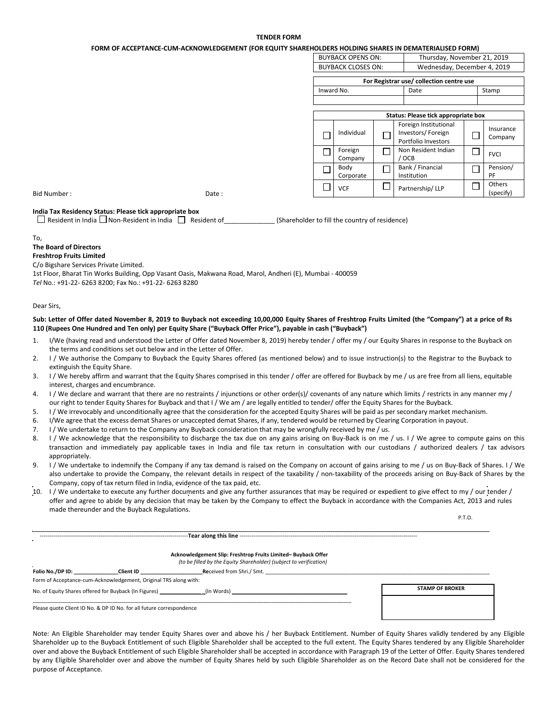#### **TENDER FORM**

**FORM OF ACCEPTANCE-CUM-ACKNOWLEDGEMENT (FOR EQUITY SHAREHOLDERS HOLDING SHARES IN DEMATERIALISED FORM)**

| <b>BUYBACK OPENS ON:</b>  |                                          |  | Thursday, November 21, 2019 |                                                                   |  |  |                      |  |
|---------------------------|------------------------------------------|--|-----------------------------|-------------------------------------------------------------------|--|--|----------------------|--|
| <b>BUYBACK CLOSES ON:</b> |                                          |  | Wednesday, December 4, 2019 |                                                                   |  |  |                      |  |
|                           | For Registrar use/ collection centre use |  |                             |                                                                   |  |  |                      |  |
|                           | Inward No.                               |  |                             | Date                                                              |  |  | Stamp                |  |
|                           |                                          |  |                             |                                                                   |  |  |                      |  |
|                           |                                          |  |                             |                                                                   |  |  |                      |  |
|                           |                                          |  |                             | Status: Please tick appropriate box                               |  |  |                      |  |
|                           | Individual                               |  |                             | Foreign Institutional<br>Investors/Foreign<br>Portfolio Investors |  |  | Insurance<br>Company |  |
|                           | Foreign<br>Company                       |  |                             | Non Resident Indian<br>/ OCB                                      |  |  | <b>FVCI</b>          |  |
|                           | Body<br>Corporate                        |  |                             | Bank / Financial<br>Institution                                   |  |  | Pension/<br>PF       |  |
|                           | VCF                                      |  |                             | Partnership/LLP                                                   |  |  | Others<br>(specify)  |  |

Bid Number : Change is the contract of the part of the contract of the contract of the contract of the contract of the contract of the contract of the contract of the contract of the contract of the contract of the contrac

#### **India Tax Residency Status: Please tick appropriate box**

 $\Box$  Resident in India  $\Box$  Non-Resident in India  $\Box$  Resident of \_\_\_\_\_\_\_\_\_\_\_\_\_\_ (Shareholder to fill the country of residence)

#### To,

#### **The Board of Directors**

# **Freshtrop Fruits Limited**

C/o Bigshare Services Private Limited.

1st Floor, Bharat Tin Works Building, Opp Vasant Oasis, Makwana Road, Marol, Andheri (E), Mumbai - 400059 *Tel* No.: +91-22- 6263 8200; Fax No.: +91-22- 6263 8280

Dear Sirs,

#### **Sub: Letter of Offer dated November 8, 2019 to Buyback not exceeding 10,00,000 Equity Shares of Freshtrop Fruits Limited (the "Company") at a price of Rs 110 (Rupees One Hundred and Ten only) per Equity Share ("Buyback Offer Price"), payable in cash ("Buyback")**

- 1. I/We (having read and understood the Letter of Offer dated November 8, 2019) hereby tender / offer my / our Equity Shares in response to the Buyback on the terms and conditions set out below and in the Letter of Offer.
- 2. I / We authorise the Company to Buyback the Equity Shares offered (as mentioned below) and to issue instruction(s) to the Registrar to the Buyback to extinguish the Equity Share.
- 3. I / We hereby affirm and warrant that the Equity Shares comprised in this tender / offer are offered for Buyback by me / us are free from all liens, equitable interest, charges and encumbrance.
- 4. I / We declare and warrant that there are no restraints / injunctions or other order(s)/ covenants of any nature which limits / restricts in any manner my / our right to tender Equity Shares for Buyback and that I / We am / are legally entitled to tender/ offer the Equity Shares for the Buyback.
- 5. I / We irrevocably and unconditionally agree that the consideration for the accepted Equity Shares will be paid as per secondary market mechanism.
- 6. I/We agree that the excess demat Shares or unaccepted demat Shares, if any, tendered would be returned by Clearing Corporation in payout.
- 7. I / We undertake to return to the Company any Buyback consideration that may be wrongfully received by me / us.

----------------------------------------------------------------------------**Tear along this line** -------------------------------------------------------------------------------------------

- 8. I / We acknowledge that the responsibility to discharge the tax due on any gains arising on Buy-Back is on me / us. I / We agree to compute gains on this transaction and immediately pay applicable taxes in India and file tax return in consultation with our custodians / authorized dealers / tax advisors appropriately.
- 9. I / We undertake to indemnify the Company if any tax demand is raised on the Company on account of gains arising to me / us on Buy-Back of Shares. I / We also undertake to provide the Company, the relevant details in respect of the taxability / non-taxability of the proceeds arising on Buy-Back of Shares by the Company, copy of tax return filed in India, evidence of the tax paid, etc.
- 10. I / We undertake to execute any further documents and give any further assurances that may be required or expedient to give effect to my / our tender / offer and agree to abide by any decision that may be taken by the Company to effect the Buyback in accordance with the Companies Act, 2013 and rules made thereunder and the Buyback Regulations.

P.T.O.

|                  |                                                                      | Acknowledgement Slip: Freshtrop Fruits Limited-Buyback Offer<br>(to be filled by the Equity Shareholder) (subject to verification) |                        |
|------------------|----------------------------------------------------------------------|------------------------------------------------------------------------------------------------------------------------------------|------------------------|
| Folio No./DP ID: | Client ID                                                            | <b>Re</b> ceived from Shri./ Smt.                                                                                                  |                        |
|                  | Form of Acceptance-cum-Acknowledgement, Original TRS along with:     |                                                                                                                                    |                        |
|                  | No. of Equity Shares offered for Buyback (In Figures)                | (In Words)                                                                                                                         | <b>STAMP OF BROKER</b> |
|                  | Please quote Client ID No. & DP ID No. for all future correspondence |                                                                                                                                    |                        |

Note: An Eligible Shareholder may tender Equity Shares over and above his / her Buyback Entitlement. Number of Equity Shares validly tendered by any Eligible Shareholder up to the Buyback Entitlement of such Eligible Shareholder shall be accepted to the full extent. The Equity Shares tendered by any Eligible Shareholder over and above the Buyback Entitlement of such Eligible Shareholder shall be accepted in accordance with Paragraph 19 of the Letter of Offer. Equity Shares tendered by any Eligible Shareholder over and above the number of Equity Shares held by such Eligible Shareholder as on the Record Date shall not be considered for the purpose of Acceptance.